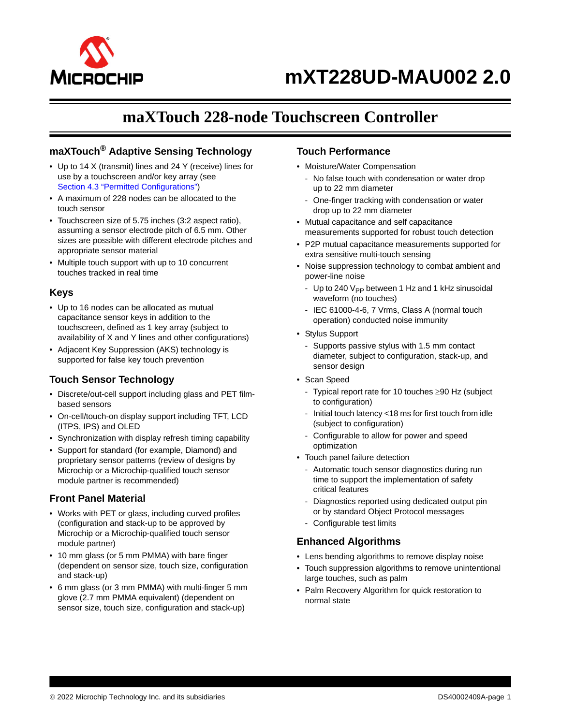

# **maXTouch 228-node Touchscreen Controller**

# **maXTouch® Adaptive Sensing Technology**

- Up to 14 X (transmit) lines and 24 Y (receive) lines for use by a touchscreen and/or key array (see Section 4.3 "Permitted Configurations")
- A maximum of 228 nodes can be allocated to the touch sensor
- Touchscreen size of 5.75 inches (3:2 aspect ratio), assuming a sensor electrode pitch of 6.5 mm. Other sizes are possible with different electrode pitches and appropriate sensor material
- Multiple touch support with up to 10 concurrent touches tracked in real time

# **Keys**

- Up to 16 nodes can be allocated as mutual capacitance sensor keys in addition to the touchscreen, defined as 1 key array (subject to availability of X and Y lines and other configurations)
- Adjacent Key Suppression (AKS) technology is supported for false key touch prevention

# **Touch Sensor Technology**

- Discrete/out-cell support including glass and PET filmbased sensors
- On-cell/touch-on display support including TFT, LCD (ITPS, IPS) and OLED
- Synchronization with display refresh timing capability
- Support for standard (for example, Diamond) and proprietary sensor patterns (review of designs by Microchip or a Microchip-qualified touch sensor module partner is recommended)

# **Front Panel Material**

- Works with PET or glass, including curved profiles (configuration and stack-up to be approved by Microchip or a Microchip-qualified touch sensor module partner)
- 10 mm glass (or 5 mm PMMA) with bare finger (dependent on sensor size, touch size, configuration and stack-up)
- 6 mm glass (or 3 mm PMMA) with multi-finger 5 mm glove (2.7 mm PMMA equivalent) (dependent on sensor size, touch size, configuration and stack-up)

# **Touch Performance**

- Moisture/Water Compensation
	- No false touch with condensation or water drop up to 22 mm diameter
	- One-finger tracking with condensation or water drop up to 22 mm diameter
- Mutual capacitance and self capacitance measurements supported for robust touch detection
- P2P mutual capacitance measurements supported for extra sensitive multi-touch sensing
- Noise suppression technology to combat ambient and power-line noise
	- Up to 240  $V_{PP}$  between 1 Hz and 1 kHz sinusoidal waveform (no touches)
	- IEC 61000-4-6, 7 Vrms, Class A (normal touch operation) conducted noise immunity
- Stylus Support
	- Supports passive stylus with 1.5 mm contact diameter, subject to configuration, stack-up, and sensor design
- Scan Speed
	- Typical report rate for 10 touches  $\geq 90$  Hz (subject to configuration)
	- Initial touch latency <18 ms for first touch from idle (subject to configuration)
	- Configurable to allow for power and speed optimization
- Touch panel failure detection
	- Automatic touch sensor diagnostics during run time to support the implementation of safety critical features
	- Diagnostics reported using dedicated output pin or by standard Object Protocol messages
	- Configurable test limits

# **Enhanced Algorithms**

- Lens bending algorithms to remove display noise
- Touch suppression algorithms to remove unintentional large touches, such as palm
- Palm Recovery Algorithm for quick restoration to normal state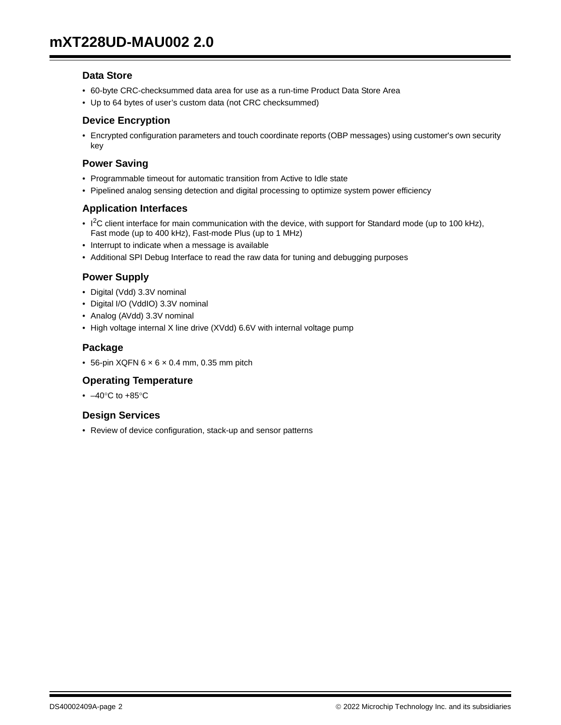# **Data Store**

- 60-byte CRC-checksummed data area for use as a run-time Product Data Store Area
- Up to 64 bytes of user's custom data (not CRC checksummed)

# **Device Encryption**

• Encrypted configuration parameters and touch coordinate reports (OBP messages) using customer's own security key

# **Power Saving**

- Programmable timeout for automatic transition from Active to Idle state
- Pipelined analog sensing detection and digital processing to optimize system power efficiency

# **Application Interfaces**

- $1<sup>2</sup>C$  client interface for main communication with the device, with support for Standard mode (up to 100 kHz), Fast mode (up to 400 kHz), Fast-mode Plus (up to 1 MHz)
- Interrupt to indicate when a message is available
- Additional SPI Debug Interface to read the raw data for tuning and debugging purposes

# **Power Supply**

- Digital (Vdd) 3.3V nominal
- Digital I/O (VddIO) 3.3V nominal
- Analog (AVdd) 3.3V nominal
- High voltage internal X line drive (XVdd) 6.6V with internal voltage pump

# **Package**

 $\bullet$  56-pin XQFN 6  $\times$  6  $\times$  0.4 mm, 0.35 mm pitch

# **Operating Temperature**

 $\cdot$  -40°C to +85°C

# **Design Services**

• Review of device configuration, stack-up and sensor patterns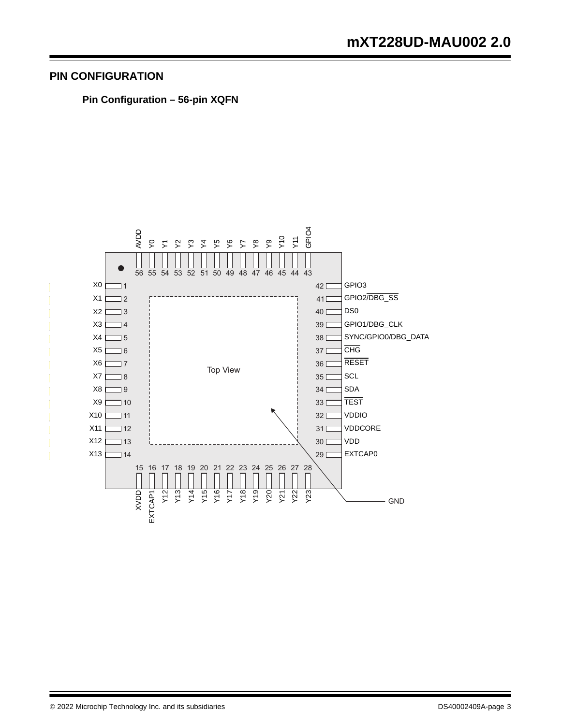# **PIN CONFIGURATION**

**Pin Configuration – 56-pin XQFN**

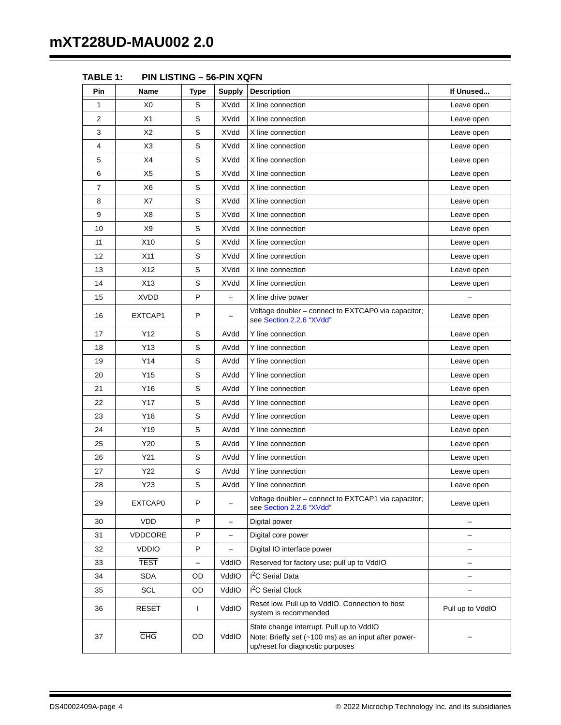| Pin | Name            | <b>Type</b>              | <b>Supply</b>            | <b>Description</b>                                                                                                                   | If Unused                |
|-----|-----------------|--------------------------|--------------------------|--------------------------------------------------------------------------------------------------------------------------------------|--------------------------|
| 1   | X0              | S                        | XVdd                     | X line connection                                                                                                                    | Leave open               |
| 2   | X1              | S                        | XVdd                     | X line connection                                                                                                                    | Leave open               |
| 3   | X2              | S                        | XVdd                     | X line connection                                                                                                                    | Leave open               |
| 4   | X <sub>3</sub>  | S                        | XVdd                     | X line connection                                                                                                                    | Leave open               |
| 5   | X4              | S                        | XVdd                     | X line connection                                                                                                                    | Leave open               |
| 6   | X <sub>5</sub>  | S                        | <b>XVdd</b>              | X line connection                                                                                                                    | Leave open               |
| 7   | X6              | S                        | <b>XVdd</b>              | X line connection                                                                                                                    | Leave open               |
| 8   | X7              | S                        | XVdd                     | X line connection                                                                                                                    | Leave open               |
| 9   | X8              | S                        | XVdd                     | X line connection                                                                                                                    | Leave open               |
| 10  | X <sub>9</sub>  | S                        | <b>XVdd</b>              | X line connection                                                                                                                    | Leave open               |
| 11  | X <sub>10</sub> | S                        | XVdd                     | X line connection                                                                                                                    | Leave open               |
| 12  | X11             | S                        | XVdd                     | X line connection                                                                                                                    | Leave open               |
| 13  | X12             | S                        | <b>XVdd</b>              | X line connection                                                                                                                    | Leave open               |
| 14  | X13             | S                        | <b>XVdd</b>              | X line connection                                                                                                                    | Leave open               |
| 15  | <b>XVDD</b>     | P                        | $\equiv$                 | X line drive power                                                                                                                   |                          |
| 16  | EXTCAP1         | P                        |                          | Voltage doubler - connect to EXTCAP0 via capacitor;<br>see Section 2.2.6 "XVdd"                                                      | Leave open               |
| 17  | Y12             | S                        | AVdd                     | Y line connection                                                                                                                    | Leave open               |
| 18  | Y13             | S                        | AVdd                     | Y line connection                                                                                                                    | Leave open               |
| 19  | Y14             | S                        | AVdd                     | Y line connection                                                                                                                    | Leave open               |
| 20  | Y15             | S                        | AVdd                     | Y line connection                                                                                                                    | Leave open               |
| 21  | Y16             | S                        | AVdd                     | Y line connection                                                                                                                    | Leave open               |
| 22  | Y17             | S                        | AVdd                     | Y line connection                                                                                                                    | Leave open               |
| 23  | Y18             | $\mathsf S$              | AVdd                     | Y line connection                                                                                                                    | Leave open               |
| 24  | Y19             | S                        | AVdd                     | Y line connection                                                                                                                    | Leave open               |
| 25  | Y20             | S                        | AVdd                     | Y line connection                                                                                                                    | Leave open               |
| 26  | Y21             | S                        | AVdd                     | Y line connection                                                                                                                    | Leave open               |
| 27  | Y22             | $\mathsf S$              | AVdd                     | Y line connection                                                                                                                    | Leave open               |
| 28  | Y23             | S                        | AVdd                     | Y line connection                                                                                                                    | Leave open               |
| 29  | EXTCAP0         | P                        |                          | Voltage doubler - connect to EXTCAP1 via capacitor;<br>see Section 2.2.6 "XVdd"                                                      | Leave open               |
| 30  | <b>VDD</b>      | P                        | $\overline{\phantom{0}}$ | Digital power                                                                                                                        |                          |
| 31  | VDDCORE         | P                        | ÷.                       | Digital core power                                                                                                                   |                          |
| 32  | <b>VDDIO</b>    | P                        | $\overline{\phantom{0}}$ | Digital IO interface power                                                                                                           | $\overline{\phantom{0}}$ |
| 33  | <b>TEST</b>     | $\overline{\phantom{0}}$ | VddIO                    | Reserved for factory use; pull up to VddIO                                                                                           | -                        |
| 34  | <b>SDA</b>      | OD                       | VddIO                    | I <sup>2</sup> C Serial Data                                                                                                         |                          |
| 35  | SCL             | OD                       | VddIO                    | I <sup>2</sup> C Serial Clock                                                                                                        |                          |
| 36  | <b>RESET</b>    | L                        | VddIO                    | Reset low. Pull up to VddIO. Connection to host<br>system is recommended                                                             | Pull up to VddIO         |
| 37  | <b>CHG</b>      | OD                       | VddIO                    | State change interrupt. Pull up to VddIO<br>Note: Briefly set (~100 ms) as an input after power-<br>up/reset for diagnostic purposes |                          |

**TABLE 1: PIN LISTING – 56-PIN XQFN**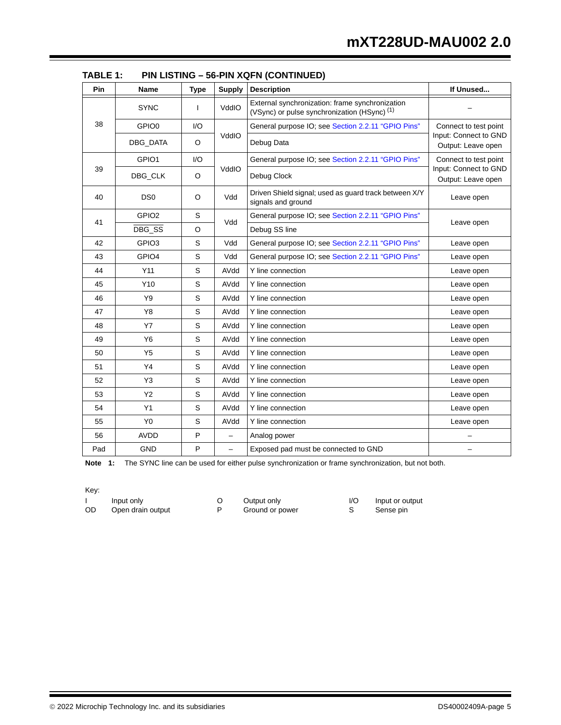| Pin | Name              | <b>Type</b> | <b>Supply</b>            | <b>Description</b>                                                                                         | If Unused                                   |  |
|-----|-------------------|-------------|--------------------------|------------------------------------------------------------------------------------------------------------|---------------------------------------------|--|
|     | <b>SYNC</b>       | ı           | VddIO                    | External synchronization: frame synchronization<br>(VSync) or pulse synchronization (HSync) <sup>(1)</sup> |                                             |  |
| 38  | GPIO <sub>0</sub> | I/O         |                          | General purpose IO; see Section 2.2.11 "GPIO Pins"                                                         | Connect to test point                       |  |
|     | DBG_DATA          | O           | VddIO                    | Debug Data                                                                                                 | Input: Connect to GND<br>Output: Leave open |  |
|     | GPIO1             | I/O         |                          | General purpose IO; see Section 2.2.11 "GPIO Pins"                                                         | Connect to test point                       |  |
| 39  | DBG_CLK           | O           | VddIO                    | Debug Clock                                                                                                | Input: Connect to GND<br>Output: Leave open |  |
| 40  | DS <sub>0</sub>   | O           | Vdd                      | Driven Shield signal; used as guard track between X/Y<br>signals and ground                                | Leave open                                  |  |
| 41  | GPIO <sub>2</sub> | S           | Vdd                      | General purpose IO; see Section 2.2.11 "GPIO Pins"                                                         |                                             |  |
|     | DBG_SS            | O           |                          | Debug SS line                                                                                              | Leave open                                  |  |
| 42  | GPIO <sub>3</sub> | S           | Vdd                      | General purpose IO; see Section 2.2.11 "GPIO Pins"                                                         | Leave open                                  |  |
| 43  | GPIO4             | S           | Vdd                      | General purpose IO; see Section 2.2.11 "GPIO Pins"                                                         | Leave open                                  |  |
| 44  | Y11               | S           | AVdd                     | Y line connection                                                                                          | Leave open                                  |  |
| 45  | Y10               | S           | AVdd                     | Y line connection                                                                                          | Leave open                                  |  |
| 46  | Y9                | S           | AVdd                     | Y line connection                                                                                          | Leave open                                  |  |
| 47  | Y8                | S           | AVdd                     | Y line connection                                                                                          | Leave open                                  |  |
| 48  | <b>Y7</b>         | S           | AVdd                     | Y line connection                                                                                          | Leave open                                  |  |
| 49  | Y6                | S           | AVdd                     | Y line connection                                                                                          | Leave open                                  |  |
| 50  | Y5                | S           | AVdd                     | Y line connection                                                                                          | Leave open                                  |  |
| 51  | Y4                | S           | AVdd                     | Y line connection                                                                                          | Leave open                                  |  |
| 52  | Y3                | S           | AVdd                     | Y line connection                                                                                          | Leave open                                  |  |
| 53  | <b>Y2</b>         | S           | AVdd                     | Y line connection                                                                                          | Leave open                                  |  |
| 54  | Y1                | S           | AVdd                     | Y line connection                                                                                          | Leave open                                  |  |
| 55  | Y <sub>0</sub>    | S           | AVdd                     | Y line connection                                                                                          | Leave open                                  |  |
| 56  | <b>AVDD</b>       | P           | $\overline{\phantom{0}}$ | Analog power                                                                                               |                                             |  |
| Pad | <b>GND</b>        | P           | ÷                        | Exposed pad must be connected to GND                                                                       |                                             |  |

**TABLE 1: PIN LISTING – 56-PIN XQFN (CONTINUED)**

Note 1: The SYNC line can be used for either pulse synchronization or frame synchronization, but not both.

Key:

I Input only C Output only I/O Input or output OD Open drain output CD Cound or power C S Sense pin Open drain output P Ground or power S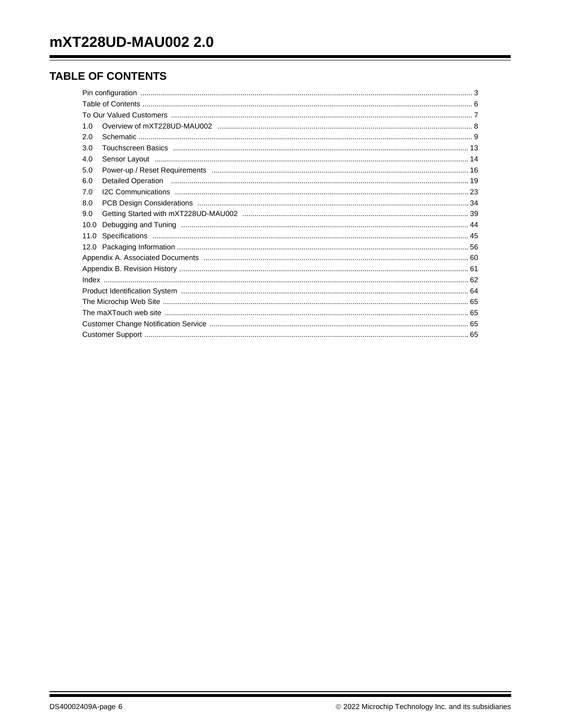# **TABLE OF CONTENTS**

| 1.0  |                                                                                                                                                                                                                                |  |
|------|--------------------------------------------------------------------------------------------------------------------------------------------------------------------------------------------------------------------------------|--|
| 2.0  |                                                                                                                                                                                                                                |  |
| 3.0  |                                                                                                                                                                                                                                |  |
| 4.0  |                                                                                                                                                                                                                                |  |
| 5.0  |                                                                                                                                                                                                                                |  |
| 6.0  | Detailed Operation material content and the content of the content of the content of the content of the content of the content of the content of the content of the content of the content of the content of the content of th |  |
| 7.0  |                                                                                                                                                                                                                                |  |
| 8.0  |                                                                                                                                                                                                                                |  |
| 9.0  |                                                                                                                                                                                                                                |  |
| 10.0 |                                                                                                                                                                                                                                |  |
| 11.0 |                                                                                                                                                                                                                                |  |
|      |                                                                                                                                                                                                                                |  |
|      |                                                                                                                                                                                                                                |  |
|      |                                                                                                                                                                                                                                |  |
|      |                                                                                                                                                                                                                                |  |
|      |                                                                                                                                                                                                                                |  |
|      |                                                                                                                                                                                                                                |  |
|      |                                                                                                                                                                                                                                |  |
|      |                                                                                                                                                                                                                                |  |
|      |                                                                                                                                                                                                                                |  |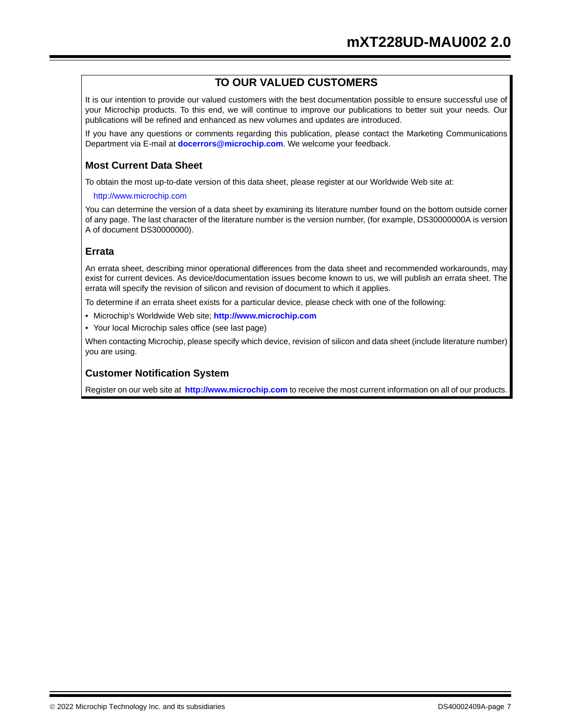# **TO OUR VALUED CUSTOMERS**

It is our intention to provide our valued customers with the best documentation possible to ensure successful use of your Microchip products. To this end, we will continue to improve our publications to better suit your needs. Our publications will be refined and enhanced as new volumes and updates are introduced.

If you have any questions or comments regarding this publication, please contact the Marketing Communications Department via E-mail at **docerrors@microchip.com**. We welcome your feedback.

# **Most Current Data Sheet**

To obtain the most up-to-date version of this data sheet, please register at our Worldwide Web site at:

#### http://www.microchip.com

You can determine the version of a data sheet by examining its literature number found on the bottom outside corner of any page. The last character of the literature number is the version number, (for example, DS30000000A is version A of document DS30000000).

# **Errata**

An errata sheet, describing minor operational differences from the data sheet and recommended workarounds, may exist for current devices. As device/documentation issues become known to us, we will publish an errata sheet. The errata will specify the revision of silicon and revision of document to which it applies.

To determine if an errata sheet exists for a particular device, please check with one of the following:

- Microchip's Worldwide Web site; **http://www.microchip.com**
- Your local Microchip sales office (see last page)

When contacting Microchip, please specify which device, revision of silicon and data sheet (include literature number) you are using.

# **Customer Notification System**

Register on our web site at **http://www.microchip.com** to receive the most current information on all of our products.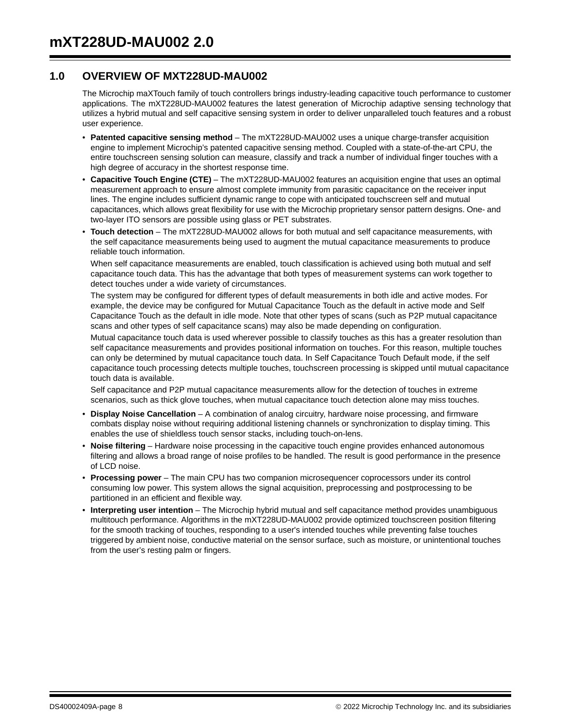# **1.0 OVERVIEW OF MXT228UD-MAU002**

The Microchip maXTouch family of touch controllers brings industry-leading capacitive touch performance to customer applications. The mXT228UD-MAU002 features the latest generation of Microchip adaptive sensing technology that utilizes a hybrid mutual and self capacitive sensing system in order to deliver unparalleled touch features and a robust user experience.

- **Patented capacitive sensing method** The mXT228UD-MAU002 uses a unique charge-transfer acquisition engine to implement Microchip's patented capacitive sensing method. Coupled with a state-of-the-art CPU, the entire touchscreen sensing solution can measure, classify and track a number of individual finger touches with a high degree of accuracy in the shortest response time.
- **Capacitive Touch Engine (CTE)** The mXT228UD-MAU002 features an acquisition engine that uses an optimal measurement approach to ensure almost complete immunity from parasitic capacitance on the receiver input lines. The engine includes sufficient dynamic range to cope with anticipated touchscreen self and mutual capacitances, which allows great flexibility for use with the Microchip proprietary sensor pattern designs. One- and two-layer ITO sensors are possible using glass or PET substrates.
- **Touch detection** The mXT228UD-MAU002 allows for both mutual and self capacitance measurements, with the self capacitance measurements being used to augment the mutual capacitance measurements to produce reliable touch information.

When self capacitance measurements are enabled, touch classification is achieved using both mutual and self capacitance touch data. This has the advantage that both types of measurement systems can work together to detect touches under a wide variety of circumstances.

The system may be configured for different types of default measurements in both idle and active modes. For example, the device may be configured for Mutual Capacitance Touch as the default in active mode and Self Capacitance Touch as the default in idle mode. Note that other types of scans (such as P2P mutual capacitance scans and other types of self capacitance scans) may also be made depending on configuration.

Mutual capacitance touch data is used wherever possible to classify touches as this has a greater resolution than self capacitance measurements and provides positional information on touches. For this reason, multiple touches can only be determined by mutual capacitance touch data. In Self Capacitance Touch Default mode, if the self capacitance touch processing detects multiple touches, touchscreen processing is skipped until mutual capacitance touch data is available.

Self capacitance and P2P mutual capacitance measurements allow for the detection of touches in extreme scenarios, such as thick glove touches, when mutual capacitance touch detection alone may miss touches.

- **Display Noise Cancellation**  A combination of analog circuitry, hardware noise processing, and firmware combats display noise without requiring additional listening channels or synchronization to display timing. This enables the use of shieldless touch sensor stacks, including touch-on-lens.
- **Noise filtering**  Hardware noise processing in the capacitive touch engine provides enhanced autonomous filtering and allows a broad range of noise profiles to be handled. The result is good performance in the presence of LCD noise.
- **Processing power** The main CPU has two companion microsequencer coprocessors under its control consuming low power. This system allows the signal acquisition, preprocessing and postprocessing to be partitioned in an efficient and flexible way.
- **Interpreting user intention** The Microchip hybrid mutual and self capacitance method provides unambiguous multitouch performance. Algorithms in the mXT228UD-MAU002 provide optimized touchscreen position filtering for the smooth tracking of touches, responding to a user's intended touches while preventing false touches triggered by ambient noise, conductive material on the sensor surface, such as moisture, or unintentional touches from the user's resting palm or fingers.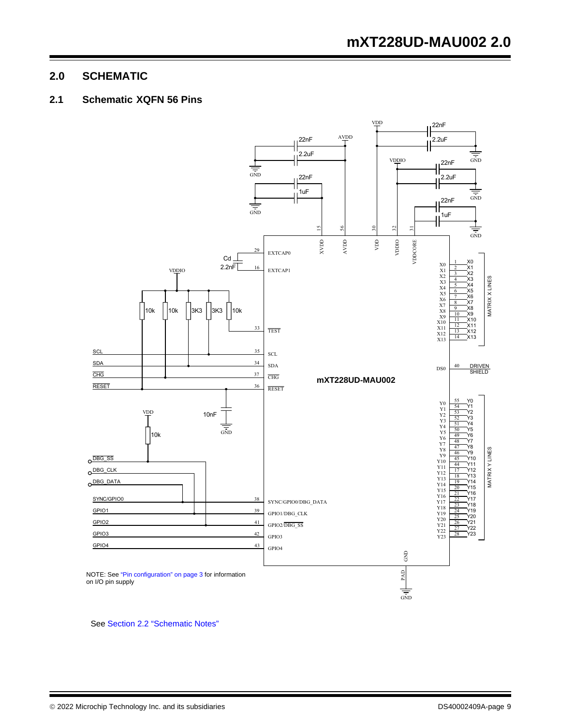# **2.0 SCHEMATIC**

# **2.1 Schematic XQFN 56 Pins**



See Section 2.2 "Schematic Notes"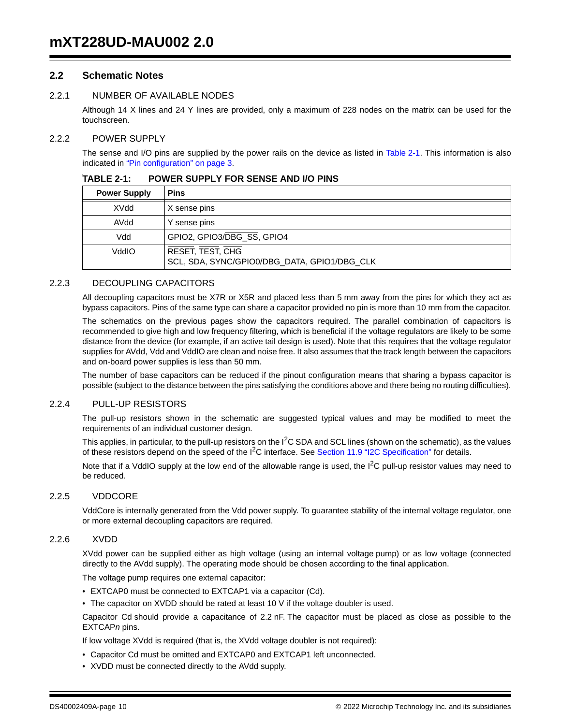# **2.2 Schematic Notes**

# 2.2.1 NUMBER OF AVAILABLE NODES

Although 14 X lines and 24 Y lines are provided, only a maximum of 228 nodes on the matrix can be used for the touchscreen.

#### 2.2.2 POWER SUPPLY

The sense and I/O pins are supplied by the power rails on the device as listed in Table 2-1. This information is also indicated in "Pin configuration" on page 3.

| <b>Power Supply</b> | <b>Pins</b>                                                             |
|---------------------|-------------------------------------------------------------------------|
| XVdd                | X sense pins                                                            |
| AVdd                | Y sense pins                                                            |
| Vdd                 | GPIO2, GPIO3/DBG_SS, GPIO4                                              |
| OlbbV               | <b>RESET, TEST, CHG</b><br>SCL, SDA, SYNC/GPIO0/DBG_DATA, GPIO1/DBG_CLK |

#### **TABLE 2-1: POWER SUPPLY FOR SENSE AND I/O PINS**

#### 2.2.3 DECOUPLING CAPACITORS

All decoupling capacitors must be X7R or X5R and placed less than 5 mm away from the pins for which they act as bypass capacitors. Pins of the same type can share a capacitor provided no pin is more than 10 mm from the capacitor.

The schematics on the previous pages show the capacitors required. The parallel combination of capacitors is recommended to give high and low frequency filtering, which is beneficial if the voltage regulators are likely to be some distance from the device (for example, if an active tail design is used). Note that this requires that the voltage regulator supplies for AVdd, Vdd and VddIO are clean and noise free. It also assumes that the track length between the capacitors and on-board power supplies is less than 50 mm.

The number of base capacitors can be reduced if the pinout configuration means that sharing a bypass capacitor is possible (subject to the distance between the pins satisfying the conditions above and there being no routing difficulties).

#### 2.2.4 PULL-UP RESISTORS

The pull-up resistors shown in the schematic are suggested typical values and may be modified to meet the requirements of an individual customer design.

This applies, in particular, to the pull-up resistors on the  $I^2C$  SDA and SCL lines (shown on the schematic), as the values of these resistors depend on the speed of the  $I<sup>2</sup>C$  interface. See Section 11.9 "I2C Specification" for details.

Note that if a VddIO supply at the low end of the allowable range is used, the  $1<sup>2</sup>C$  pull-up resistor values may need to be reduced.

#### 2.2.5 VDDCORE

VddCore is internally generated from the Vdd power supply. To guarantee stability of the internal voltage regulator, one or more external decoupling capacitors are required.

#### 2.2.6 XVDD

XVdd power can be supplied either as high voltage (using an internal voltage pump) or as low voltage (connected directly to the AVdd supply). The operating mode should be chosen according to the final application.

The voltage pump requires one external capacitor:

- EXTCAP0 must be connected to EXTCAP1 via a capacitor (Cd).
- The capacitor on XVDD should be rated at least 10 V if the voltage doubler is used.

Capacitor Cd should provide a capacitance of 2.2 nF. The capacitor must be placed as close as possible to the EXTCAP*n* pins.

If low voltage XVdd is required (that is, the XVdd voltage doubler is not required):

- Capacitor Cd must be omitted and EXTCAP0 and EXTCAP1 left unconnected.
- XVDD must be connected directly to the AVdd supply.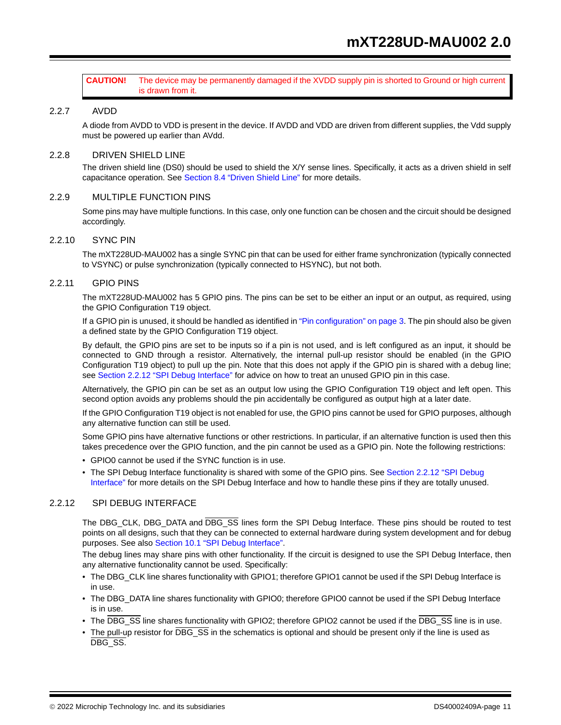#### **CAUTION!** The device may be permanently damaged if the XVDD supply pin is shorted to Ground or high current is drawn from it.

#### 2.2.7 AVDD

A diode from AVDD to VDD is present in the device. If AVDD and VDD are driven from different supplies, the Vdd supply must be powered up earlier than AVdd.

#### 2.2.8 DRIVEN SHIELD LINE

The driven shield line (DS0) should be used to shield the X/Y sense lines. Specifically, it acts as a driven shield in self capacitance operation. See Section 8.4 "Driven Shield Line" for more details.

#### 2.2.9 MULTIPLE FUNCTION PINS

Some pins may have multiple functions. In this case, only one function can be chosen and the circuit should be designed accordingly.

#### 2.2.10 SYNC PIN

The mXT228UD-MAU002 has a single SYNC pin that can be used for either frame synchronization (typically connected to VSYNC) or pulse synchronization (typically connected to HSYNC), but not both.

#### 2.2.11 GPIO PINS

The mXT228UD-MAU002 has 5 GPIO pins. The pins can be set to be either an input or an output, as required, using the GPIO Configuration T19 object.

If a GPIO pin is unused, it should be handled as identified in "Pin configuration" on page 3. The pin should also be given a defined state by the GPIO Configuration T19 object.

By default, the GPIO pins are set to be inputs so if a pin is not used, and is left configured as an input, it should be connected to GND through a resistor. Alternatively, the internal pull-up resistor should be enabled (in the GPIO Configuration T19 object) to pull up the pin. Note that this does not apply if the GPIO pin is shared with a debug line; see Section 2.2.12 "SPI Debug Interface" for advice on how to treat an unused GPIO pin in this case.

Alternatively, the GPIO pin can be set as an output low using the GPIO Configuration T19 object and left open. This second option avoids any problems should the pin accidentally be configured as output high at a later date.

If the GPIO Configuration T19 object is not enabled for use, the GPIO pins cannot be used for GPIO purposes, although any alternative function can still be used.

Some GPIO pins have alternative functions or other restrictions. In particular, if an alternative function is used then this takes precedence over the GPIO function, and the pin cannot be used as a GPIO pin. Note the following restrictions:

- GPIO0 cannot be used if the SYNC function is in use.
- The SPI Debug Interface functionality is shared with some of the GPIO pins. See Section 2.2.12 "SPI Debug Interface" for more details on the SPI Debug Interface and how to handle these pins if they are totally unused.

#### 2.2.12 SPI DEBUG INTERFACE

The DBG\_CLK, DBG\_DATA and DBG\_SS lines form the SPI Debug Interface. These pins should be routed to test points on all designs, such that they can be connected to external hardware during system development and for debug purposes. See also Section 10.1 "SPI Debug Interface".

The debug lines may share pins with other functionality. If the circuit is designed to use the SPI Debug Interface, then any alternative functionality cannot be used. Specifically:

- The DBG\_CLK line shares functionality with GPIO1; therefore GPIO1 cannot be used if the SPI Debug Interface is in use.
- The DBG\_DATA line shares functionality with GPIO0; therefore GPIO0 cannot be used if the SPI Debug Interface is in use.
- The DBG\_SS line shares functionality with GPIO2; therefore GPIO2 cannot be used if the DBG\_SS line is in use.
- The pull-up resistor for DBG\_SS in the schematics is optional and should be present only if the line is used as DBG SS.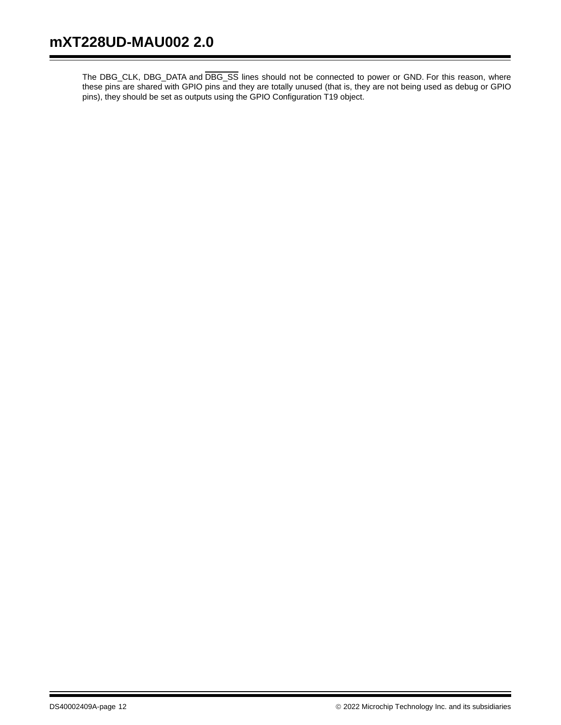The DBG\_CLK, DBG\_DATA and DBG\_SS lines should not be connected to power or GND. For this reason, where these pins are shared with GPIO pins and they are totally unused (that is, they are not being used as debug or GPIO pins), they should be set as outputs using the GPIO Configuration T19 object.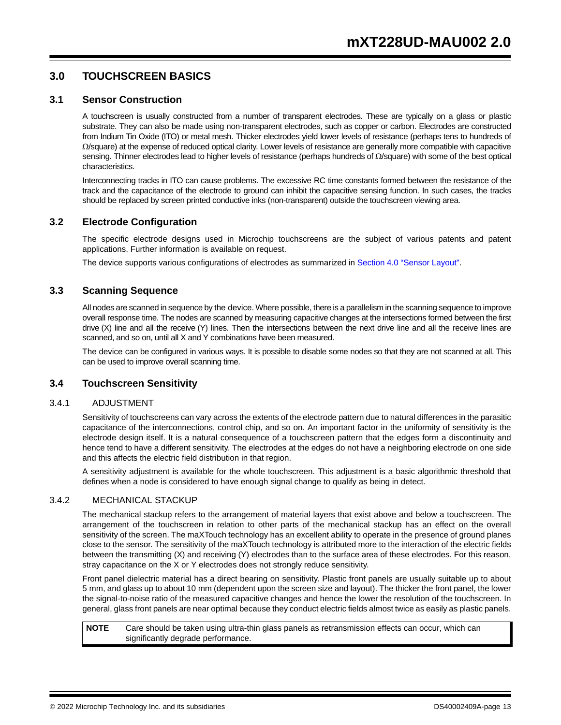# **3.0 TOUCHSCREEN BASICS**

#### **3.1 Sensor Construction**

A touchscreen is usually constructed from a number of transparent electrodes. These are typically on a glass or plastic substrate. They can also be made using non-transparent electrodes, such as copper or carbon. Electrodes are constructed from Indium Tin Oxide (ITO) or metal mesh. Thicker electrodes yield lower levels of resistance (perhaps tens to hundreds of  $\Omega$ /square) at the expense of reduced optical clarity. Lower levels of resistance are generally more compatible with capacitive sensing. Thinner electrodes lead to higher levels of resistance (perhaps hundreds of  $\Omega$ /square) with some of the best optical characteristics.

Interconnecting tracks in ITO can cause problems. The excessive RC time constants formed between the resistance of the track and the capacitance of the electrode to ground can inhibit the capacitive sensing function. In such cases, the tracks should be replaced by screen printed conductive inks (non-transparent) outside the touchscreen viewing area.

# **3.2 Electrode Configuration**

The specific electrode designs used in Microchip touchscreens are the subject of various patents and patent applications. Further information is available on request.

The device supports various configurations of electrodes as summarized in Section 4.0 "Sensor Layout".

# **3.3 Scanning Sequence**

All nodes are scanned in sequence by the device. Where possible, there is a parallelism in the scanning sequence to improve overall response time. The nodes are scanned by measuring capacitive changes at the intersections formed between the first drive (X) line and all the receive (Y) lines. Then the intersections between the next drive line and all the receive lines are scanned, and so on, until all X and Y combinations have been measured.

The device can be configured in various ways. It is possible to disable some nodes so that they are not scanned at all. This can be used to improve overall scanning time.

# **3.4 Touchscreen Sensitivity**

#### 3.4.1 ADJUSTMENT

Sensitivity of touchscreens can vary across the extents of the electrode pattern due to natural differences in the parasitic capacitance of the interconnections, control chip, and so on. An important factor in the uniformity of sensitivity is the electrode design itself. It is a natural consequence of a touchscreen pattern that the edges form a discontinuity and hence tend to have a different sensitivity. The electrodes at the edges do not have a neighboring electrode on one side and this affects the electric field distribution in that region.

A sensitivity adjustment is available for the whole touchscreen. This adjustment is a basic algorithmic threshold that defines when a node is considered to have enough signal change to qualify as being in detect.

#### 3.4.2 MECHANICAL STACKUP

The mechanical stackup refers to the arrangement of material layers that exist above and below a touchscreen. The arrangement of the touchscreen in relation to other parts of the mechanical stackup has an effect on the overall sensitivity of the screen. The maXTouch technology has an excellent ability to operate in the presence of ground planes close to the sensor. The sensitivity of the maXTouch technology is attributed more to the interaction of the electric fields between the transmitting (X) and receiving (Y) electrodes than to the surface area of these electrodes. For this reason, stray capacitance on the X or Y electrodes does not strongly reduce sensitivity.

Front panel dielectric material has a direct bearing on sensitivity. Plastic front panels are usually suitable up to about 5 mm, and glass up to about 10 mm (dependent upon the screen size and layout). The thicker the front panel, the lower the signal-to-noise ratio of the measured capacitive changes and hence the lower the resolution of the touchscreen. In general, glass front panels are near optimal because they conduct electric fields almost twice as easily as plastic panels.

**NOTE** Care should be taken using ultra-thin glass panels as retransmission effects can occur, which can significantly degrade performance.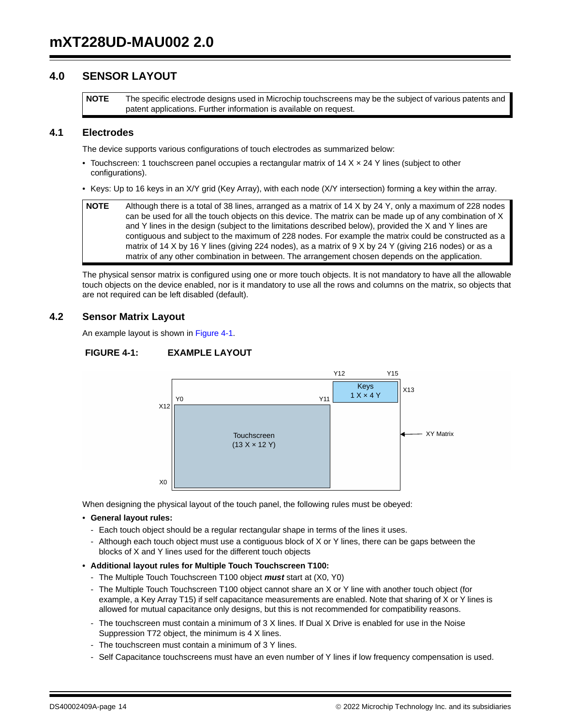# **4.0 SENSOR LAYOUT**

**NOTE** The specific electrode designs used in Microchip touchscreens may be the subject of various patents and patent applications. Further information is available on request.

# **4.1 Electrodes**

The device supports various configurations of touch electrodes as summarized below:

- Touchscreen: 1 touchscreen panel occupies a rectangular matrix of  $14 \times \times 24$  Y lines (subject to other configurations).
- Keys: Up to 16 keys in an X/Y grid (Key Array), with each node (X/Y intersection) forming a key within the array.

```
NOTE Although there is a total of 38 lines, arranged as a matrix of 14 X by 24 Y, only a maximum of 228 nodes 
can be used for all the touch objects on this device. The matrix can be made up of any combination of X 
and Y lines in the design (subject to the limitations described below), provided the X and Y lines are 
contiguous and subject to the maximum of 228 nodes. For example the matrix could be constructed as a 
matrix of 14 X by 16 Y lines (giving 224 nodes), as a matrix of 9 X by 24 Y (giving 216 nodes) or as a 
matrix of any other combination in between. The arrangement chosen depends on the application.
```
The physical sensor matrix is configured using one or more touch objects. It is not mandatory to have all the allowable touch objects on the device enabled, nor is it mandatory to use all the rows and columns on the matrix, so objects that are not required can be left disabled (default).

# **4.2 Sensor Matrix Layout**

An example layout is shown in Figure 4-1.

#### **FIGURE 4-1: EXAMPLE LAYOUT**



When designing the physical layout of the touch panel, the following rules must be obeyed:

- **General layout rules:**
	- Each touch object should be a regular rectangular shape in terms of the lines it uses.
	- Although each touch object must use a contiguous block of X or Y lines, there can be gaps between the blocks of X and Y lines used for the different touch objects
- **Additional layout rules for Multiple Touch Touchscreen T100:** 
	- The Multiple Touch Touchscreen T100 object *must* start at (X0, Y0)
	- The Multiple Touch Touchscreen T100 object cannot share an X or Y line with another touch object (for example, a Key Array T15) if self capacitance measurements are enabled. Note that sharing of X or Y lines is
	- The touchscreen must contain a minimum of 3 X lines. If Dual X Drive is enabled for use in the Noise Suppression T72 object, the minimum is 4 X lines.
	- The touchscreen must contain a minimum of 3 Y lines.
	- Self Capacitance touchscreens must have an even number of Y lines if low frequency compensation is used.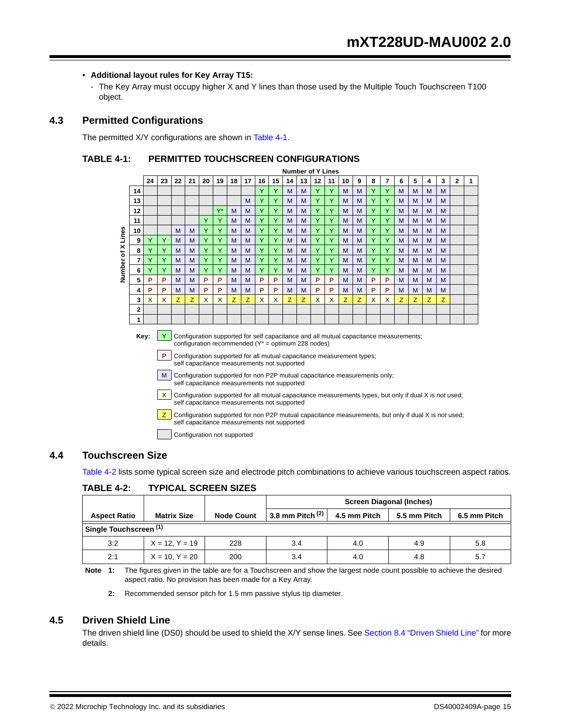#### • **Additional layout rules for Key Array T15:**

The Key Array must occupy higher X and Y lines than those used by the Multiple Touch Touchscreen T100 object.

# **4.3 Permitted Configurations**

The permitted X/Y configurations are shown in Table 4-1.

#### **TABLE 4-1: PERMITTED TOUCHSCREEN CONFIGURATIONS**

|        |                                                                                                                                                                                                                                                                                      |    |    |    |    |    |       |    |    |    |    | NUMBER OF T LINES |    |    |    |    |   |   |   |   |   |   |   |              |  |
|--------|--------------------------------------------------------------------------------------------------------------------------------------------------------------------------------------------------------------------------------------------------------------------------------------|----|----|----|----|----|-------|----|----|----|----|-------------------|----|----|----|----|---|---|---|---|---|---|---|--------------|--|
|        |                                                                                                                                                                                                                                                                                      | 24 | 23 | 22 | 21 | 20 | 19    | 18 | 17 | 16 | 15 | 14                | 13 | 12 | 11 | 10 | 9 | 8 | 7 | 6 | 5 | 4 | 3 | $\mathbf{2}$ |  |
|        | 14                                                                                                                                                                                                                                                                                   |    |    |    |    |    |       |    |    |    | Y  | M                 | M  | Y  | Y  | M  | M | Y | Y | M | M | M | M |              |  |
|        | 13                                                                                                                                                                                                                                                                                   |    |    |    |    |    |       |    | M  |    | Y  | M                 | M  | Y  | Y  | M  | M | Y |   | M | M | M | M |              |  |
|        | 12                                                                                                                                                                                                                                                                                   |    |    |    |    |    | $Y^*$ | M  | M  | Υ  | Y  | M                 | M  | Y  | Y  | M  | M | Y | Y | M | M | M | M |              |  |
|        | 11                                                                                                                                                                                                                                                                                   |    |    |    |    | Υ  | Y     | M  | M  | Y  | Y  | M                 | M  | Y  | Y  | M  | M | Y | Y | M | M | M | M |              |  |
| Lines  | 10                                                                                                                                                                                                                                                                                   |    |    | M  | M  | Y  | Y     | M  | M  | Υ  | Y  | M                 | M  | Y  | Y  | M  | M | Y | Υ | M | M | M | M |              |  |
|        | 9                                                                                                                                                                                                                                                                                    | Y  | Y  | M  | M  | Y  | Y     | M  | M  | Y  | Y  | M                 | M  | Y  | Y  | M  | M | Y | Y | M | M | M | M |              |  |
| ×<br>৳ | 8                                                                                                                                                                                                                                                                                    |    | Υ  | M  | M  | Y  | Y     | M  | M  | Υ  | Y  | M                 | M  | Y  | Y  | M  | M | Y | Y | M | M | M | M |              |  |
|        | 7                                                                                                                                                                                                                                                                                    | Y  | Υ  | M  | M  | Y  | Y     | M  | M  | Υ  | Y  | M                 | M  | Y  | Y  | M  | M | Y | Y | M | M | M | M |              |  |
| Number | 6                                                                                                                                                                                                                                                                                    | Y  | Υ  | M  | M  | Y  | Y     | M  | M  | Υ  | Y  | M                 | M  | Y  | Y  | M  | M | Y | Y | M | M | M | M |              |  |
|        | 5                                                                                                                                                                                                                                                                                    | P  | P  | M  | M  | P  | P     | M  | M  | P  | P  | M                 | M  | P  | P  | M  | M | P | P | M | M | M | M |              |  |
|        | 4                                                                                                                                                                                                                                                                                    | P  | P  | M  | M  | P  | P     | M  | M  | P  | P  | M                 | M  | P  | P  | M  | M | P | P | M | M | M | M |              |  |
|        | 3                                                                                                                                                                                                                                                                                    | X  | X  | Z  | Z  | X  | X     | Z. | Z  | X  | X  | Z                 | Z  | X  | X  | Z  | Z | X | X | Z | Z | Z | z |              |  |
|        | $\overline{2}$                                                                                                                                                                                                                                                                       |    |    |    |    |    |       |    |    |    |    |                   |    |    |    |    |   |   |   |   |   |   |   |              |  |
|        | 1                                                                                                                                                                                                                                                                                    |    |    |    |    |    |       |    |    |    |    |                   |    |    |    |    |   |   |   |   |   |   |   |              |  |
|        | Key:<br>Configuration supported for self capacitance and all mutual capacitance measurements;<br>configuration recommended ( $Y^*$ = optimum 228 nodes)<br>P<br>Configuration supported for all mutual capacitance measurement types;<br>self capacitance measurements not supported |    |    |    |    |    |       |    |    |    |    |                   |    |    |    |    |   |   |   |   |   |   |   |              |  |

**Number of Y Lines**

M Configuration supported for non P2P mutual capacitance measurements only; self capacitance measurements not supported

X Configuration supported for all mutual capacitance measurements types, but only if dual X is *not* used; self capacitance measurements not supported

**Z** Configuration supported for non P2P mutual capacitance measurements, but only if dual X is *not* used; self capacitance measurements not supported

Configuration not supported

# **4.4 Touchscreen Size**

Table 4-2 lists some typical screen size and electrode pitch combinations to achieve various touchscreen aspect ratios.

|                        |                     |                   | <b>Screen Diagonal (Inches)</b> |              |              |              |  |  |  |
|------------------------|---------------------|-------------------|---------------------------------|--------------|--------------|--------------|--|--|--|
| <b>Aspect Ratio</b>    | <b>Matrix Size</b>  | <b>Node Count</b> | 3.8 mm Pitch $(2)$              | 4.5 mm Pitch | 5.5 mm Pitch | 6.5 mm Pitch |  |  |  |
| Single Touchscreen (1) |                     |                   |                                 |              |              |              |  |  |  |
| 3:2                    | $X = 12. Y = 19$    | 228               | 3.4                             | 4.0          | 4.9          | 5.8          |  |  |  |
| 2:1                    | $X = 10$ , $Y = 20$ | 200               | 3.4                             | 4.0          | 4.8          | 5.7          |  |  |  |

#### **TABLE 4-2: TYPICAL SCREEN SIZES**

**Note 1:** The figures given in the table are for a Touchscreen and show the largest node count possible to achieve the desired aspect ratio. No provision has been made for a Key Array.

**2:** Recommended sensor pitch for 1.5 mm passive stylus tip diameter.

# **4.5 Driven Shield Line**

The driven shield line (DS0) should be used to shield the X/Y sense lines. See Section 8.4 "Driven Shield Line" for more details.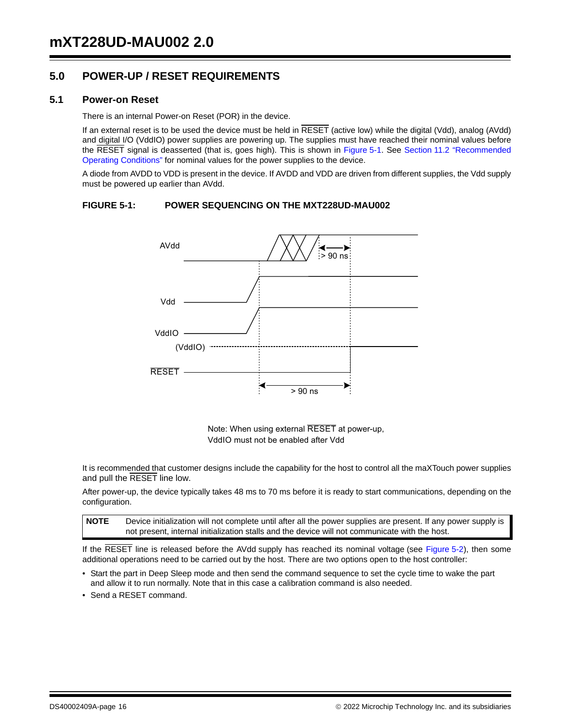# **5.0 POWER-UP / RESET REQUIREMENTS**

#### **5.1 Power-on Reset**

There is an internal Power-on Reset (POR) in the device.

If an external reset is to be used the device must be held in RESET (active low) while the digital (Vdd), analog (AVdd) and digital I/O (VddIO) power supplies are powering up. The supplies must have reached their nominal values before the RESET signal is deasserted (that is, goes high). This is shown in Figure 5-1. See Section 11.2 "Recommended Operating Conditions" for nominal values for the power supplies to the device.

A diode from AVDD to VDD is present in the device. If AVDD and VDD are driven from different supplies, the Vdd supply must be powered up earlier than AVdd.

#### **FIGURE 5-1: POWER SEQUENCING ON THE MXT228UD-MAU002**



Note: When using external RESET at power-up, VddIO must not be enabled after Vdd

It is recommended that customer designs include the capability for the host to control all the maXTouch power supplies and pull the RESET line low.

After power-up, the device typically takes 48 ms to 70 ms before it is ready to start communications, depending on the configuration.

**NOTE** Device initialization will not complete until after all the power supplies are present. If any power supply is not present, internal initialization stalls and the device will not communicate with the host.

If the RESET line is released before the AVdd supply has reached its nominal voltage (see Figure 5-2), then some additional operations need to be carried out by the host. There are two options open to the host controller:

- Start the part in Deep Sleep mode and then send the command sequence to set the cycle time to wake the part and allow it to run normally. Note that in this case a calibration command is also needed.
- Send a RESET command.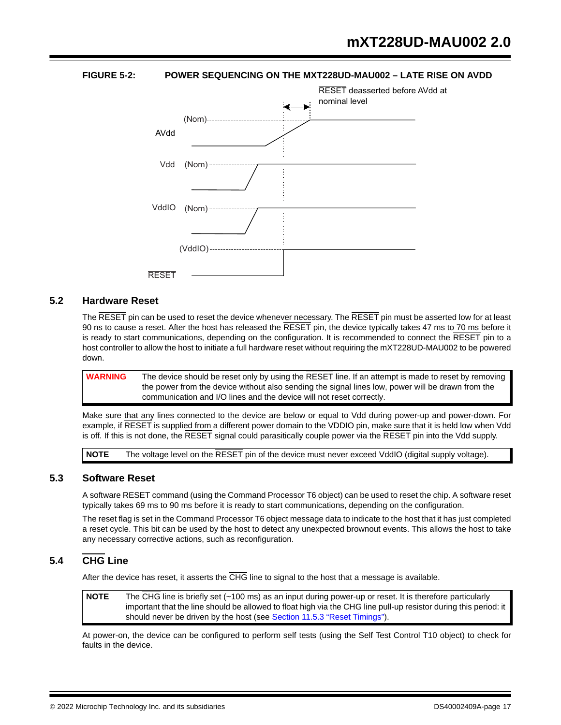

# **FIGURE 5-2: POWER SEQUENCING ON THE MXT228UD-MAU002 – LATE RISE ON AVDD**

#### **5.2 Hardware Reset**

The RESET pin can be used to reset the device whenever necessary. The RESET pin must be asserted low for at least 90 ns to cause a reset. After the host has released the  $\overline{\text{RESET}}$  pin, the device typically takes 47 ms to 70 ms before it is ready to start communications, depending on the configuration. It is recommended to connect the RESET pin to a host controller to allow the host to initiate a full hardware reset without requiring the mXT228UD-MAU002 to be powered down.

**WARNING** The device should be reset only by using the RESET line. If an attempt is made to reset by removing the power from the device without also sending the signal lines low, power will be drawn from the communication and I/O lines and the device will not reset correctly.

Make sure that any lines connected to the device are below or equal to Vdd during power-up and power-down. For example, if RESET is supplied from a different power domain to the VDDIO pin, make sure that it is held low when Vdd is off. If this is not done, the  $\overline{\text{RESET}}$  signal could parasitically couple power via the  $\overline{\text{RESET}}$  pin into the Vdd supply.

**NOTE** The voltage level on the RESET pin of the device must never exceed VddIO (digital supply voltage).

# **5.3 Software Reset**

A software RESET command (using the Command Processor T6 object) can be used to reset the chip. A software reset typically takes 69 ms to 90 ms before it is ready to start communications, depending on the configuration.

The reset flag is set in the Command Processor T6 object message data to indicate to the host that it has just completed a reset cycle. This bit can be used by the host to detect any unexpected brownout events. This allows the host to take any necessary corrective actions, such as reconfiguration.

# **5.4 CHG Line**

After the device has reset, it asserts the CHG line to signal to the host that a message is available.

**NOTE** The CHG line is briefly set (~100 ms) as an input during power-up or reset. It is therefore particularly important that the line should be allowed to float high via the CHG line pull-up resistor during this period: it should never be driven by the host (see Section 11.5.3 "Reset Timings").

At power-on, the device can be configured to perform self tests (using the Self Test Control T10 object) to check for faults in the device.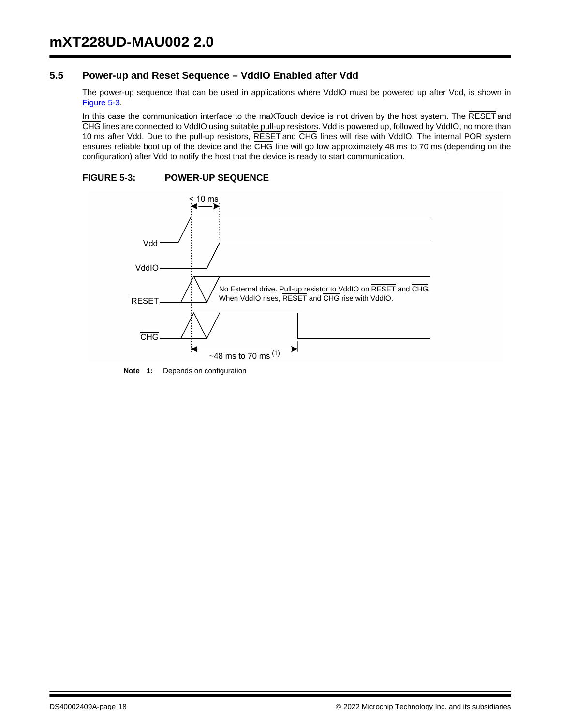# **5.5 Power-up and Reset Sequence – VddIO Enabled after Vdd**

The power-up sequence that can be used in applications where VddIO must be powered up after Vdd, is shown in Figure 5-3.

In this case the communication interface to the maXTouch device is not driven by the host system. The RESET and CHG lines are connected to VddIO using suitable pull-up resistors. Vdd is powered up, followed by VddIO, no more than 10 ms after Vdd. Due to the pull-up resistors, RESET and CHG lines will rise with VddIO. The internal POR system ensures reliable boot up of the device and the CHG line will go low approximately 48 ms to 70 ms (depending on the configuration) after Vdd to notify the host that the device is ready to start communication.

# **FIGURE 5-3: POWER-UP SEQUENCE**



**Note 1:** Depends on configuration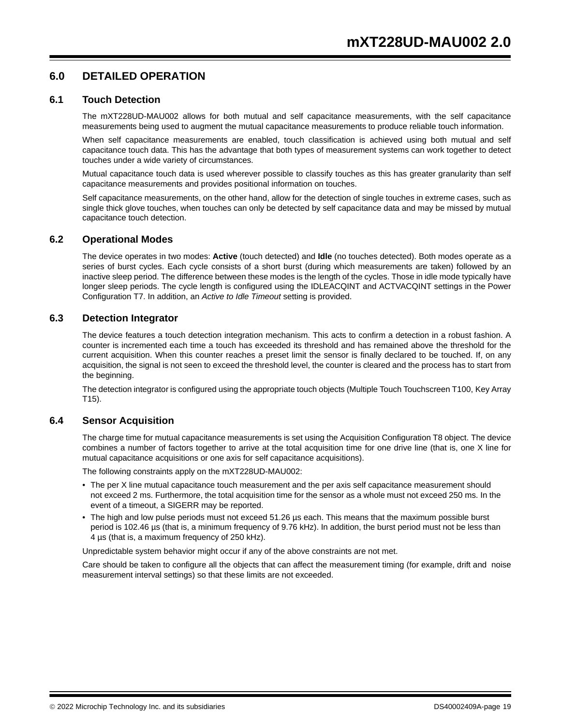# **6.0 DETAILED OPERATION**

#### **6.1 Touch Detection**

The mXT228UD-MAU002 allows for both mutual and self capacitance measurements, with the self capacitance measurements being used to augment the mutual capacitance measurements to produce reliable touch information.

When self capacitance measurements are enabled, touch classification is achieved using both mutual and self capacitance touch data. This has the advantage that both types of measurement systems can work together to detect touches under a wide variety of circumstances.

Mutual capacitance touch data is used wherever possible to classify touches as this has greater granularity than self capacitance measurements and provides positional information on touches.

Self capacitance measurements, on the other hand, allow for the detection of single touches in extreme cases, such as single thick glove touches, when touches can only be detected by self capacitance data and may be missed by mutual capacitance touch detection.

#### **6.2 Operational Modes**

The device operates in two modes: **Active** (touch detected) and **Idle** (no touches detected). Both modes operate as a series of burst cycles. Each cycle consists of a short burst (during which measurements are taken) followed by an inactive sleep period. The difference between these modes is the length of the cycles. Those in idle mode typically have longer sleep periods. The cycle length is configured using the IDLEACQINT and ACTVACQINT settings in the Power Configuration T7. In addition, an *Active to Idle Timeout* setting is provided.

#### **6.3 Detection Integrator**

The device features a touch detection integration mechanism. This acts to confirm a detection in a robust fashion. A counter is incremented each time a touch has exceeded its threshold and has remained above the threshold for the current acquisition. When this counter reaches a preset limit the sensor is finally declared to be touched. If, on any acquisition, the signal is not seen to exceed the threshold level, the counter is cleared and the process has to start from the beginning.

The detection integrator is configured using the appropriate touch objects (Multiple Touch Touchscreen T100, Key Array T15).

#### **6.4 Sensor Acquisition**

The charge time for mutual capacitance measurements is set using the Acquisition Configuration T8 object. The device combines a number of factors together to arrive at the total acquisition time for one drive line (that is, one X line for mutual capacitance acquisitions or one axis for self capacitance acquisitions).

The following constraints apply on the mXT228UD-MAU002:

- The per X line mutual capacitance touch measurement and the per axis self capacitance measurement should not exceed 2 ms. Furthermore, the total acquisition time for the sensor as a whole must not exceed 250 ms. In the event of a timeout, a SIGERR may be reported.
- The high and low pulse periods must not exceed 51.26 µs each. This means that the maximum possible burst period is 102.46 µs (that is, a minimum frequency of 9.76 kHz). In addition, the burst period must not be less than 4 µs (that is, a maximum frequency of 250 kHz).

Unpredictable system behavior might occur if any of the above constraints are not met.

Care should be taken to configure all the objects that can affect the measurement timing (for example, drift and noise measurement interval settings) so that these limits are not exceeded.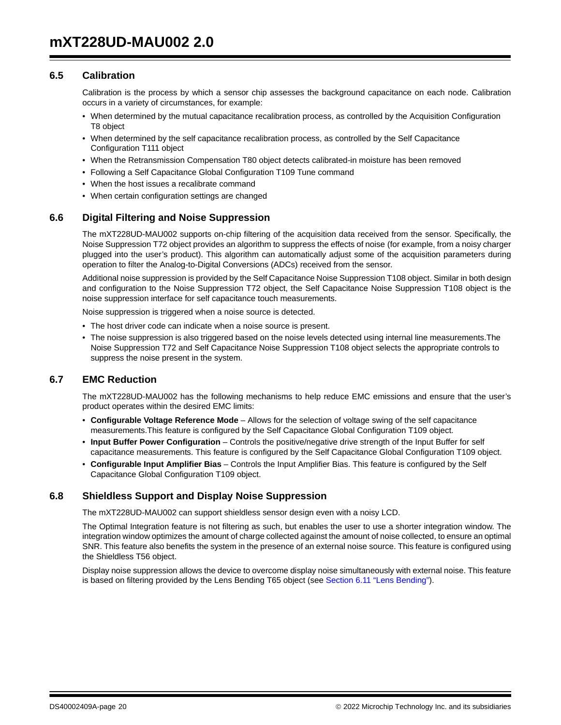# **6.5 Calibration**

Calibration is the process by which a sensor chip assesses the background capacitance on each node. Calibration occurs in a variety of circumstances, for example:

- When determined by the mutual capacitance recalibration process, as controlled by the Acquisition Configuration T8 object
- When determined by the self capacitance recalibration process, as controlled by the Self Capacitance Configuration T111 object
- When the Retransmission Compensation T80 object detects calibrated-in moisture has been removed
- Following a Self Capacitance Global Configuration T109 Tune command
- When the host issues a recalibrate command
- When certain configuration settings are changed

# **6.6 Digital Filtering and Noise Suppression**

The mXT228UD-MAU002 supports on-chip filtering of the acquisition data received from the sensor. Specifically, the Noise Suppression T72 object provides an algorithm to suppress the effects of noise (for example, from a noisy charger plugged into the user's product). This algorithm can automatically adjust some of the acquisition parameters during operation to filter the Analog-to-Digital Conversions (ADCs) received from the sensor.

Additional noise suppression is provided by the Self Capacitance Noise Suppression T108 object. Similar in both design and configuration to the Noise Suppression T72 object, the Self Capacitance Noise Suppression T108 object is the noise suppression interface for self capacitance touch measurements.

Noise suppression is triggered when a noise source is detected.

- The host driver code can indicate when a noise source is present.
- The noise suppression is also triggered based on the noise levels detected using internal line measurements.The Noise Suppression T72 and Self Capacitance Noise Suppression T108 object selects the appropriate controls to suppress the noise present in the system.

# **6.7 EMC Reduction**

The mXT228UD-MAU002 has the following mechanisms to help reduce EMC emissions and ensure that the user's product operates within the desired EMC limits:

- **Configurable Voltage Reference Mode** Allows for the selection of voltage swing of the self capacitance measurements.This feature is configured by the Self Capacitance Global Configuration T109 object.
- **Input Buffer Power Configuration**  Controls the positive/negative drive strength of the Input Buffer for self capacitance measurements. This feature is configured by the Self Capacitance Global Configuration T109 object.
- **Configurable Input Amplifier Bias**  Controls the Input Amplifier Bias. This feature is configured by the Self Capacitance Global Configuration T109 object.

#### **6.8 Shieldless Support and Display Noise Suppression**

The mXT228UD-MAU002 can support shieldless sensor design even with a noisy LCD.

The Optimal Integration feature is not filtering as such, but enables the user to use a shorter integration window. The integration window optimizes the amount of charge collected against the amount of noise collected, to ensure an optimal SNR. This feature also benefits the system in the presence of an external noise source. This feature is configured using the Shieldless T56 object.

Display noise suppression allows the device to overcome display noise simultaneously with external noise. This feature is based on filtering provided by the Lens Bending T65 object (see Section 6.11 "Lens Bending").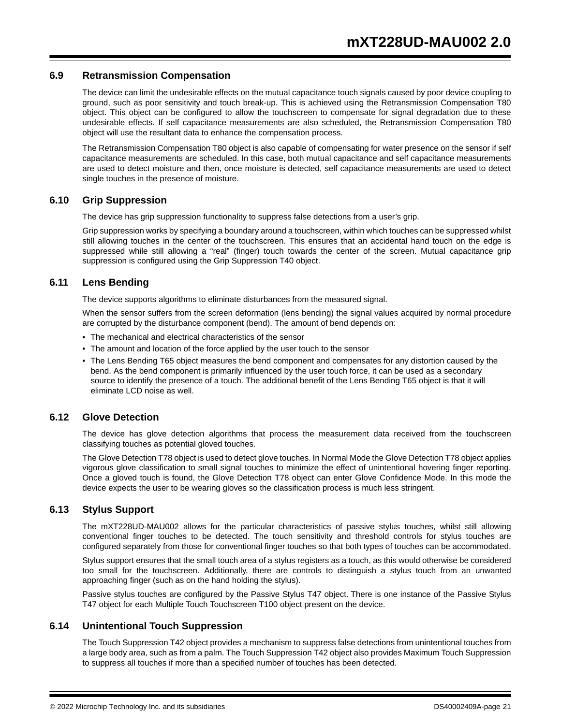## **6.9 Retransmission Compensation**

The device can limit the undesirable effects on the mutual capacitance touch signals caused by poor device coupling to ground, such as poor sensitivity and touch break-up. This is achieved using the Retransmission Compensation T80 object. This object can be configured to allow the touchscreen to compensate for signal degradation due to these undesirable effects. If self capacitance measurements are also scheduled, the Retransmission Compensation T80 object will use the resultant data to enhance the compensation process.

The Retransmission Compensation T80 object is also capable of compensating for water presence on the sensor if self capacitance measurements are scheduled. In this case, both mutual capacitance and self capacitance measurements are used to detect moisture and then, once moisture is detected, self capacitance measurements are used to detect single touches in the presence of moisture.

#### **6.10 Grip Suppression**

The device has grip suppression functionality to suppress false detections from a user's grip.

Grip suppression works by specifying a boundary around a touchscreen, within which touches can be suppressed whilst still allowing touches in the center of the touchscreen. This ensures that an accidental hand touch on the edge is suppressed while still allowing a "real" (finger) touch towards the center of the screen. Mutual capacitance grip suppression is configured using the Grip Suppression T40 object.

# **6.11 Lens Bending**

The device supports algorithms to eliminate disturbances from the measured signal.

When the sensor suffers from the screen deformation (lens bending) the signal values acquired by normal procedure are corrupted by the disturbance component (bend). The amount of bend depends on:

- The mechanical and electrical characteristics of the sensor
- The amount and location of the force applied by the user touch to the sensor
- The Lens Bending T65 object measures the bend component and compensates for any distortion caused by the bend. As the bend component is primarily influenced by the user touch force, it can be used as a secondary source to identify the presence of a touch. The additional benefit of the Lens Bending T65 object is that it will eliminate LCD noise as well.

# **6.12 Glove Detection**

The device has glove detection algorithms that process the measurement data received from the touchscreen classifying touches as potential gloved touches.

The Glove Detection T78 object is used to detect glove touches. In Normal Mode the Glove Detection T78 object applies vigorous glove classification to small signal touches to minimize the effect of unintentional hovering finger reporting. Once a gloved touch is found, the Glove Detection T78 object can enter Glove Confidence Mode. In this mode the device expects the user to be wearing gloves so the classification process is much less stringent.

#### **6.13 Stylus Support**

The mXT228UD-MAU002 allows for the particular characteristics of passive stylus touches, whilst still allowing conventional finger touches to be detected. The touch sensitivity and threshold controls for stylus touches are configured separately from those for conventional finger touches so that both types of touches can be accommodated.

Stylus support ensures that the small touch area of a stylus registers as a touch, as this would otherwise be considered too small for the touchscreen. Additionally, there are controls to distinguish a stylus touch from an unwanted approaching finger (such as on the hand holding the stylus).

Passive stylus touches are configured by the Passive Stylus T47 object. There is one instance of the Passive Stylus T47 object for each Multiple Touch Touchscreen T100 object present on the device.

# **6.14 Unintentional Touch Suppression**

The Touch Suppression T42 object provides a mechanism to suppress false detections from unintentional touches from a large body area, such as from a palm. The Touch Suppression T42 object also provides Maximum Touch Suppression to suppress all touches if more than a specified number of touches has been detected.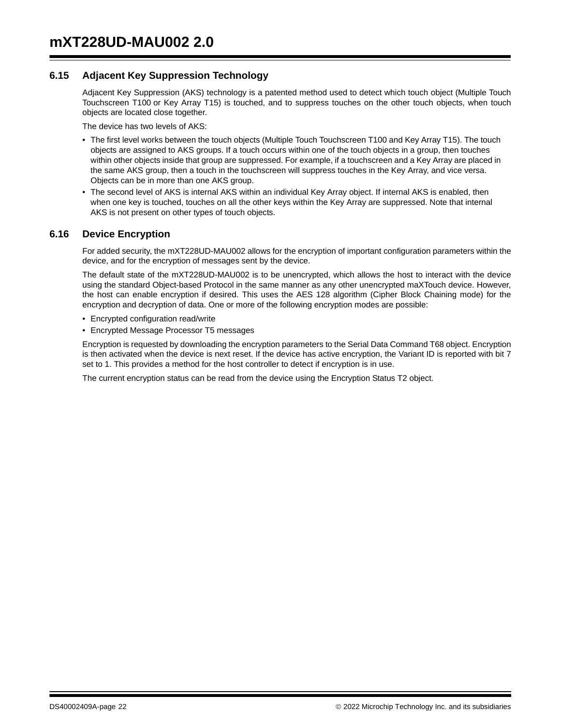# **6.15 Adjacent Key Suppression Technology**

Adjacent Key Suppression (AKS) technology is a patented method used to detect which touch object (Multiple Touch Touchscreen T100 or Key Array T15) is touched, and to suppress touches on the other touch objects, when touch objects are located close together.

The device has two levels of AKS:

- The first level works between the touch objects (Multiple Touch Touchscreen T100 and Key Array T15). The touch objects are assigned to AKS groups. If a touch occurs within one of the touch objects in a group, then touches within other objects inside that group are suppressed. For example, if a touchscreen and a Key Array are placed in the same AKS group, then a touch in the touchscreen will suppress touches in the Key Array, and vice versa. Objects can be in more than one AKS group.
- The second level of AKS is internal AKS within an individual Key Array object. If internal AKS is enabled, then when one key is touched, touches on all the other keys within the Key Array are suppressed. Note that internal AKS is not present on other types of touch objects.

# **6.16 Device Encryption**

For added security, the mXT228UD-MAU002 allows for the encryption of important configuration parameters within the device, and for the encryption of messages sent by the device.

The default state of the mXT228UD-MAU002 is to be unencrypted, which allows the host to interact with the device using the standard Object-based Protocol in the same manner as any other unencrypted maXTouch device. However, the host can enable encryption if desired. This uses the AES 128 algorithm (Cipher Block Chaining mode) for the encryption and decryption of data. One or more of the following encryption modes are possible:

- Encrypted configuration read/write
- Encrypted Message Processor T5 messages

Encryption is requested by downloading the encryption parameters to the Serial Data Command T68 object. Encryption is then activated when the device is next reset. If the device has active encryption, the Variant ID is reported with bit 7 set to 1. This provides a method for the host controller to detect if encryption is in use.

The current encryption status can be read from the device using the Encryption Status T2 object.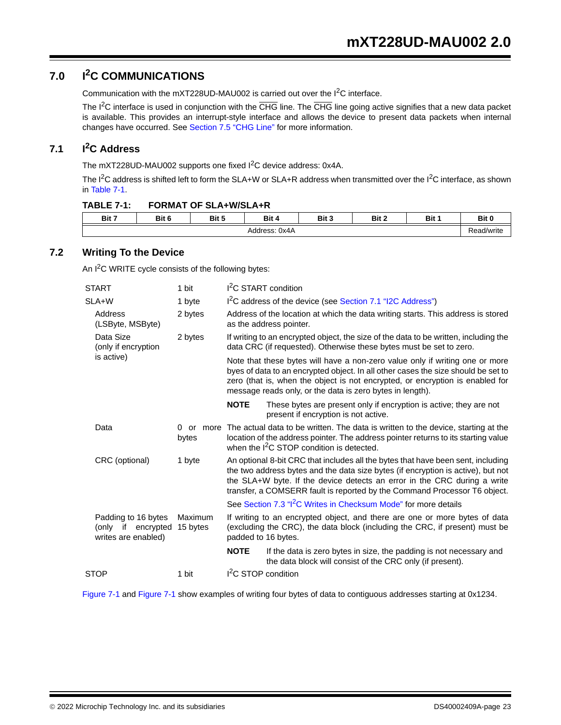# **7.0 I2C COMMUNICATIONS**

Communication with the mXT228UD-MAU002 is carried out over the I2C interface.

The I<sup>2</sup>C interface is used in conjunction with the CHG line. The CHG line going active signifies that a new data packet is available. This provides an interrupt-style interface and allows the device to present data packets when internal changes have occurred. See Section 7.5 "CHG Line" for more information.

# **7.1 I2C Address**

The mXT228UD-MAU002 supports one fixed I<sup>2</sup>C device address: 0x4A.

The  $I^2C$  address is shifted left to form the SLA+W or SLA+R address when transmitted over the  $I^2C$  interface, as shown in Table 7-1.

| <b>FORMAT OF SLA+W/SLA+R</b><br><b>TABLE 7-1:</b> |
|---------------------------------------------------|
|---------------------------------------------------|

| Bit 7 | Bit 6 | Bit 5 | Bit 4         | Bit 3<br>- 1 | Bit 2 | <b>Bit</b> | Bit 0      |
|-------|-------|-------|---------------|--------------|-------|------------|------------|
|       |       |       | Address: 0x4A |              |       |            | {ead/write |

# **7.2 Writing To the Device**

An I<sup>2</sup>C WRITE cycle consists of the following bytes:

| <b>START</b>                                                                            |                                  | 1 bit                                                                                                                                                                            | I <sup>2</sup> C START condition                                           |                                                                                                                                                                                                                                                                                                                               |  |  |  |  |  |
|-----------------------------------------------------------------------------------------|----------------------------------|----------------------------------------------------------------------------------------------------------------------------------------------------------------------------------|----------------------------------------------------------------------------|-------------------------------------------------------------------------------------------------------------------------------------------------------------------------------------------------------------------------------------------------------------------------------------------------------------------------------|--|--|--|--|--|
|                                                                                         | SLA+W                            | 1 byte                                                                                                                                                                           |                                                                            | I <sup>2</sup> C address of the device (see Section 7.1 "I2C Address")                                                                                                                                                                                                                                                        |  |  |  |  |  |
|                                                                                         | Address<br>(LSByte, MSByte)      | 2 bytes                                                                                                                                                                          |                                                                            | Address of the location at which the data writing starts. This address is stored<br>as the address pointer.                                                                                                                                                                                                                   |  |  |  |  |  |
|                                                                                         | Data Size<br>(only if encryption | 2 bytes                                                                                                                                                                          |                                                                            | If writing to an encrypted object, the size of the data to be written, including the<br>data CRC (if requested). Otherwise these bytes must be set to zero.                                                                                                                                                                   |  |  |  |  |  |
|                                                                                         | is active)                       |                                                                                                                                                                                  |                                                                            | Note that these bytes will have a non-zero value only if writing one or more<br>byes of data to an encrypted object. In all other cases the size should be set to<br>zero (that is, when the object is not encrypted, or encryption is enabled for<br>message reads only, or the data is zero bytes in length).               |  |  |  |  |  |
|                                                                                         |                                  |                                                                                                                                                                                  | <b>NOTE</b>                                                                | These bytes are present only if encryption is active; they are not<br>present if encryption is not active.                                                                                                                                                                                                                    |  |  |  |  |  |
|                                                                                         | Data                             | $\Omega$<br>or<br>more<br>bytes                                                                                                                                                  |                                                                            | The actual data to be written. The data is written to the device, starting at the<br>location of the address pointer. The address pointer returns to its starting value<br>when the I <sup>2</sup> C STOP condition is detected.                                                                                              |  |  |  |  |  |
|                                                                                         | CRC (optional)                   | 1 byte                                                                                                                                                                           |                                                                            | An optional 8-bit CRC that includes all the bytes that have been sent, including<br>the two address bytes and the data size bytes (if encryption is active), but not<br>the SLA+W byte. If the device detects an error in the CRC during a write<br>transfer, a COMSERR fault is reported by the Command Processor T6 object. |  |  |  |  |  |
|                                                                                         |                                  |                                                                                                                                                                                  | See Section 7.3 " <sup>2</sup> C Writes in Checksum Mode" for more details |                                                                                                                                                                                                                                                                                                                               |  |  |  |  |  |
| Padding to 16 bytes<br>Maximum<br>(only if encrypted<br>15 bytes<br>writes are enabled) |                                  | If writing to an encrypted object, and there are one or more bytes of data<br>(excluding the CRC), the data block (including the CRC, if present) must be<br>padded to 16 bytes. |                                                                            |                                                                                                                                                                                                                                                                                                                               |  |  |  |  |  |
|                                                                                         |                                  |                                                                                                                                                                                  | <b>NOTE</b>                                                                | If the data is zero bytes in size, the padding is not necessary and<br>the data block will consist of the CRC only (if present).                                                                                                                                                                                              |  |  |  |  |  |
|                                                                                         | <b>STOP</b>                      | 1 bit                                                                                                                                                                            | I <sup>2</sup> C STOP condition                                            |                                                                                                                                                                                                                                                                                                                               |  |  |  |  |  |
|                                                                                         |                                  |                                                                                                                                                                                  |                                                                            |                                                                                                                                                                                                                                                                                                                               |  |  |  |  |  |

Figure 7-1 and Figure 7-1 show examples of writing four bytes of data to contiguous addresses starting at 0x1234.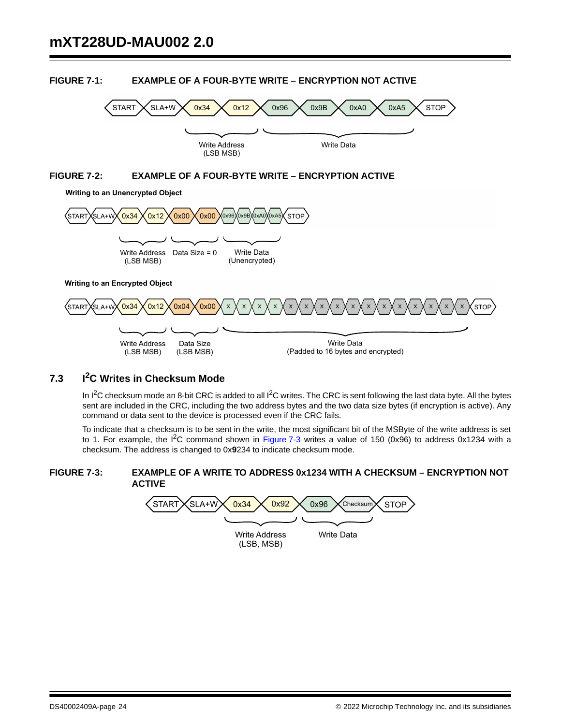

# **FIGURE 7-1: EXAMPLE OF A FOUR-BYTE WRITE – ENCRYPTION NOT ACTIVE**

# **7.3 I2C Writes in Checksum Mode**

In  $1^2C$  checksum mode an 8-bit CRC is added to all  $1^2C$  writes. The CRC is sent following the last data byte. All the bytes sent are included in the CRC, including the two address bytes and the two data size bytes (if encryption is active). Any command or data sent to the device is processed even if the CRC fails.

To indicate that a checksum is to be sent in the write, the most significant bit of the MSByte of the write address is set to 1. For example, the  $I^2C$  command shown in Figure 7-3 writes a value of 150 (0x96) to address 0x1234 with a checksum. The address is changed to 0x**9**234 to indicate checksum mode.

#### **FIGURE 7-3: EXAMPLE OF A WRITE TO ADDRESS 0x1234 WITH A CHECKSUM – ENCRYPTION NOT ACTIVE**

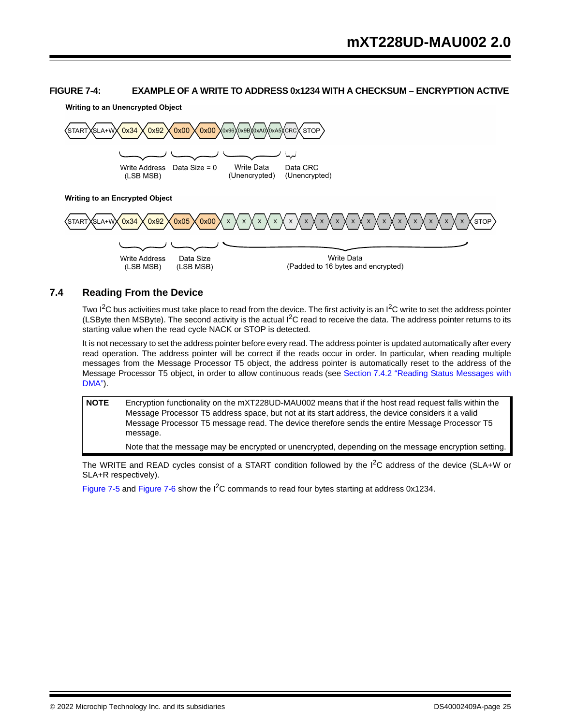# **FIGURE 7-4: EXAMPLE OF A WRITE TO ADDRESS 0x1234 WITH A CHECKSUM – ENCRYPTION ACTIVE**

**Writing to an Unencrypted Object**



# **7.4 Reading From the Device**

Two  $I^2C$  bus activities must take place to read from the device. The first activity is an  $I^2C$  write to set the address pointer (LSByte then MSByte). The second activity is the actual I<sup>2</sup>C read to receive the data. The address pointer returns to its starting value when the read cycle NACK or STOP is detected.

It is not necessary to set the address pointer before every read. The address pointer is updated automatically after every read operation. The address pointer will be correct if the reads occur in order. In particular, when reading multiple messages from the Message Processor T5 object, the address pointer is automatically reset to the address of the Message Processor T5 object, in order to allow continuous reads (see Section 7.4.2 "Reading Status Messages with DMA").

**NOTE** Encryption functionality on the mXT228UD-MAU002 means that if the host read request falls within the Message Processor T5 address space, but not at its start address, the device considers it a valid Message Processor T5 message read. The device therefore sends the entire Message Processor T5 message.

Note that the message may be encrypted or unencrypted, depending on the message encryption setting.

The WRITE and READ cycles consist of a START condition followed by the  $I^2C$  address of the device (SLA+W or SLA+R respectively).

Figure 7-5 and Figure 7-6 show the I<sup>2</sup>C commands to read four bytes starting at address 0x1234.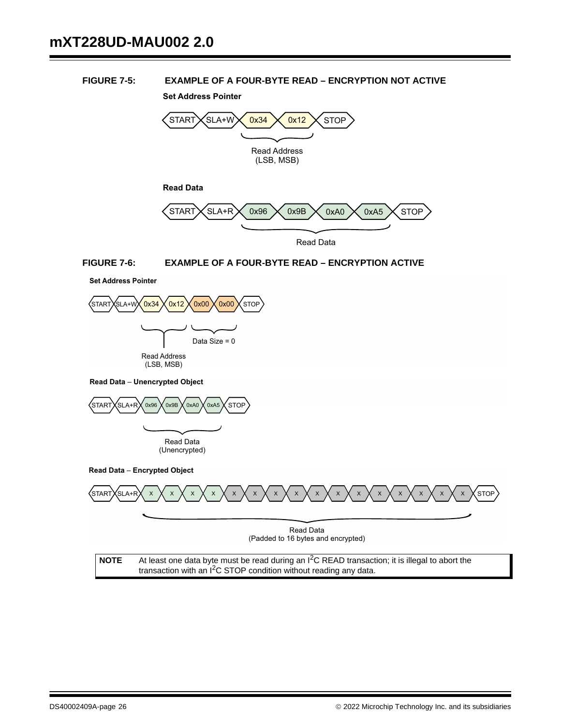# **FIGURE 7-5: EXAMPLE OF A FOUR-BYTE READ – ENCRYPTION NOT ACTIVE**

**Set Address Pointer**



Read Data

#### **FIGURE 7-6: EXAMPLE OF A FOUR-BYTE READ – ENCRYPTION ACTIVE**





**Read Data - Unencrypted Object** 



**Read Data - Encrypted Object** 

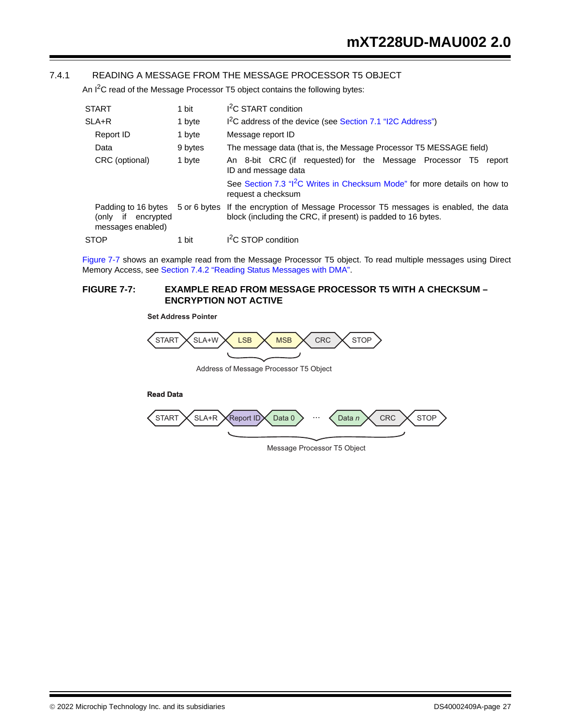# 7.4.1 READING A MESSAGE FROM THE MESSAGE PROCESSOR T5 OBJECT

An  $I^2C$  read of the Message Processor T5 object contains the following bytes:

| <b>START</b><br>1 bit                                                |              | I <sup>2</sup> C START condition                                                                                                        |  |  |  |  |  |
|----------------------------------------------------------------------|--------------|-----------------------------------------------------------------------------------------------------------------------------------------|--|--|--|--|--|
| $SLA+R$                                                              | 1 byte       | I <sup>2</sup> C address of the device (see Section 7.1 "I2C Address")                                                                  |  |  |  |  |  |
| Report ID                                                            | 1 byte       | Message report ID                                                                                                                       |  |  |  |  |  |
| Data                                                                 | 9 bytes      | The message data (that is, the Message Processor T5 MESSAGE field)                                                                      |  |  |  |  |  |
| CRC (optional)                                                       | 1 byte       | An 8-bit CRC (if requested) for the Message Processor T5<br>report<br>ID and message data                                               |  |  |  |  |  |
|                                                                      |              | See Section 7.3 "I <sup>2</sup> C Writes in Checksum Mode" for more details on how to<br>request a checksum                             |  |  |  |  |  |
| Padding to 16 bytes<br>encrypted<br>(onlv<br>if<br>messages enabled) | 5 or 6 bytes | If the encryption of Message Processor T5 messages is enabled, the data<br>block (including the CRC, if present) is padded to 16 bytes. |  |  |  |  |  |
| <b>STOP</b>                                                          | 1 bit        | I <sup>2</sup> C STOP condition                                                                                                         |  |  |  |  |  |

Figure 7-7 shows an example read from the Message Processor T5 object. To read multiple messages using Direct Memory Access, see Section 7.4.2 "Reading Status Messages with DMA".

# **FIGURE 7-7: EXAMPLE READ FROM MESSAGE PROCESSOR T5 WITH A CHECKSUM – ENCRYPTION NOT ACTIVE**

**Set Address Pointer**



Address of Message Processor T5 Object

**Read Data**



Message Processor T5 Object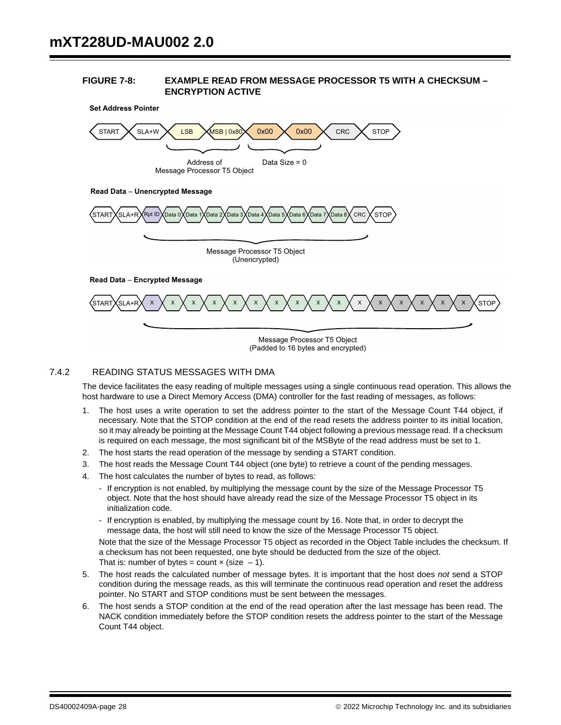#### **FIGURE 7-8: EXAMPLE READ FROM MESSAGE PROCESSOR T5 WITH A CHECKSUM – ENCRYPTION ACTIVE**



# 7.4.2 READING STATUS MESSAGES WITH DMA

The device facilitates the easy reading of multiple messages using a single continuous read operation. This allows the host hardware to use a Direct Memory Access (DMA) controller for the fast reading of messages, as follows:

- 1. The host uses a write operation to set the address pointer to the start of the Message Count T44 object, if necessary. Note that the STOP condition at the end of the read resets the address pointer to its initial location, so it may already be pointing at the Message Count T44 object following a previous message read. If a checksum is required on each message, the most significant bit of the MSByte of the read address must be set to 1.
- 2. The host starts the read operation of the message by sending a START condition.
- 3. The host reads the Message Count T44 object (one byte) to retrieve a count of the pending messages.
- 4. The host calculates the number of bytes to read, as follows:
	- If encryption is not enabled, by multiplying the message count by the size of the Message Processor T5 object. Note that the host should have already read the size of the Message Processor T5 object in its initialization code.
	- If encryption is enabled, by multiplying the message count by 16. Note that, in order to decrypt the message data, the host will still need to know the size of the Message Processor T5 object.

Note that the size of the Message Processor T5 object as recorded in the Object Table includes the checksum. If a checksum has not been requested, one byte should be deducted from the size of the object. That is: number of bytes = count  $\times$  (size -1).

- 5. The host reads the calculated number of message bytes. It is important that the host does *not* send a STOP condition during the message reads, as this will terminate the continuous read operation and reset the address pointer. No START and STOP conditions must be sent between the messages.
- 6. The host sends a STOP condition at the end of the read operation after the last message has been read. The NACK condition immediately before the STOP condition resets the address pointer to the start of the Message Count T44 object.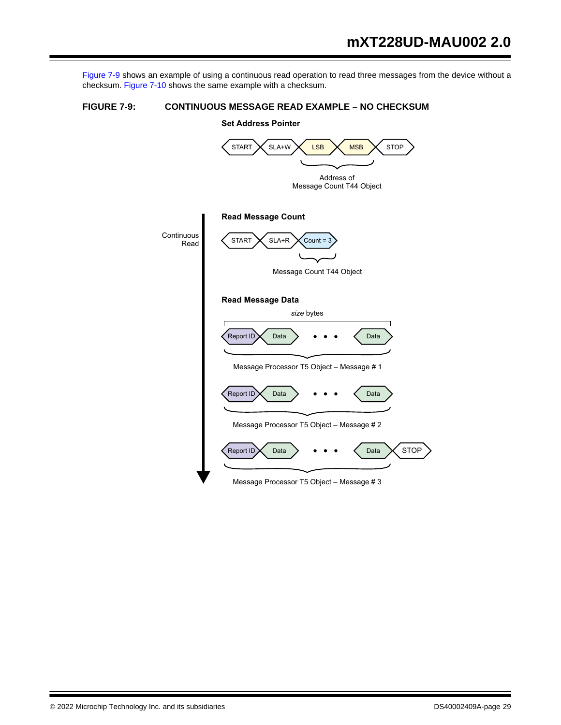Figure 7-9 shows an example of using a continuous read operation to read three messages from the device without a checksum. Figure 7-10 shows the same example with a checksum.

# **FIGURE 7-9: CONTINUOUS MESSAGE READ EXAMPLE – NO CHECKSUM**

# Report ID  $\leftarrow$  Data  $\rightarrow$   $\bullet$   $\bullet$   $\bullet$   $\leftarrow$  Data Report ID Data  $\longrightarrow$   $\bullet \bullet \bullet$  < Data Address of Message Count T44 Object **Set Address Pointer Read Message Count** START  $\times$  SLA+R  $\times$  Count = 3 Message Count T44 Object **Read Message Data** Message Processor T5 Object - Message # 1 *size* bytes Message Processor T5 Object - Message # 2 Message Processor T5 Object – Message  $# 3$ **STOP Continuous** Read START  $\times$  SLA+W  $\times$  LSB  $\times$  MSB  $\times$  STOP  $\begin{array}{ccc} \text{Report ID} \times \text{ Data} \end{array}$   $\begin{array}{ccc} \text{Data} \end{array}$ MSB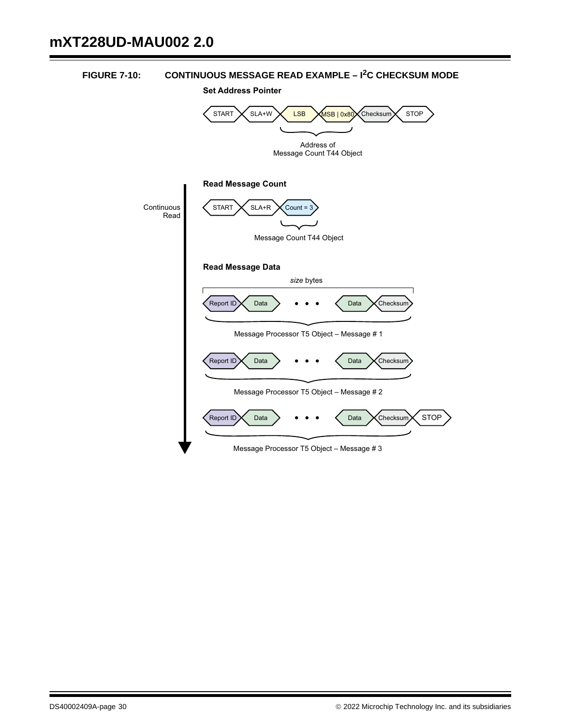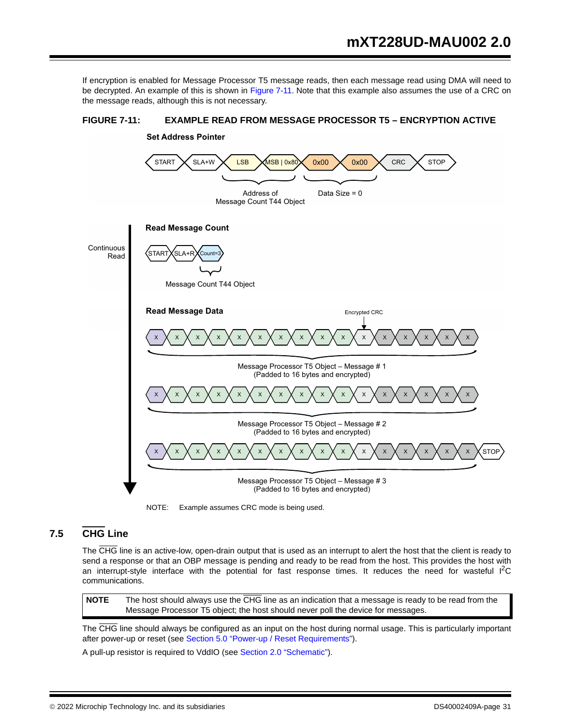If encryption is enabled for Message Processor T5 message reads, then each message read using DMA will need to be decrypted. An example of this is shown in Figure 7-11. Note that this example also assumes the use of a CRC on the message reads, although this is not necessary.



**FIGURE 7-11: EXAMPLE READ FROM MESSAGE PROCESSOR T5 – ENCRYPTION ACTIVE**

NOTE: Example assumes CRC mode is being used.

# **7.5 CHG Line**

The CHG line is an active-low, open-drain output that is used as an interrupt to alert the host that the client is ready to send a response or that an OBP message is pending and ready to be read from the host. This provides the host with an interrupt-style interface with the potential for fast response times. It reduces the need for wasteful  ${}^{12}C$ communications.

**NOTE** The host should always use the CHG line as an indication that a message is ready to be read from the Message Processor T5 object; the host should never poll the device for messages.

The CHG line should always be configured as an input on the host during normal usage. This is particularly important after power-up or reset (see Section 5.0 "Power-up / Reset Requirements").

A pull-up resistor is required to VddIO (see Section 2.0 "Schematic").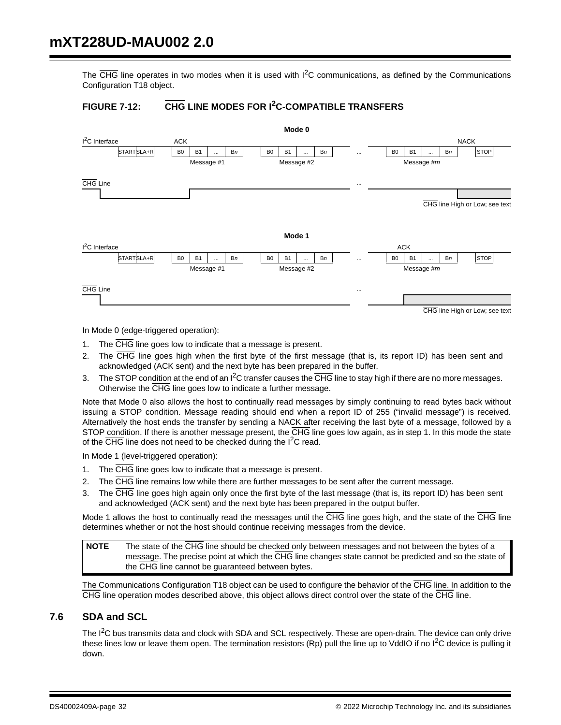The  $\overline{\text{CHG}}$  line operates in two modes when it is used with  $1^2$ C communications, as defined by the Communications Configuration T18 object.

# **FIGURE 7-12: CHG LINE MODES FOR I2C-COMPATIBLE TRANSFERS**



In Mode 0 (edge-triggered operation):

- 1. The CHG line goes low to indicate that a message is present.
- 2. The CHG line goes high when the first byte of the first message (that is, its report ID) has been sent and acknowledged (ACK sent) and the next byte has been prepared in the buffer.
- 3. The STOP condition at the end of an  $I^2C$  transfer causes the  $\overline{CHG}$  line to stay high if there are no more messages. Otherwise the CHG line goes low to indicate a further message.

Note that Mode 0 also allows the host to continually read messages by simply continuing to read bytes back without issuing a STOP condition. Message reading should end when a report ID of 255 ("invalid message") is received. Alternatively the host ends the transfer by sending a NACK after receiving the last byte of a message, followed by a STOP condition. If there is another message present, the CHG line goes low again, as in step 1. In this mode the state of the  $\overline{\text{CHG}}$  line does not need to be checked during the I<sup>2</sup>C read.

In Mode 1 (level-triggered operation):

- 1. The CHG line goes low to indicate that a message is present.
- 2. The CHG line remains low while there are further messages to be sent after the current message.
- 3. The CHG line goes high again only once the first byte of the last message (that is, its report ID) has been sent and acknowledged (ACK sent) and the next byte has been prepared in the output buffer.

Mode 1 allows the host to continually read the messages until the CHG line goes high, and the state of the CHG line determines whether or not the host should continue receiving messages from the device.

**NOTE** The state of the CHG line should be checked only between messages and not between the bytes of a message. The precise point at which the CHG line changes state cannot be predicted and so the state of the CHG line cannot be guaranteed between bytes.

The Communications Configuration T18 object can be used to configure the behavior of the CHG line. In addition to the CHG line operation modes described above, this object allows direct control over the state of the CHG line.

# **7.6 SDA and SCL**

The  $I^2C$  bus transmits data and clock with SDA and SCL respectively. These are open-drain. The device can only drive these lines low or leave them open. The termination resistors (Rp) pull the line up to VddIO if no  $l^2C$  device is pulling it down.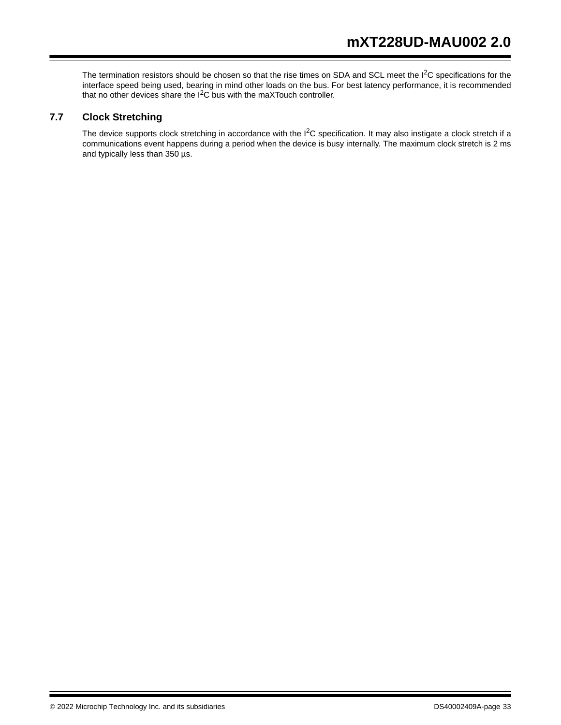The termination resistors should be chosen so that the rise times on SDA and SCL meet the  $1<sup>2</sup>C$  specifications for the interface speed being used, bearing in mind other loads on the bus. For best latency performance, it is recommended that no other devices share the  $I^2C$  bus with the maXTouch controller.

# **7.7 Clock Stretching**

The device supports clock stretching in accordance with the I<sup>2</sup>C specification. It may also instigate a clock stretch if a communications event happens during a period when the device is busy internally. The maximum clock stretch is 2 ms and typically less than 350 µs.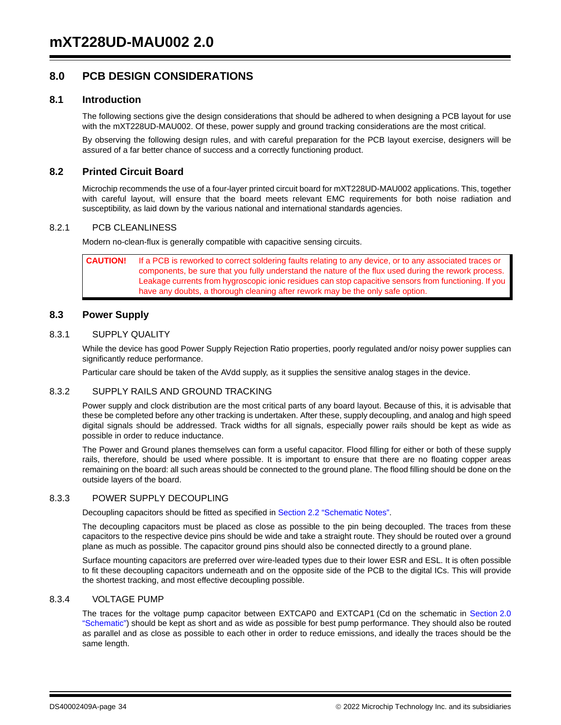# **8.0 PCB DESIGN CONSIDERATIONS**

#### **8.1 Introduction**

The following sections give the design considerations that should be adhered to when designing a PCB layout for use with the mXT228UD-MAU002. Of these, power supply and ground tracking considerations are the most critical.

By observing the following design rules, and with careful preparation for the PCB layout exercise, designers will be assured of a far better chance of success and a correctly functioning product.

# **8.2 Printed Circuit Board**

Microchip recommends the use of a four-layer printed circuit board for mXT228UD-MAU002 applications. This, together with careful layout, will ensure that the board meets relevant EMC requirements for both noise radiation and susceptibility, as laid down by the various national and international standards agencies.

#### 8.2.1 PCB CLEANLINESS

Modern no-clean-flux is generally compatible with capacitive sensing circuits.

**CAUTION!** If a PCB is reworked to correct soldering faults relating to any device, or to any associated traces or components, be sure that you fully understand the nature of the flux used during the rework process. Leakage currents from hygroscopic ionic residues can stop capacitive sensors from functioning. If you have any doubts, a thorough cleaning after rework may be the only safe option.

# **8.3 Power Supply**

#### 8.3.1 SUPPLY QUALITY

While the device has good Power Supply Rejection Ratio properties, poorly regulated and/or noisy power supplies can significantly reduce performance.

Particular care should be taken of the AVdd supply, as it supplies the sensitive analog stages in the device.

#### 8.3.2 SUPPLY RAILS AND GROUND TRACKING

Power supply and clock distribution are the most critical parts of any board layout. Because of this, it is advisable that these be completed before any other tracking is undertaken. After these, supply decoupling, and analog and high speed digital signals should be addressed. Track widths for all signals, especially power rails should be kept as wide as possible in order to reduce inductance.

The Power and Ground planes themselves can form a useful capacitor. Flood filling for either or both of these supply rails, therefore, should be used where possible. It is important to ensure that there are no floating copper areas remaining on the board: all such areas should be connected to the ground plane. The flood filling should be done on the outside layers of the board.

#### 8.3.3 POWER SUPPLY DECOUPLING

Decoupling capacitors should be fitted as specified in Section 2.2 "Schematic Notes".

The decoupling capacitors must be placed as close as possible to the pin being decoupled. The traces from these capacitors to the respective device pins should be wide and take a straight route. They should be routed over a ground plane as much as possible. The capacitor ground pins should also be connected directly to a ground plane.

Surface mounting capacitors are preferred over wire-leaded types due to their lower ESR and ESL. It is often possible to fit these decoupling capacitors underneath and on the opposite side of the PCB to the digital ICs. This will provide the shortest tracking, and most effective decoupling possible.

#### 8.3.4 VOLTAGE PUMP

The traces for the voltage pump capacitor between EXTCAP0 and EXTCAP1 (Cd on the schematic in Section 2.0 "Schematic") should be kept as short and as wide as possible for best pump performance. They should also be routed as parallel and as close as possible to each other in order to reduce emissions, and ideally the traces should be the same length.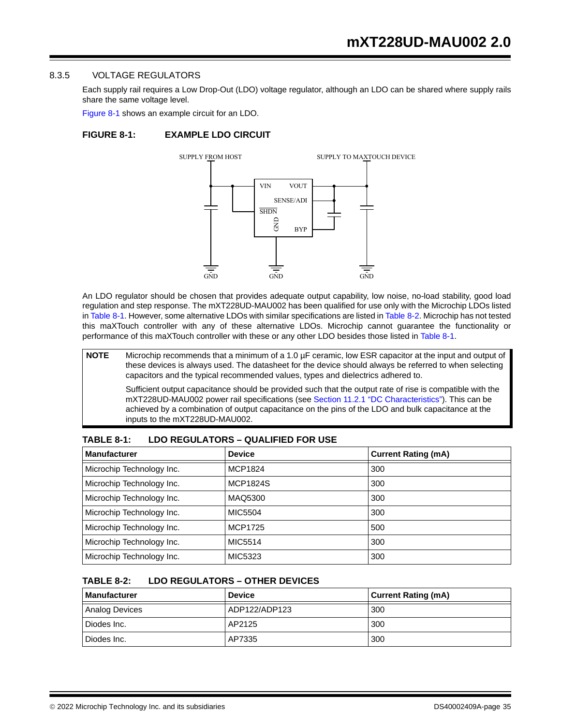#### 8.3.5 VOLTAGE REGULATORS

Each supply rail requires a Low Drop-Out (LDO) voltage regulator, although an LDO can be shared where supply rails share the same voltage level.

Figure 8-1 shows an example circuit for an LDO.

#### **FIGURE 8-1: EXAMPLE LDO CIRCUIT**



An LDO regulator should be chosen that provides adequate output capability, low noise, no-load stability, good load regulation and step response. The mXT228UD-MAU002 has been qualified for use only with the Microchip LDOs listed in Table 8-1. However, some alternative LDOs with similar specifications are listed in Table 8-2. Microchip has not tested this maXTouch controller with any of these alternative LDOs. Microchip cannot guarantee the functionality or performance of this maXTouch controller with these or any other LDO besides those listed in Table 8-1.

**NOTE** Microchip recommends that a minimum of a 1.0 µF ceramic, low ESR capacitor at the input and output of these devices is always used. The datasheet for the device should always be referred to when selecting capacitors and the typical recommended values, types and dielectrics adhered to.

Sufficient output capacitance should be provided such that the output rate of rise is compatible with the mXT228UD-MAU002 power rail specifications (see Section 11.2.1 "DC Characteristics"). This can be achieved by a combination of output capacitance on the pins of the LDO and bulk capacitance at the inputs to the mXT228UD-MAU002.

| <b>Manufacturer</b>       | <b>Device</b>   | <b>Current Rating (mA)</b> |
|---------------------------|-----------------|----------------------------|
| Microchip Technology Inc. | MCP1824         | 300                        |
| Microchip Technology Inc. | <b>MCP1824S</b> | 300                        |
| Microchip Technology Inc. | MAQ5300         | 300                        |
| Microchip Technology Inc. | MIC5504         | 300                        |
| Microchip Technology Inc. | <b>MCP1725</b>  | 500                        |
| Microchip Technology Inc. | MIC5514         | 300                        |
| Microchip Technology Inc. | MIC5323         | 300                        |

#### **TABLE 8-1: LDO REGULATORS – QUALIFIED FOR USE**

#### **TABLE 8-2: LDO REGULATORS – OTHER DEVICES**

| <b>Manufacturer</b> | <b>Device</b> | <b>Current Rating (mA)</b> |
|---------------------|---------------|----------------------------|
| Analog Devices      | ADP122/ADP123 | 300                        |
| Diodes Inc.         | AP2125        | 300                        |
| Diodes Inc.         | AP7335        | 300                        |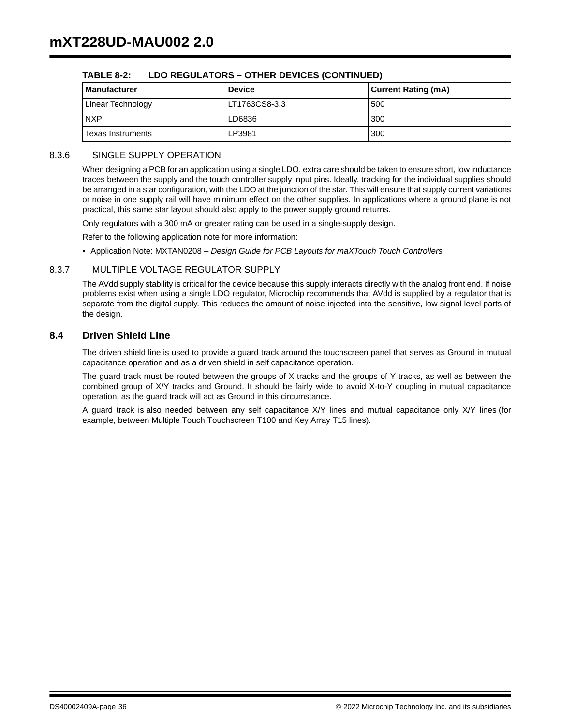| <b>Manufacturer</b> | <b>Device</b> | <b>Current Rating (mA)</b> |
|---------------------|---------------|----------------------------|
| Linear Technology   | LT1763CS8-3.3 | 500                        |
| <b>NXP</b>          | LD6836        | 300                        |
| Texas Instruments   | LP3981        | 300                        |

# **TABLE 8-2: LDO REGULATORS – OTHER DEVICES (CONTINUED)**

#### 8.3.6 SINGLE SUPPLY OPERATION

When designing a PCB for an application using a single LDO, extra care should be taken to ensure short, low inductance traces between the supply and the touch controller supply input pins. Ideally, tracking for the individual supplies should be arranged in a star configuration, with the LDO at the junction of the star. This will ensure that supply current variations or noise in one supply rail will have minimum effect on the other supplies. In applications where a ground plane is not practical, this same star layout should also apply to the power supply ground returns.

Only regulators with a 300 mA or greater rating can be used in a single-supply design.

Refer to the following application note for more information:

• Application Note: MXTAN0208 – *Design Guide for PCB Layouts for maXTouch Touch Controllers*

# 8.3.7 MULTIPLE VOLTAGE REGULATOR SUPPLY

The AVdd supply stability is critical for the device because this supply interacts directly with the analog front end. If noise problems exist when using a single LDO regulator, Microchip recommends that AVdd is supplied by a regulator that is separate from the digital supply. This reduces the amount of noise injected into the sensitive, low signal level parts of the design.

# **8.4 Driven Shield Line**

The driven shield line is used to provide a guard track around the touchscreen panel that serves as Ground in mutual capacitance operation and as a driven shield in self capacitance operation.

The guard track must be routed between the groups of X tracks and the groups of Y tracks, as well as between the combined group of X/Y tracks and Ground. It should be fairly wide to avoid X-to-Y coupling in mutual capacitance operation, as the guard track will act as Ground in this circumstance.

A guard track is also needed between any self capacitance X/Y lines and mutual capacitance only X/Y lines (for example, between Multiple Touch Touchscreen T100 and Key Array T15 lines).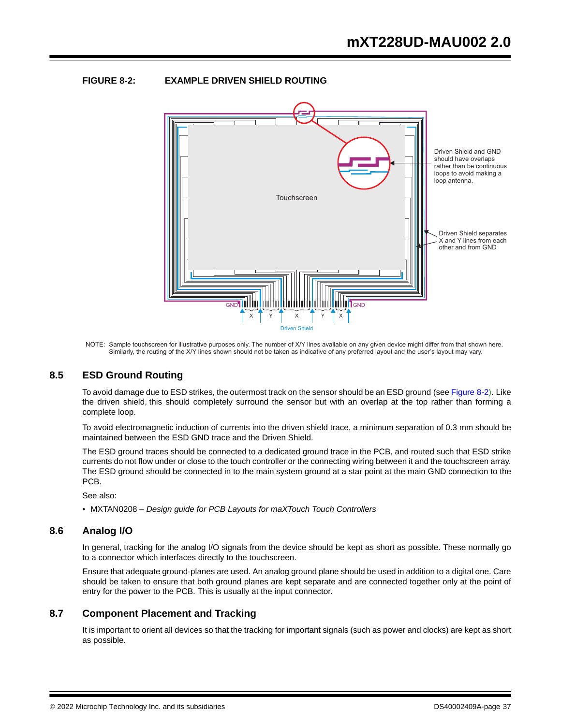# **FIGURE 8-2: EXAMPLE DRIVEN SHIELD ROUTING**



NOTE: Sample touchscreen for illustrative purposes only. The number of X/Y lines available on any given device might differ from that shown here. Similarly, the routing of the X/Y lines shown should not be taken as indicative of any preferred layout and the user's layout may vary.

# **8.5 ESD Ground Routing**

To avoid damage due to ESD strikes, the outermost track on the sensor should be an ESD ground (see Figure 8-2). Like the driven shield, this should completely surround the sensor but with an overlap at the top rather than forming a complete loop.

To avoid electromagnetic induction of currents into the driven shield trace, a minimum separation of 0.3 mm should be maintained between the ESD GND trace and the Driven Shield.

The ESD ground traces should be connected to a dedicated ground trace in the PCB, and routed such that ESD strike currents do not flow under or close to the touch controller or the connecting wiring between it and the touchscreen array. The ESD ground should be connected in to the main system ground at a star point at the main GND connection to the PCB.

See also:

• MXTAN0208 – *Design guide for PCB Layouts for maXTouch Touch Controllers*

# **8.6 Analog I/O**

In general, tracking for the analog I/O signals from the device should be kept as short as possible. These normally go to a connector which interfaces directly to the touchscreen.

Ensure that adequate ground-planes are used. An analog ground plane should be used in addition to a digital one. Care should be taken to ensure that both ground planes are kept separate and are connected together only at the point of entry for the power to the PCB. This is usually at the input connector.

# **8.7 Component Placement and Tracking**

It is important to orient all devices so that the tracking for important signals (such as power and clocks) are kept as short as possible.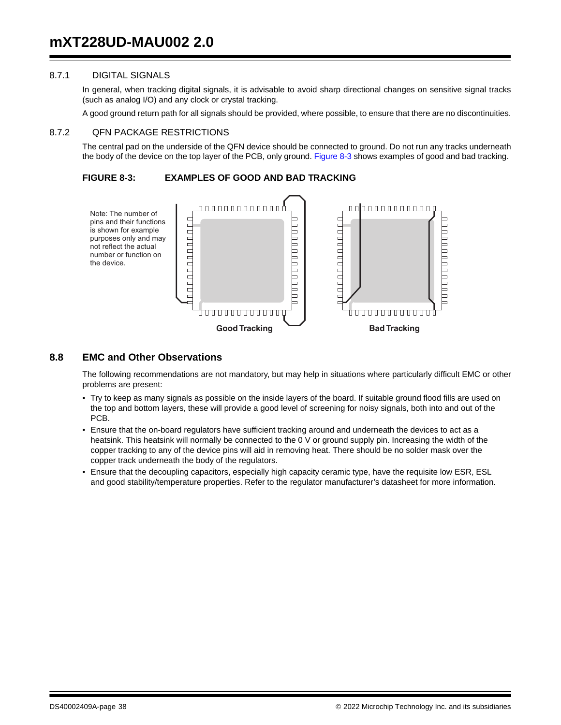# 8.7.1 DIGITAL SIGNALS

In general, when tracking digital signals, it is advisable to avoid sharp directional changes on sensitive signal tracks (such as analog I/O) and any clock or crystal tracking.

A good ground return path for all signals should be provided, where possible, to ensure that there are no discontinuities.

#### 8.7.2 QFN PACKAGE RESTRICTIONS

The central pad on the underside of the QFN device should be connected to ground. Do not run any tracks underneath the body of the device on the top layer of the PCB, only ground. Figure 8-3 shows examples of good and bad tracking.

**FIGURE 8-3: EXAMPLES OF GOOD AND BAD TRACKING** 



# **8.8 EMC and Other Observations**

The following recommendations are not mandatory, but may help in situations where particularly difficult EMC or other problems are present:

- Try to keep as many signals as possible on the inside layers of the board. If suitable ground flood fills are used on the top and bottom layers, these will provide a good level of screening for noisy signals, both into and out of the PCB.
- Ensure that the on-board regulators have sufficient tracking around and underneath the devices to act as a heatsink. This heatsink will normally be connected to the 0 V or ground supply pin. Increasing the width of the copper tracking to any of the device pins will aid in removing heat. There should be no solder mask over the copper track underneath the body of the regulators.
- Ensure that the decoupling capacitors, especially high capacity ceramic type, have the requisite low ESR, ESL and good stability/temperature properties. Refer to the regulator manufacturer's datasheet for more information.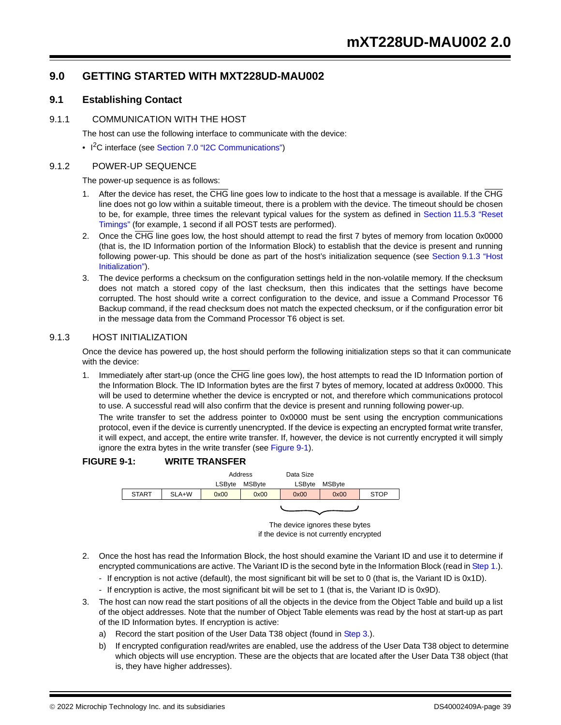# **9.0 GETTING STARTED WITH MXT228UD-MAU002**

# **9.1 Establishing Contact**

#### 9.1.1 COMMUNICATION WITH THE HOST

The host can use the following interface to communicate with the device:

• I<sup>2</sup>C interface (see Section 7.0 "I2C Communications")

#### 9.1.2 POWER-UP SEQUENCE

The power-up sequence is as follows:

- 1. After the device has reset, the CHG line goes low to indicate to the host that a message is available. If the CHG line does not go low within a suitable timeout, there is a problem with the device. The timeout should be chosen to be, for example, three times the relevant typical values for the system as defined in Section 11.5.3 "Reset Timings" (for example, 1 second if all POST tests are performed).
- 2. Once the CHG line goes low, the host should attempt to read the first 7 bytes of memory from location 0x0000 (that is, the ID Information portion of the Information Block) to establish that the device is present and running following power-up. This should be done as part of the host's initialization sequence (see Section 9.1.3 "Host Initialization").
- 3. The device performs a checksum on the configuration settings held in the non-volatile memory. If the checksum does not match a stored copy of the last checksum, then this indicates that the settings have become corrupted. The host should write a correct configuration to the device, and issue a Command Processor T6 Backup command, if the read checksum does not match the expected checksum, or if the configuration error bit in the message data from the Command Processor T6 object is set.

# 9.1.3 HOST INITIALIZATION

Once the device has powered up, the host should perform the following initialization steps so that it can communicate with the device:

1. Immediately after start-up (once the  $\overline{CHG}$  line goes low), the host attempts to read the ID Information portion of the Information Block. The ID Information bytes are the first 7 bytes of memory, located at address 0x0000. This will be used to determine whether the device is encrypted or not, and therefore which communications protocol to use. A successful read will also confirm that the device is present and running following power-up.

The write transfer to set the address pointer to 0x0000 must be sent using the encryption communications protocol, even if the device is currently unencrypted. If the device is expecting an encrypted format write transfer, it will expect, and accept, the entire write transfer. If, however, the device is not currently encrypted it will simply ignore the extra bytes in the write transfer (see Figure 9-1).

#### **FIGURE 9-1: WRITE TRANSFER**



The device ignores these bytes if the device is not currently encrypted

- 2. Once the host has read the Information Block, the host should examine the Variant ID and use it to determine if encrypted communications are active. The Variant ID is the second byte in the Information Block (read in Step 1.).
	- If encryption is not active (default), the most significant bit will be set to 0 (that is, the Variant ID is 0x1D).
	- If encryption is active, the most significant bit will be set to 1 (that is, the Variant ID is 0x9D).
- 3. The host can now read the start positions of all the objects in the device from the Object Table and build up a list of the object addresses. Note that the number of Object Table elements was read by the host at start-up as part of the ID Information bytes. If encryption is active:
	- a) Record the start position of the User Data T38 object (found in Step 3.).
	- b) If encrypted configuration read/writes are enabled, use the address of the User Data T38 object to determine which objects will use encryption. These are the objects that are located after the User Data T38 object (that is, they have higher addresses).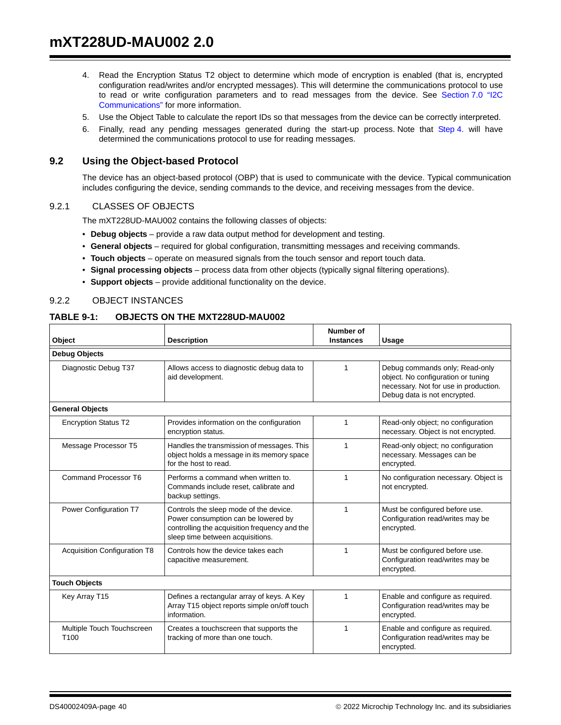- 4. Read the Encryption Status T2 object to determine which mode of encryption is enabled (that is, encrypted configuration read/writes and/or encrypted messages). This will determine the communications protocol to use to read or write configuration parameters and to read messages from the device. See Section 7.0 "I2C Communications" for more information.
- 5. Use the Object Table to calculate the report IDs so that messages from the device can be correctly interpreted.
- 6. Finally, read any pending messages generated during the start-up process. Note that Step 4. will have determined the communications protocol to use for reading messages.

# **9.2 Using the Object-based Protocol**

The device has an object-based protocol (OBP) that is used to communicate with the device. Typical communication includes configuring the device, sending commands to the device, and receiving messages from the device.

# 9.2.1 CLASSES OF OBJECTS

The mXT228UD-MAU002 contains the following classes of objects:

- **Debug objects**  provide a raw data output method for development and testing.
- **General objects** required for global configuration, transmitting messages and receiving commands.
- **Touch objects** operate on measured signals from the touch sensor and report touch data.
- **Signal processing objects** process data from other objects (typically signal filtering operations).
- **Support objects** provide additional functionality on the device.

#### 9.2.2 OBJECT INSTANCES

#### **TABLE 9-1: OBJECTS ON THE MXT228UD-MAU002**

| Object                                                                                               | <b>Description</b>                                                                                                                                                 | Number of<br><b>Instances</b> | Usage                                                                                                                                         |
|------------------------------------------------------------------------------------------------------|--------------------------------------------------------------------------------------------------------------------------------------------------------------------|-------------------------------|-----------------------------------------------------------------------------------------------------------------------------------------------|
| <b>Debug Objects</b>                                                                                 |                                                                                                                                                                    |                               |                                                                                                                                               |
| Diagnostic Debug T37                                                                                 | Allows access to diagnostic debug data to<br>aid development.                                                                                                      | 1                             | Debug commands only; Read-only<br>object. No configuration or tuning<br>necessary. Not for use in production.<br>Debug data is not encrypted. |
| <b>General Objects</b>                                                                               |                                                                                                                                                                    |                               |                                                                                                                                               |
| <b>Encryption Status T2</b>                                                                          | Provides information on the configuration<br>encryption status.                                                                                                    | 1                             | Read-only object; no configuration<br>necessary. Object is not encrypted.                                                                     |
| Message Processor T5                                                                                 | Handles the transmission of messages. This<br>object holds a message in its memory space<br>for the host to read.                                                  | 1                             | Read-only object; no configuration<br>necessary. Messages can be<br>encrypted.                                                                |
| Command Processor T6                                                                                 | Performs a command when written to.<br>Commands include reset, calibrate and<br>backup settings.                                                                   | 1                             | No configuration necessary. Object is<br>not encrypted.                                                                                       |
| Power Configuration T7                                                                               | Controls the sleep mode of the device.<br>Power consumption can be lowered by<br>controlling the acquisition frequency and the<br>sleep time between acquisitions. | 1                             | Must be configured before use.<br>Configuration read/writes may be<br>encrypted.                                                              |
| <b>Acquisition Configuration T8</b><br>Controls how the device takes each<br>capacitive measurement. |                                                                                                                                                                    | 1                             | Must be configured before use.<br>Configuration read/writes may be<br>encrypted.                                                              |
| <b>Touch Objects</b>                                                                                 |                                                                                                                                                                    |                               |                                                                                                                                               |
| Key Array T15                                                                                        | Defines a rectangular array of keys. A Key<br>Array T15 object reports simple on/off touch<br>information.                                                         | 1                             | Enable and configure as required.<br>Configuration read/writes may be<br>encrypted.                                                           |
| Multiple Touch Touchscreen<br>T <sub>100</sub>                                                       | Creates a touchscreen that supports the<br>tracking of more than one touch.                                                                                        | 1                             | Enable and configure as required.<br>Configuration read/writes may be<br>encrypted.                                                           |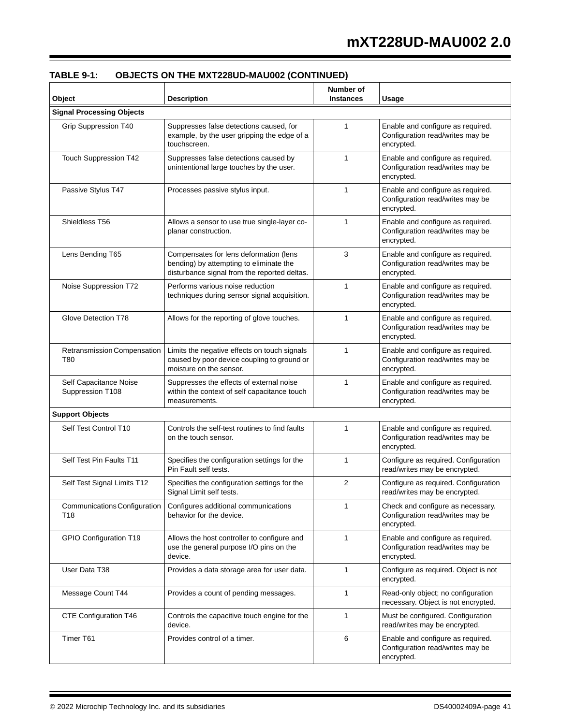| Object                                     | <b>Description</b>                                                                                                                | Number of<br><b>Instances</b> | <b>Usage</b>                                                                        |
|--------------------------------------------|-----------------------------------------------------------------------------------------------------------------------------------|-------------------------------|-------------------------------------------------------------------------------------|
| <b>Signal Processing Objects</b>           |                                                                                                                                   |                               |                                                                                     |
| Grip Suppression T40                       | Suppresses false detections caused, for<br>example, by the user gripping the edge of a<br>touchscreen.                            | 1                             | Enable and configure as required.<br>Configuration read/writes may be<br>encrypted. |
| Touch Suppression T42                      | Suppresses false detections caused by<br>unintentional large touches by the user.                                                 | 1                             | Enable and configure as required.<br>Configuration read/writes may be<br>encrypted. |
| Passive Stylus T47                         | Processes passive stylus input.                                                                                                   | $\mathbf{1}$                  | Enable and configure as required.<br>Configuration read/writes may be<br>encrypted. |
| Shieldless T56                             | Allows a sensor to use true single-layer co-<br>planar construction.                                                              | 1                             | Enable and configure as required.<br>Configuration read/writes may be<br>encrypted. |
| Lens Bending T65                           | Compensates for lens deformation (lens<br>bending) by attempting to eliminate the<br>disturbance signal from the reported deltas. | 3                             | Enable and configure as required.<br>Configuration read/writes may be<br>encrypted. |
| Noise Suppression T72                      | Performs various noise reduction<br>techniques during sensor signal acquisition.                                                  | 1                             | Enable and configure as required.<br>Configuration read/writes may be<br>encrypted. |
| Glove Detection T78                        | Allows for the reporting of glove touches.                                                                                        | 1                             | Enable and configure as required.<br>Configuration read/writes may be<br>encrypted. |
| Retransmission Compensation<br>T80         | Limits the negative effects on touch signals<br>caused by poor device coupling to ground or<br>moisture on the sensor.            | 1                             | Enable and configure as required.<br>Configuration read/writes may be<br>encrypted. |
| Self Capacitance Noise<br>Suppression T108 | Suppresses the effects of external noise<br>within the context of self capacitance touch<br>measurements.                         | $\mathbf{1}$                  | Enable and configure as required.<br>Configuration read/writes may be<br>encrypted. |
| <b>Support Objects</b>                     |                                                                                                                                   |                               |                                                                                     |
| Self Test Control T10                      | Controls the self-test routines to find faults<br>on the touch sensor.                                                            | 1                             | Enable and configure as required.<br>Configuration read/writes may be<br>encrypted. |
| Self Test Pin Faults T11                   | Specifies the configuration settings for the<br>Pin Fault self tests.                                                             | 1                             | Configure as required. Configuration<br>read/writes may be encrypted.               |
| Self Test Signal Limits T12                | Specifies the configuration settings for the<br>Signal Limit self tests.                                                          | 2                             | Configure as required. Configuration<br>read/writes may be encrypted.               |
| Communications Configuration<br>T18        | Configures additional communications<br>behavior for the device.                                                                  | 1                             | Check and configure as necessary.<br>Configuration read/writes may be<br>encrypted. |
| GPIO Configuration T19                     | Allows the host controller to configure and<br>use the general purpose I/O pins on the<br>device.                                 | 1                             | Enable and configure as required.<br>Configuration read/writes may be<br>encrypted. |
| User Data T38                              | Provides a data storage area for user data.                                                                                       | 1                             | Configure as required. Object is not<br>encrypted.                                  |
| Message Count T44                          | Provides a count of pending messages.                                                                                             | 1                             | Read-only object; no configuration<br>necessary. Object is not encrypted.           |
| CTE Configuration T46                      | Controls the capacitive touch engine for the<br>device.                                                                           | 1                             | Must be configured. Configuration<br>read/writes may be encrypted.                  |
| Timer T61                                  | Provides control of a timer.                                                                                                      | 6                             | Enable and configure as required.<br>Configuration read/writes may be<br>encrypted. |

**TABLE 9-1: OBJECTS ON THE MXT228UD-MAU002 (CONTINUED)**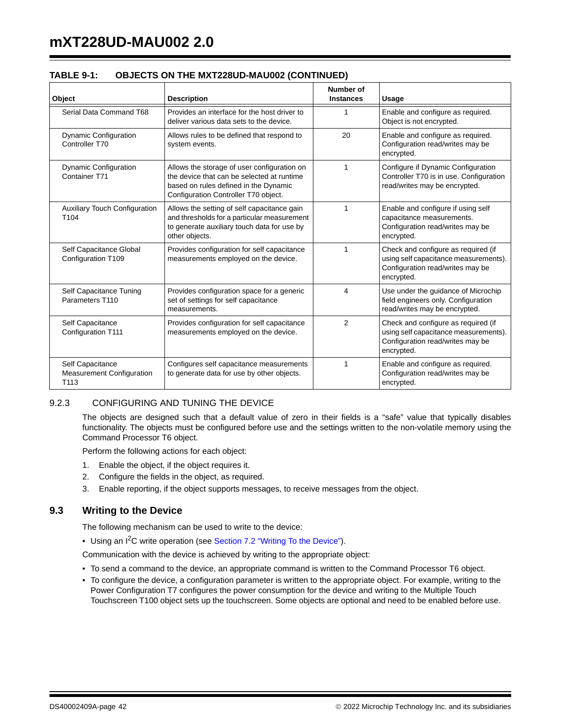| Object                                                                   | <b>Description</b>                                                                                                                                                         | Number of<br><b>Instances</b> | Usage                                                                                                                          |
|--------------------------------------------------------------------------|----------------------------------------------------------------------------------------------------------------------------------------------------------------------------|-------------------------------|--------------------------------------------------------------------------------------------------------------------------------|
| Serial Data Command T68                                                  | Provides an interface for the host driver to<br>deliver various data sets to the device.                                                                                   | 1                             | Enable and configure as required.<br>Object is not encrypted.                                                                  |
| <b>Dynamic Configuration</b><br>Controller T70                           | Allows rules to be defined that respond to<br>system events.                                                                                                               | 20                            | Enable and configure as required.<br>Configuration read/writes may be<br>encrypted.                                            |
| <b>Dynamic Configuration</b><br>Container T71                            | Allows the storage of user configuration on<br>the device that can be selected at runtime<br>based on rules defined in the Dynamic<br>Configuration Controller T70 object. | 1                             | Configure if Dynamic Configuration<br>Controller T70 is in use. Configuration<br>read/writes may be encrypted.                 |
| <b>Auxiliary Touch Configuration</b><br>T <sub>104</sub>                 | Allows the setting of self capacitance gain<br>and thresholds for a particular measurement<br>to generate auxiliary touch data for use by<br>other objects.                | 1                             | Enable and configure if using self<br>capacitance measurements.<br>Configuration read/writes may be<br>encrypted.              |
| Self Capacitance Global<br>Configuration T109                            | Provides configuration for self capacitance<br>measurements employed on the device.                                                                                        | 1                             | Check and configure as required (if<br>using self capacitance measurements).<br>Configuration read/writes may be<br>encrypted. |
| Self Capacitance Tuning<br>Parameters T110                               | Provides configuration space for a generic<br>set of settings for self capacitance<br>measurements.                                                                        | 4                             | Use under the guidance of Microchip<br>field engineers only. Configuration<br>read/writes may be encrypted.                    |
| Self Capacitance<br><b>Configuration T111</b>                            | Provides configuration for self capacitance<br>measurements employed on the device.                                                                                        | $\overline{2}$                | Check and configure as required (if<br>using self capacitance measurements).<br>Configuration read/writes may be<br>encrypted. |
| Self Capacitance<br><b>Measurement Configuration</b><br>T <sub>113</sub> | Configures self capacitance measurements<br>to generate data for use by other objects.                                                                                     | 1                             | Enable and configure as required.<br>Configuration read/writes may be<br>encrypted.                                            |

| <b>TABLE 9-1:</b> | <b>OBJECTS ON THE MXT228UD-MAU002 (CONTINUED)</b> |  |
|-------------------|---------------------------------------------------|--|
|                   |                                                   |  |

# 9.2.3 CONFIGURING AND TUNING THE DEVICE

The objects are designed such that a default value of zero in their fields is a "safe" value that typically disables functionality. The objects must be configured before use and the settings written to the non-volatile memory using the Command Processor T6 object.

Perform the following actions for each object:

- 1. Enable the object, if the object requires it.
- 2. Configure the fields in the object, as required.
- 3. Enable reporting, if the object supports messages, to receive messages from the object.

# **9.3 Writing to the Device**

The following mechanism can be used to write to the device:

• Using an I<sup>2</sup>C write operation (see Section 7.2 "Writing To the Device").

Communication with the device is achieved by writing to the appropriate object:

- To send a command to the device, an appropriate command is written to the Command Processor T6 object.
- To configure the device, a configuration parameter is written to the appropriate object. For example, writing to the Power Configuration T7 configures the power consumption for the device and writing to the Multiple Touch Touchscreen T100 object sets up the touchscreen. Some objects are optional and need to be enabled before use.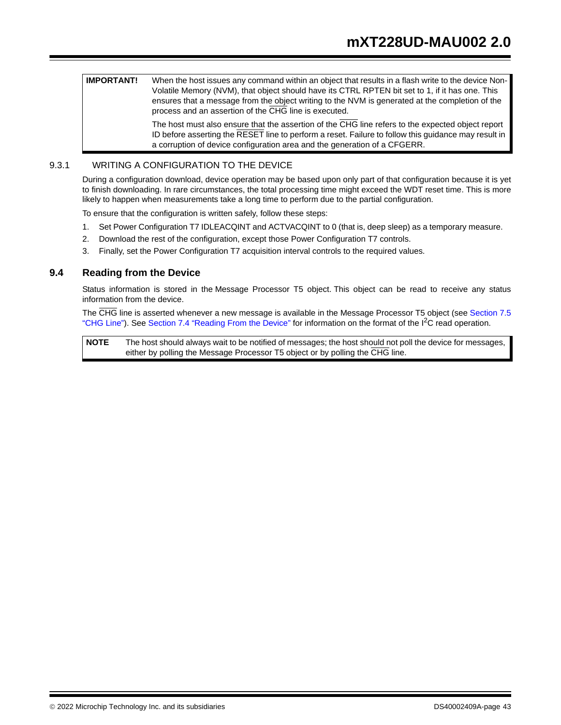**IMPORTANT!** When the host issues any command within an object that results in a flash write to the device Non-Volatile Memory (NVM), that object should have its CTRL RPTEN bit set to 1, if it has one. This ensures that a message from the object writing to the NVM is generated at the completion of the process and an assertion of the CHG line is executed.

> The host must also ensure that the assertion of the CHG line refers to the expected object report ID before asserting the RESET line to perform a reset. Failure to follow this guidance may result in a corruption of device configuration area and the generation of a CFGERR.

# 9.3.1 WRITING A CONFIGURATION TO THE DEVICE

During a configuration download, device operation may be based upon only part of that configuration because it is yet to finish downloading. In rare circumstances, the total processing time might exceed the WDT reset time. This is more likely to happen when measurements take a long time to perform due to the partial configuration.

To ensure that the configuration is written safely, follow these steps:

- 1. Set Power Configuration T7 IDLEACQINT and ACTVACQINT to 0 (that is, deep sleep) as a temporary measure.
- 2. Download the rest of the configuration, except those Power Configuration T7 controls.
- 3. Finally, set the Power Configuration T7 acquisition interval controls to the required values.

#### **9.4 Reading from the Device**

Status information is stored in the Message Processor T5 object. This object can be read to receive any status information from the device.

The CHG line is asserted whenever a new message is available in the Message Processor T5 object (see Section 7.5 "CHG Line"). See Section 7.4 "Reading From the Device" for information on the format of the I<sup>2</sup>C read operation.

**NOTE** The host should always wait to be notified of messages; the host should not poll the device for messages, either by polling the Message Processor T5 object or by polling the CHG line.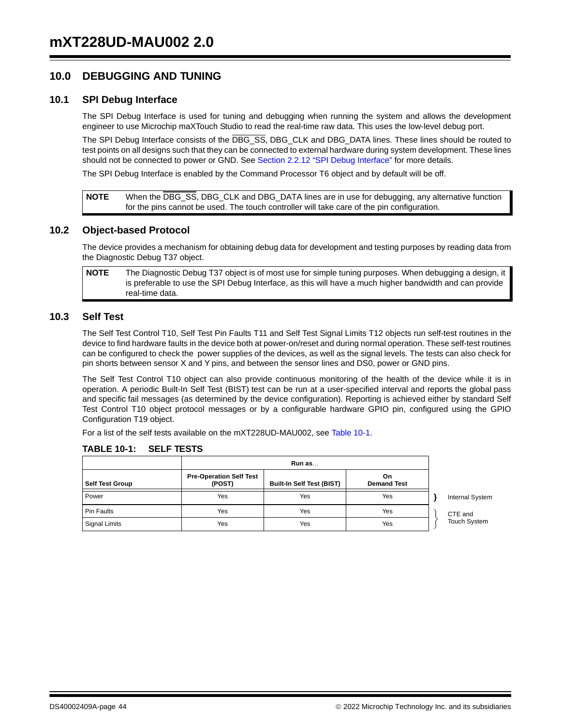# **10.0 DEBUGGING AND TUNING**

#### **10.1 SPI Debug Interface**

The SPI Debug Interface is used for tuning and debugging when running the system and allows the development engineer to use Microchip maXTouch Studio to read the real-time raw data. This uses the low-level debug port.

The SPI Debug Interface consists of the DBG\_SS, DBG\_CLK and DBG\_DATA lines. These lines should be routed to test points on all designs such that they can be connected to external hardware during system development. These lines should not be connected to power or GND. See Section 2.2.12 "SPI Debug Interface" for more details.

The SPI Debug Interface is enabled by the Command Processor T6 object and by default will be off.

**NOTE** When the DBG\_SS, DBG\_CLK and DBG\_DATA lines are in use for debugging, any alternative function for the pins cannot be used. The touch controller will take care of the pin configuration.

#### **10.2 Object-based Protocol**

The device provides a mechanism for obtaining debug data for development and testing purposes by reading data from the Diagnostic Debug T37 object.

**NOTE** The Diagnostic Debug T37 object is of most use for simple tuning purposes. When debugging a design, it is preferable to use the SPI Debug Interface, as this will have a much higher bandwidth and can provide real-time data.

# **10.3 Self Test**

The Self Test Control T10, Self Test Pin Faults T11 and Self Test Signal Limits T12 objects run self-test routines in the device to find hardware faults in the device both at power-on/reset and during normal operation. These self-test routines can be configured to check the power supplies of the devices, as well as the signal levels. The tests can also check for pin shorts between sensor X and Y pins, and between the sensor lines and DS0, power or GND pins.

The Self Test Control T10 object can also provide continuous monitoring of the health of the device while it is in operation. A periodic Built-In Self Test (BIST) test can be run at a user-specified interval and reports the global pass and specific fail messages (as determined by the device configuration). Reporting is achieved either by standard Self Test Control T10 object protocol messages or by a configurable hardware GPIO pin, configured using the GPIO Configuration T19 object.

For a list of the self tests available on the mXT228UD-MAU002, see Table 10-1.

| <b>Self Test Group</b> | <b>Pre-Operation Self Test</b><br>(POST) | <b>Built-In Self Test (BIST)</b> | On.<br><b>Demand Test</b> |                        |
|------------------------|------------------------------------------|----------------------------------|---------------------------|------------------------|
| Power                  | Yes                                      | Yes                              | Yes                       | <b>Internal System</b> |
| <b>Pin Faults</b>      | Yes                                      | Yes                              | Yes                       | CTE and                |
| Signal Limits          | Yes                                      | Yes                              | Yes                       | <b>Touch System</b>    |

#### **TABLE 10-1: SELF TESTS**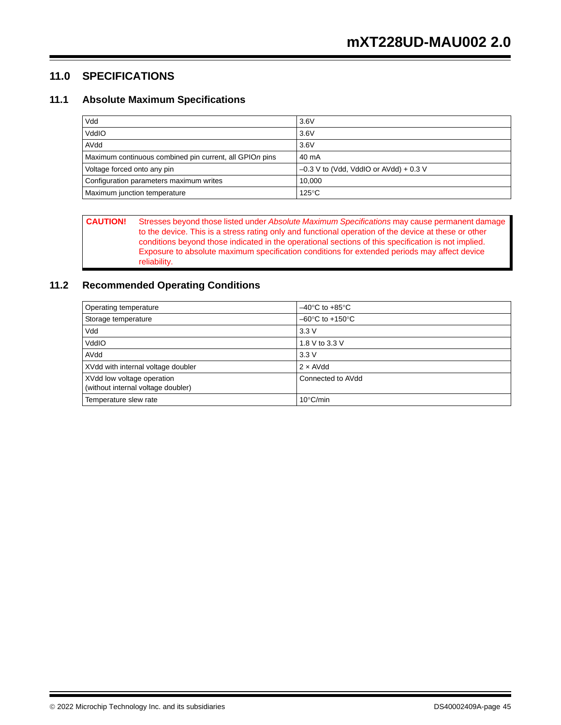# **11.0 SPECIFICATIONS**

# **11.1 Absolute Maximum Specifications**

| Vdd                                                     | 3.6V                                     |
|---------------------------------------------------------|------------------------------------------|
| VddIO                                                   | 3.6V                                     |
| AVdd                                                    | 3.6V                                     |
| Maximum continuous combined pin current, all GPIOn pins | 40 mA                                    |
| Voltage forced onto any pin                             | $-0.3$ V to (Vdd, VddIO or AVdd) + 0.3 V |
| Configuration parameters maximum writes                 | 10.000                                   |
| Maximum junction temperature                            | $125^{\circ}$ C                          |

**CAUTION!** Stresses beyond those listed under *Absolute Maximum Specifications* may cause permanent damage to the device. This is a stress rating only and functional operation of the device at these or other conditions beyond those indicated in the operational sections of this specification is not implied. Exposure to absolute maximum specification conditions for extended periods may affect device reliability.

# **11.2 Recommended Operating Conditions**

| <b>Operating temperature</b>                                     | $-40^{\circ}$ C to $+85^{\circ}$ C  |
|------------------------------------------------------------------|-------------------------------------|
| Storage temperature                                              | $-60^{\circ}$ C to $+150^{\circ}$ C |
| Vdd                                                              | 3.3V                                |
| VddIO                                                            | 1.8 V to 3.3 V                      |
| AVdd                                                             | 3.3V                                |
| XVdd with internal voltage doubler                               | $2 \times$ AVdd                     |
| XVdd low voltage operation<br>(without internal voltage doubler) | Connected to AVdd                   |
| Temperature slew rate                                            | $10^{\circ}$ C/min                  |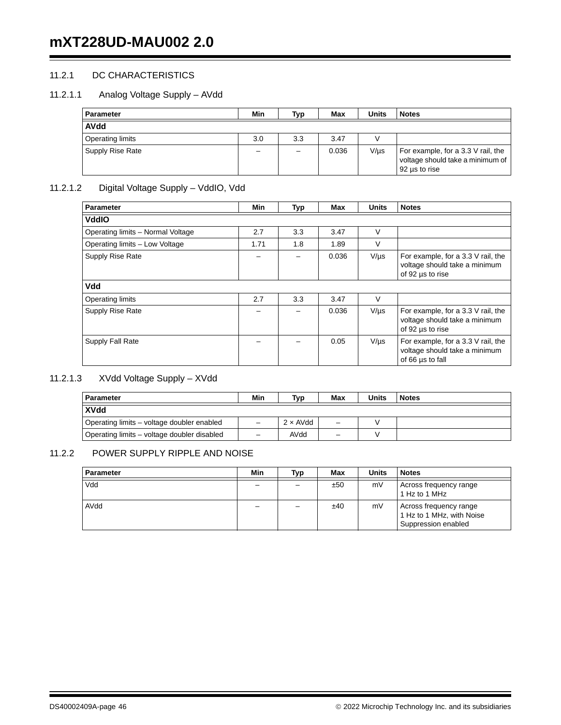# 11.2.1 DC CHARACTERISTICS

# 11.2.1.1 Analog Voltage Supply – AVdd

| <b>Parameter</b>        | Min | Typ | Max   | Units     | <b>Notes</b>                                                                            |
|-------------------------|-----|-----|-------|-----------|-----------------------------------------------------------------------------------------|
| <b>AVdd</b>             |     |     |       |           |                                                                                         |
| <b>Operating limits</b> | 3.0 | 3.3 | 3.47  |           |                                                                                         |
| Supply Rise Rate        |     |     | 0.036 | $V/\mu s$ | For example, for a 3.3 V rail, the<br>voltage should take a minimum of<br>92 us to rise |

# 11.2.1.2 Digital Voltage Supply – VddIO, Vdd

| <b>Parameter</b>                  | Min  | Typ | Max   | <b>Units</b> | <b>Notes</b>                                                                            |
|-----------------------------------|------|-----|-------|--------------|-----------------------------------------------------------------------------------------|
| <b>VddIO</b>                      |      |     |       |              |                                                                                         |
| Operating limits - Normal Voltage | 2.7  | 3.3 | 3.47  | $\vee$       |                                                                                         |
| Operating limits - Low Voltage    | 1.71 | 1.8 | 1.89  | $\vee$       |                                                                                         |
| Supply Rise Rate                  |      |     | 0.036 | $V/\mu s$    | For example, for a 3.3 V rail, the<br>voltage should take a minimum<br>of 92 us to rise |
| Vdd                               |      |     |       |              |                                                                                         |
| <b>Operating limits</b>           | 2.7  | 3.3 | 3.47  | V            |                                                                                         |
| Supply Rise Rate                  |      |     | 0.036 | $V/\mu s$    | For example, for a 3.3 V rail, the<br>voltage should take a minimum<br>of 92 us to rise |
| Supply Fall Rate                  |      |     | 0.05  | $V/\mu s$    | For example, for a 3.3 V rail, the<br>voltage should take a minimum<br>of 66 us to fall |

# 11.2.1.3 XVdd Voltage Supply – XVdd

| <b>Parameter</b>                            | Min | Typ             | Max                      | Units | <b>Notes</b> |
|---------------------------------------------|-----|-----------------|--------------------------|-------|--------------|
| <b>XVdd</b>                                 |     |                 |                          |       |              |
| Operating limits – voltage doubler enabled  |     | $2 \times$ AVdd | $\overline{\phantom{0}}$ |       |              |
| Operating limits – voltage doubler disabled | -   | AVdd            | -                        |       |              |

# 11.2.2 POWER SUPPLY RIPPLE AND NOISE

| Parameter | Min | Typ | Max | <b>Units</b> | <b>Notes</b>                                                               |
|-----------|-----|-----|-----|--------------|----------------------------------------------------------------------------|
| Vdd       |     |     | ±50 | mV           | Across frequency range<br>1 Hz to 1 MHz                                    |
| AVdd      |     |     | ±40 | mV           | Across frequency range<br>1 Hz to 1 MHz, with Noise<br>Suppression enabled |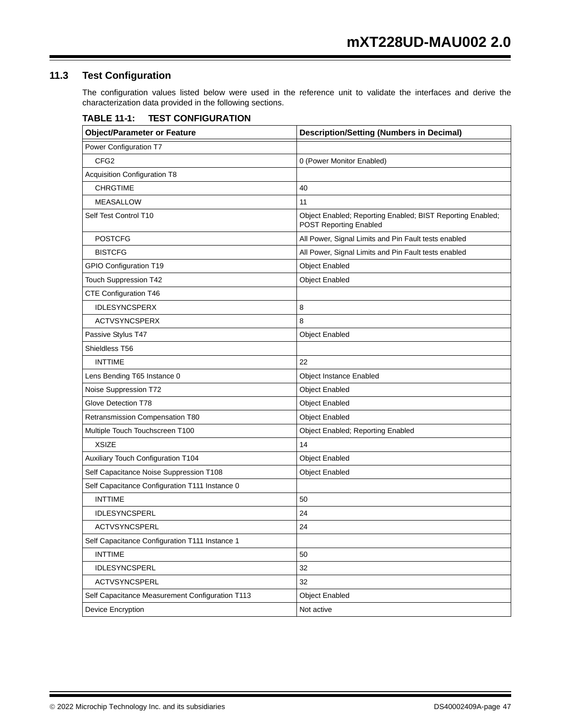# **11.3 Test Configuration**

The configuration values listed below were used in the reference unit to validate the interfaces and derive the characterization data provided in the following sections.

| <b>Object/Parameter or Feature</b>              | <b>Description/Setting (Numbers in Decimal)</b>                                      |
|-------------------------------------------------|--------------------------------------------------------------------------------------|
| Power Configuration T7                          |                                                                                      |
| CFG <sub>2</sub>                                | 0 (Power Monitor Enabled)                                                            |
| <b>Acquisition Configuration T8</b>             |                                                                                      |
| <b>CHRGTIME</b>                                 | 40                                                                                   |
| <b>MEASALLOW</b>                                | 11                                                                                   |
| Self Test Control T10                           | Object Enabled; Reporting Enabled; BIST Reporting Enabled;<br>POST Reporting Enabled |
| <b>POSTCFG</b>                                  | All Power, Signal Limits and Pin Fault tests enabled                                 |
| <b>BISTCFG</b>                                  | All Power, Signal Limits and Pin Fault tests enabled                                 |
| GPIO Configuration T19                          | <b>Object Enabled</b>                                                                |
| Touch Suppression T42                           | <b>Object Enabled</b>                                                                |
| CTE Configuration T46                           |                                                                                      |
| <b>IDLESYNCSPERX</b>                            | 8                                                                                    |
| <b>ACTVSYNCSPERX</b>                            | 8                                                                                    |
| Passive Stylus T47                              | <b>Object Enabled</b>                                                                |
| Shieldless T56                                  |                                                                                      |
| <b>INTTIME</b>                                  | 22                                                                                   |
| Lens Bending T65 Instance 0                     | Object Instance Enabled                                                              |
| Noise Suppression T72                           | <b>Object Enabled</b>                                                                |
| Glove Detection T78                             | <b>Object Enabled</b>                                                                |
| Retransmission Compensation T80                 | <b>Object Enabled</b>                                                                |
| Multiple Touch Touchscreen T100                 | Object Enabled; Reporting Enabled                                                    |
| <b>XSIZE</b>                                    | 14                                                                                   |
| Auxiliary Touch Configuration T104              | <b>Object Enabled</b>                                                                |
| Self Capacitance Noise Suppression T108         | <b>Object Enabled</b>                                                                |
| Self Capacitance Configuration T111 Instance 0  |                                                                                      |
| <b>INTTIME</b>                                  | 50                                                                                   |
| <b>IDLESYNCSPERL</b>                            | 24                                                                                   |
| <b>ACTVSYNCSPERL</b>                            | 24                                                                                   |
| Self Capacitance Configuration T111 Instance 1  |                                                                                      |
| <b>INTTIME</b>                                  | 50                                                                                   |
| IDLESYNCSPERL                                   | 32                                                                                   |
| ACTVSYNCSPERL                                   | 32                                                                                   |
| Self Capacitance Measurement Configuration T113 | <b>Object Enabled</b>                                                                |
| Device Encryption                               | Not active                                                                           |

# **TABLE 11-1: TEST CONFIGURATION**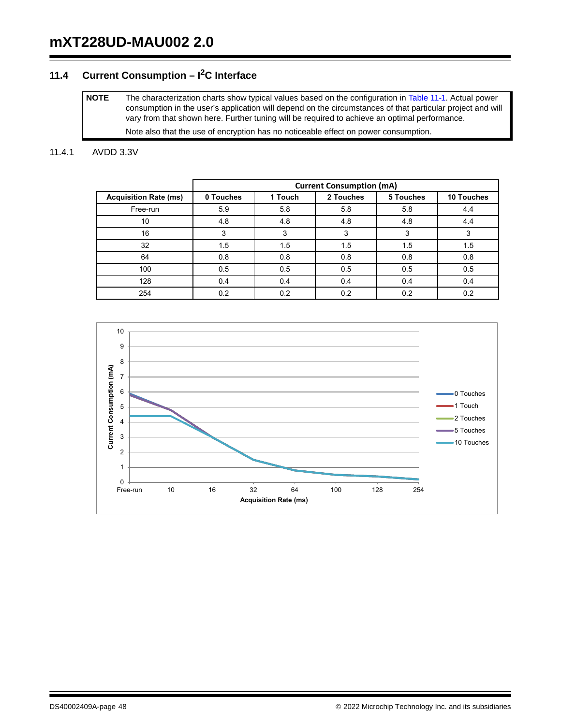# **11.4 Current Consumption – I2C Interface**

**NOTE** The characterization charts show typical values based on the configuration in Table 11-1. Actual power consumption in the user's application will depend on the circumstances of that particular project and will vary from that shown here. Further tuning will be required to achieve an optimal performance. Note also that the use of encryption has no noticeable effect on power consumption.

#### 11.4.1 AVDD 3.3V

|                              | <b>Current Consumption (mA)</b> |         |           |           |            |  |  |  |  |
|------------------------------|---------------------------------|---------|-----------|-----------|------------|--|--|--|--|
| <b>Acquisition Rate (ms)</b> | 0 Touches                       | 1 Touch | 2 Touches | 5 Touches | 10 Touches |  |  |  |  |
| Free-run                     | 5.9                             | 5.8     | 5.8       | 5.8       | 4.4        |  |  |  |  |
| 10                           | 4.8                             | 4.8     | 4.8       | 4.8       | 4.4        |  |  |  |  |
| 16                           | 3                               | 3       | 3         | 3         |            |  |  |  |  |
| 32                           | 1.5                             | 1.5     | 1.5       | 1.5       | 1.5        |  |  |  |  |
| 64                           | 0.8                             | 0.8     | 0.8       | 0.8       | 0.8        |  |  |  |  |
| 100                          | 0.5                             | 0.5     | 0.5       | 0.5       | 0.5        |  |  |  |  |
| 128                          | 0.4                             | 0.4     | 0.4       | 0.4       | 0.4        |  |  |  |  |
| 254                          | 0.2                             | 0.2     | 0.2       | 0.2       | 0.2        |  |  |  |  |

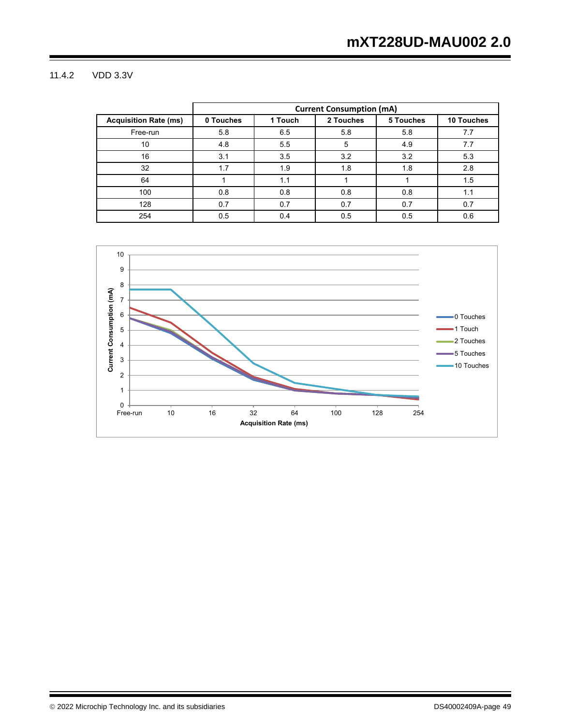# 11.4.2 VDD 3.3V

|                              | <b>Current Consumption (mA)</b> |         |           |           |                   |  |  |  |  |
|------------------------------|---------------------------------|---------|-----------|-----------|-------------------|--|--|--|--|
| <b>Acquisition Rate (ms)</b> | 0 Touches                       | 1 Touch | 2 Touches | 5 Touches | <b>10 Touches</b> |  |  |  |  |
| Free-run                     | 5.8                             | 6.5     | 5.8       | 5.8       | 7.7               |  |  |  |  |
| 10                           | 4.8                             | 5.5     | 5         | 4.9       | 7.7               |  |  |  |  |
| 16                           | 3.1                             | 3.5     | 3.2       | 3.2       | 5.3               |  |  |  |  |
| 32                           | 1.7                             | 1.9     | 1.8       | 1.8       | 2.8               |  |  |  |  |
| 64                           |                                 | 1.1     |           |           | 1.5               |  |  |  |  |
| 100                          | 0.8                             | 0.8     | 0.8       | 0.8       | 1.1               |  |  |  |  |
| 128                          | 0.7                             | 0.7     | 0.7       | 0.7       | 0.7               |  |  |  |  |
| 254                          | 0.5                             | 0.4     | 0.5       | 0.5       | 0.6               |  |  |  |  |

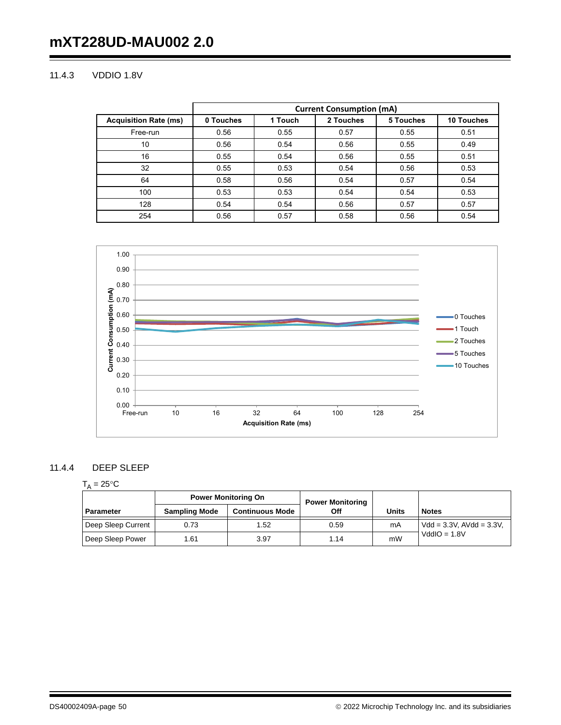# 11.4.3 VDDIO 1.8V

|                              | <b>Current Consumption (mA)</b> |         |           |           |                   |  |  |  |  |
|------------------------------|---------------------------------|---------|-----------|-----------|-------------------|--|--|--|--|
| <b>Acquisition Rate (ms)</b> | 0 Touches                       | 1 Touch | 2 Touches | 5 Touches | <b>10 Touches</b> |  |  |  |  |
| Free-run                     | 0.56                            | 0.55    | 0.57      | 0.55      | 0.51              |  |  |  |  |
| 10                           | 0.56                            | 0.54    | 0.56      | 0.55      | 0.49              |  |  |  |  |
| 16                           | 0.55                            | 0.54    | 0.56      | 0.55      | 0.51              |  |  |  |  |
| 32                           | 0.55                            | 0.53    | 0.54      | 0.56      | 0.53              |  |  |  |  |
| 64                           | 0.58                            | 0.56    | 0.54      | 0.57      | 0.54              |  |  |  |  |
| 100                          | 0.53                            | 0.53    | 0.54      | 0.54      | 0.53              |  |  |  |  |
| 128                          | 0.54                            | 0.54    | 0.56      | 0.57      | 0.57              |  |  |  |  |
| 254                          | 0.56                            | 0.57    | 0.58      | 0.56      | 0.54              |  |  |  |  |



# 11.4.4 DEEP SLEEP

# $T_A = 25$ °C

|                    | <b>Power Monitoring On</b> |                        | <b>Power Monitoring</b> |       |                                |
|--------------------|----------------------------|------------------------|-------------------------|-------|--------------------------------|
| <b>Parameter</b>   | <b>Sampling Mode</b>       | <b>Continuous Mode</b> | Off                     | Units | <b>Notes</b>                   |
| Deep Sleep Current | 0.73                       | 1.52                   | 0.59                    | mA    | $Vdd = 3.3V$ . AVdd = $3.3V$ . |
| Deep Sleep Power   | 1.61                       | 3.97                   | 1.14                    | mW    | $VddIO = 1.8V$                 |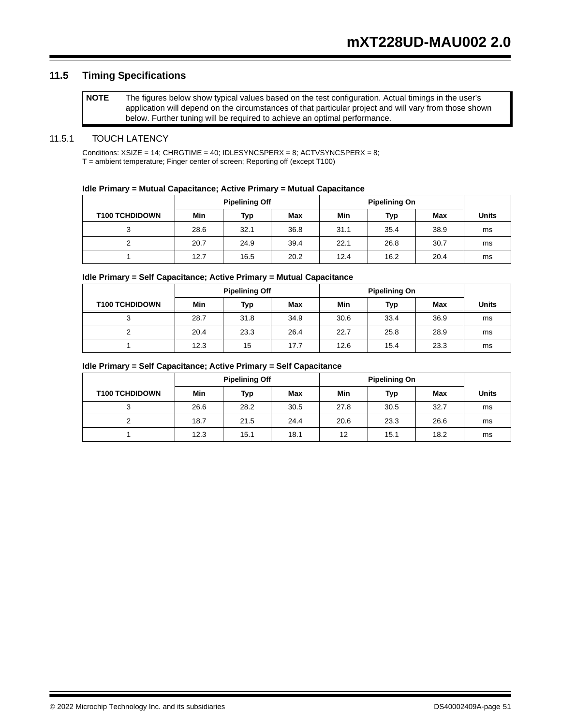# **11.5 Timing Specifications**

```
NOTE The figures below show typical values based on the test configuration. Actual timings in the user's 
application will depend on the circumstances of that particular project and will vary from those shown 
below. Further tuning will be required to achieve an optimal performance.
```
#### 11.5.1 TOUCH LATENCY

Conditions:  $XSIZE = 14$ ;  $CHRGTIME = 40$ ;  $IDLESYNCSPERX = 8$ ;  $ACTVSYNCSPERX = 8$ ; T = ambient temperature; Finger center of screen; Reporting off (except T100)

#### **Idle Primary = Mutual Capacitance; Active Primary = Mutual Capacitance**

|                       | <b>Pipelining Off</b> |      |      | <b>Pipelining On</b> |      |      |              |
|-----------------------|-----------------------|------|------|----------------------|------|------|--------------|
| <b>T100 TCHDIDOWN</b> | Min                   | Typ  | Max  | Min                  | Typ  | Max  | <b>Units</b> |
|                       | 28.6                  | 32.1 | 36.8 | 31.1                 | 35.4 | 38.9 | ms           |
|                       | 20.7                  | 24.9 | 39.4 | 22.1                 | 26.8 | 30.7 | ms           |
|                       | 12.7                  | 16.5 | 20.2 | 12.4                 | 16.2 | 20.4 | ms           |

#### **Idle Primary = Self Capacitance; Active Primary = Mutual Capacitance**

|                       | <b>Pipelining Off</b> |      |      | <b>Pipelining On</b> |      |      |              |
|-----------------------|-----------------------|------|------|----------------------|------|------|--------------|
| <b>T100 TCHDIDOWN</b> | Min                   | Typ  | Max  | Min                  | Typ  | Max  | <b>Units</b> |
| رب                    | 28.7                  | 31.8 | 34.9 | 30.6                 | 33.4 | 36.9 | ms           |
|                       | 20.4                  | 23.3 | 26.4 | 22.7                 | 25.8 | 28.9 | ms           |
|                       | 12.3                  | 15   | 17.7 | 12.6                 | 15.4 | 23.3 | ms           |

#### **Idle Primary = Self Capacitance; Active Primary = Self Capacitance**

|                       | <b>Pipelining Off</b> |      |      | <b>Pipelining On</b> |      |      |              |
|-----------------------|-----------------------|------|------|----------------------|------|------|--------------|
| <b>T100 TCHDIDOWN</b> | Min                   | Typ  | Max  | Min                  | Typ  | Max  | <b>Units</b> |
| ≏<br>ບ                | 26.6                  | 28.2 | 30.5 | 27.8                 | 30.5 | 32.7 | ms           |
|                       | 18.7                  | 21.5 | 24.4 | 20.6                 | 23.3 | 26.6 | ms           |
|                       | 12.3                  | 15.1 | 18.1 | 12                   | 15.1 | 18.2 | ms           |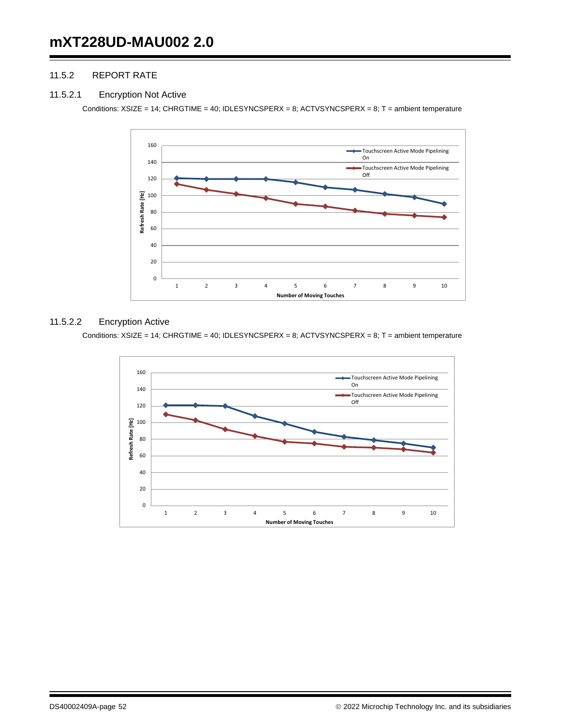# 11.5.2 REPORT RATE

#### 11.5.2.1 Encryption Not Active

Conditions: XSIZE = 14; CHRGTIME = 40; IDLESYNCSPERX = 8; ACTVSYNCSPERX = 8; T = ambient temperature



#### 11.5.2.2 Encryption Active

Conditions: XSIZE = 14; CHRGTIME = 40; IDLESYNCSPERX = 8; ACTVSYNCSPERX = 8; T = ambient temperature

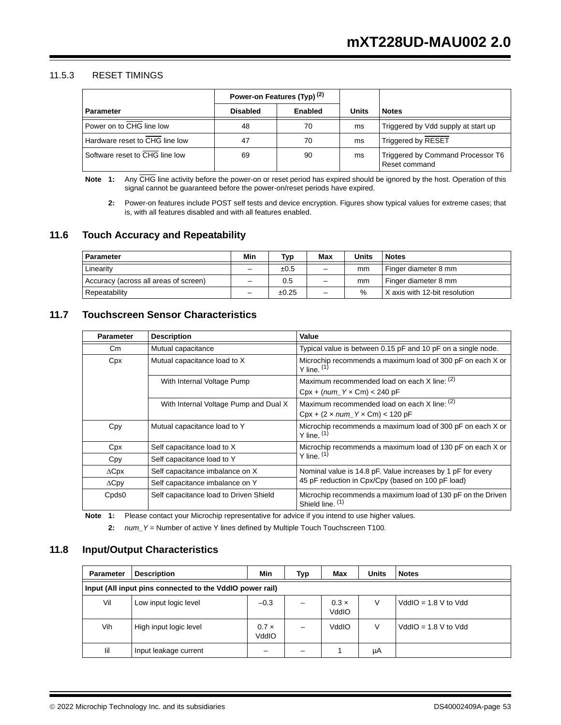### 11.5.3 RESET TIMINGS

|                                | Power-on Features (Typ) <sup>(2)</sup> |         |       |                                                    |
|--------------------------------|----------------------------------------|---------|-------|----------------------------------------------------|
| <b>Parameter</b>               | <b>Disabled</b>                        | Enabled | Units | <b>Notes</b>                                       |
| Power on to CHG line low       | 48                                     | 70      | ms    | Triggered by Vdd supply at start up                |
| Hardware reset to CHG line low | 47                                     | 70      | ms    | Triggered by RESET                                 |
| Software reset to CHG line low | 69                                     | 90      | ms    | Triggered by Command Processor T6<br>Reset command |

**Note 1:** Any CHG line activity before the power-on or reset period has expired should be ignored by the host. Operation of this signal cannot be guaranteed before the power-on/reset periods have expired.

**2:** Power-on features include POST self tests and device encryption. Figures show typical values for extreme cases; that is, with all features disabled and with all features enabled.

# **11.6 Touch Accuracy and Repeatability**

| Parameter                             | Min                      | Typ   | Max                      | Units | <b>Notes</b>                  |
|---------------------------------------|--------------------------|-------|--------------------------|-------|-------------------------------|
| Linearity                             | -                        | ±0.5  | $\qquad \qquad -$        | mm    | Finger diameter 8 mm          |
| Accuracy (across all areas of screen) | $\overline{\phantom{0}}$ | 0.5   | $\overline{\phantom{m}}$ | mm    | Finger diameter 8 mm          |
| Repeatability                         | -                        | ±0.25 | $\qquad \qquad -$        | $\%$  | X axis with 12-bit resolution |

# **11.7 Touchscreen Sensor Characteristics**

| <b>Parameter</b>  | <b>Description</b>                     | Value                                                                           |  |  |
|-------------------|----------------------------------------|---------------------------------------------------------------------------------|--|--|
| Cm                | Mutual capacitance                     | Typical value is between 0.15 pF and 10 pF on a single node.                    |  |  |
| Cpx               | Mutual capacitance load to X           | Microchip recommends a maximum load of 300 pF on each X or<br>Y line. $(1)$     |  |  |
|                   | With Internal Voltage Pump             | Maximum recommended load on each X line: (2)                                    |  |  |
|                   |                                        | $Cpx + (num_Y \times Cm) < 240 pF$                                              |  |  |
|                   | With Internal Voltage Pump and Dual X  | Maximum recommended load on each $X$ line: $(2)$                                |  |  |
|                   |                                        | $Cpx + (2 \times num_Y \times Cm) < 120 pF$                                     |  |  |
| Cpy               | Mutual capacitance load to Y           | Microchip recommends a maximum load of 300 pF on each X or<br>$Y$ line. $(1)$   |  |  |
| Cpx               | Self capacitance load to X             | Microchip recommends a maximum load of 130 pF on each X or                      |  |  |
| Cpy               | Self capacitance load to Y             | Y line. $(1)$                                                                   |  |  |
| $\Delta$ Cpx      | Self capacitance imbalance on X        | Nominal value is 14.8 pF. Value increases by 1 pF for every                     |  |  |
| $\Delta$ Cpy      | Self capacitance imbalance on Y        | 45 pF reduction in Cpx/Cpy (based on 100 pF load)                               |  |  |
| Cpds <sub>0</sub> | Self capacitance load to Driven Shield | Microchip recommends a maximum load of 130 pF on the Driven<br>Shield line. (1) |  |  |

**Note 1:** Please contact your Microchip representative for advice if you intend to use higher values.

**2:** *num\_Y* = Number of active Y lines defined by Multiple Touch Touchscreen T100.

# **11.8 Input/Output Characteristics**

| <b>Parameter</b>                                         | <b>Description</b>     | Min                   | Typ | Max                   | Units | <b>Notes</b>           |  |  |
|----------------------------------------------------------|------------------------|-----------------------|-----|-----------------------|-------|------------------------|--|--|
| Input (All input pins connected to the VddIO power rail) |                        |                       |     |                       |       |                        |  |  |
| Vil                                                      | Low input logic level  | $-0.3$                |     | $0.3 \times$<br>VddIO | V     | $VddIO = 1.8 V to Vdd$ |  |  |
| Vih                                                      | High input logic level | $0.7 \times$<br>VddIO |     | VddIO                 | V     | $VddIO = 1.8 V to Vdd$ |  |  |
| lil                                                      | Input leakage current  |                       |     |                       | μA    |                        |  |  |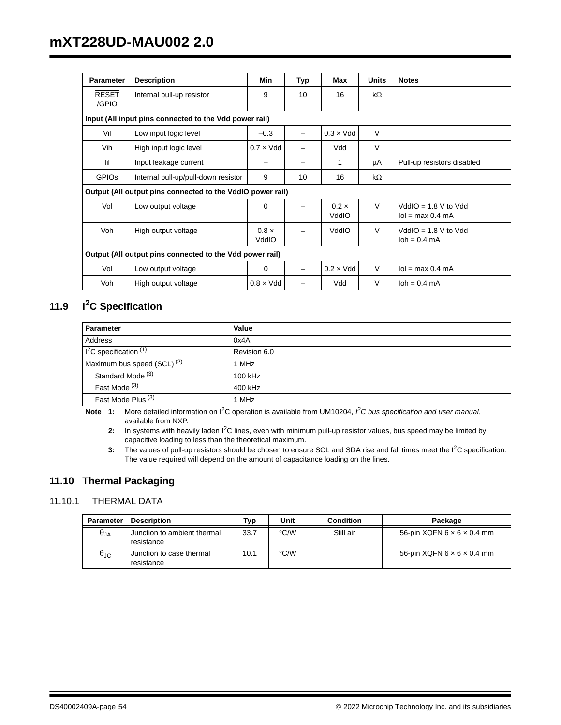# **mXT228UD-MAU002 2.0**

| <b>Parameter</b>                                         | <b>Description</b>                                         | Min                   | Typ                      | Max                   | <b>Units</b> | <b>Notes</b>                                     |
|----------------------------------------------------------|------------------------------------------------------------|-----------------------|--------------------------|-----------------------|--------------|--------------------------------------------------|
| <b>RESET</b><br>/GPIO                                    | Internal pull-up resistor                                  | 9                     | 10                       | 16                    | kΩ           |                                                  |
|                                                          | Input (All input pins connected to the Vdd power rail)     |                       |                          |                       |              |                                                  |
| Vil                                                      | Low input logic level                                      | $-0.3$                |                          | $0.3 \times V$ dd     | $\vee$       |                                                  |
| Vih                                                      | High input logic level                                     | $0.7 \times V$ dd     |                          | Vdd                   | $\vee$       |                                                  |
| lil                                                      | Input leakage current                                      |                       |                          | 1                     | μA           | Pull-up resistors disabled                       |
| <b>GPIOS</b>                                             | Internal pull-up/pull-down resistor                        | 9                     | 10                       | 16                    | kΩ           |                                                  |
|                                                          | Output (All output pins connected to the VddIO power rail) |                       |                          |                       |              |                                                  |
| Vol                                                      | Low output voltage                                         | $\Omega$              |                          | $0.2 \times$<br>VddIO | $\vee$       | $VddIO = 1.8 V to Vdd$<br>$Iol = max 0.4 mA$     |
| Voh                                                      | High output voltage                                        | $0.8 \times$<br>VddIO | -                        | VddIO                 | $\vee$       | $VddIO = 1.8 V to Vdd$<br>$\lambda$ loh = 0.4 mA |
| Output (All output pins connected to the Vdd power rail) |                                                            |                       |                          |                       |              |                                                  |
| Vol                                                      | Low output voltage                                         | 0                     | $\overline{\phantom{0}}$ | $0.2 \times V$ dd     | $\vee$       | $Iol = max 0.4 mA$                               |
| Voh                                                      | High output voltage                                        | $0.8 \times V$ dd     |                          | Vdd                   | $\vee$       | $\lambda$ loh = 0.4 mA                           |

# **11.9 I2C Specification**

| Parameter                              | Value        |
|----------------------------------------|--------------|
| Address                                | 0x4A         |
| $I2C$ specification $(1)$              | Revision 6.0 |
| Maximum bus speed (SCL) <sup>(2)</sup> | 1 MHz        |
| Standard Mode <sup>(3)</sup>           | 100 kHz      |
| Fast Mode <sup>(3)</sup>               | 400 kHz      |
| Fast Mode Plus <sup>(3)</sup>          | 1 MHz        |

**Note 1:** More detailed information on I2C operation is available from UM10204, *I 2C bus specification and user manual*, available from NXP.

2: In systems with heavily laden I<sup>2</sup>C lines, even with minimum pull-up resistor values, bus speed may be limited by capacitive loading to less than the theoretical maximum.

**3:** The values of pull-up resistors should be chosen to ensure SCL and SDA rise and fall times meet the I<sup>2</sup>C specification. The value required will depend on the amount of capacitance loading on the lines.

# **11.10 Thermal Packaging**

# 11.10.1 THERMAL DATA

| <b>Parameter</b>       | <b>Description</b>                        | Typ  | Unit          | <b>Condition</b> | Package                                |
|------------------------|-------------------------------------------|------|---------------|------------------|----------------------------------------|
| $\theta_{\mathsf{JA}}$ | Junction to ambient thermal<br>resistance | 33.7 | °C/W          | Still air        | 56-pin $XQFN 6 \times 6 \times 0.4$ mm |
| $\theta_{\text{JC}}$   | Junction to case thermal<br>resistance    | 10.1 | $\degree$ C/W |                  | 56-pin $XQFN 6 \times 6 \times 0.4$ mm |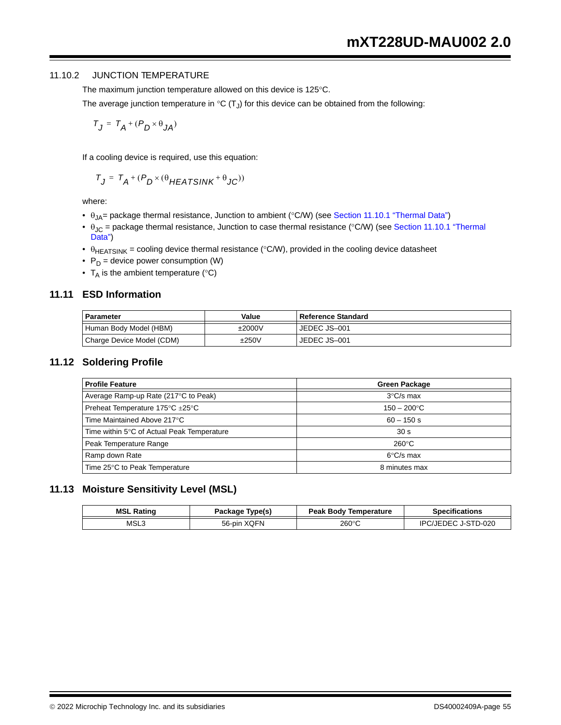## 11.10.2 JUNCTION TEMPERATURE

The maximum junction temperature allowed on this device is 125°C.

The average junction temperature in  ${}^{\circ}C(T_J)$  for this device can be obtained from the following:

$$
T_J = T_A + (P_D \times \theta_{JA})
$$

If a cooling device is required, use this equation:

$$
T_J = T_A + (P_D \times (\theta_{HEATSINK} + \theta_{JC}))
$$

where:

- $\theta_{JA}$  = package thermal resistance, Junction to ambient (°C/W) (see Section 11.10.1 "Thermal Data")
- $\theta_{JC}$  = package thermal resistance, Junction to case thermal resistance (°C/W) (see Section 11.10.1 "Thermal Data")
- $\theta_{\text{HEATSINK}}$  = cooling device thermal resistance (°C/W), provided in the cooling device datasheet
- $P_D$  = device power consumption (W)
- $T_A$  is the ambient temperature (°C)

# **11.11 ESD Information**

| <b>Parameter</b>          | Value  | l Reference Standard |
|---------------------------|--------|----------------------|
| Human Body Model (HBM)    | ±2000V | JEDEC JS-001         |
| Charge Device Model (CDM) | ±250V  | JEDEC JS-001         |

#### **11.12 Soldering Profile**

| <b>Profile Feature</b>                     | <b>Green Package</b> |
|--------------------------------------------|----------------------|
| Average Ramp-up Rate (217°C to Peak)       | $3^{\circ}$ C/s max  |
| Preheat Temperature 175°C ±25°C            | $150 - 200$ °C       |
| Time Maintained Above 217°C                | $60 - 150$ s         |
| Time within 5°C of Actual Peak Temperature | 30 <sub>s</sub>      |
| Peak Temperature Range                     | $260^{\circ}$ C      |
| Ramp down Rate                             | $6^{\circ}$ C/s max  |
| Time 25°C to Peak Temperature              | 8 minutes max        |

# **11.13 Moisture Sensitivity Level (MSL)**

| MSL<br>Rating | Type(s)<br>Package    | <b>Peak Body Temperature</b> | <b>Specifications</b>          |
|---------------|-----------------------|------------------------------|--------------------------------|
| MSL3          | <b>XOFN</b><br>56-pin | 260°C                        | STD-020<br>IÞC<br>$JJ$ . $F^T$ |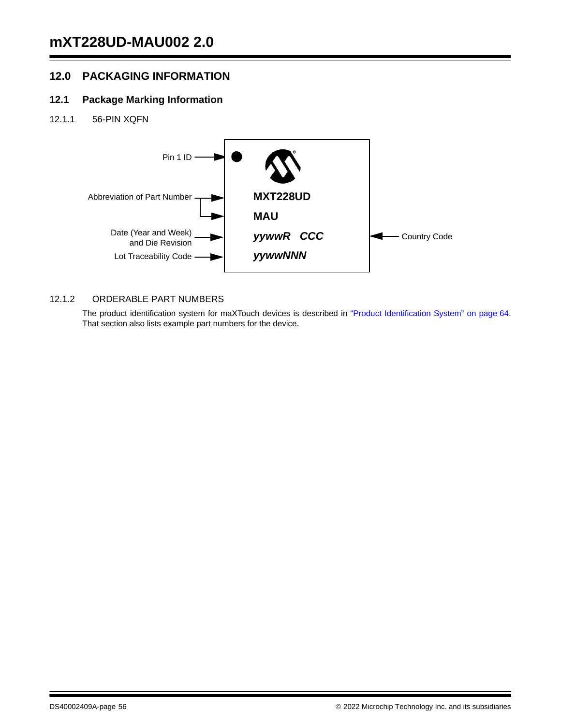# **12.0 PACKAGING INFORMATION**

# **12.1 Package Marking Information**

12.1.1 56-PIN XQFN



# 12.1.2 ORDERABLE PART NUMBERS

The product identification system for maXTouch devices is described in "Product Identification System" on page 64. That section also lists example part numbers for the device.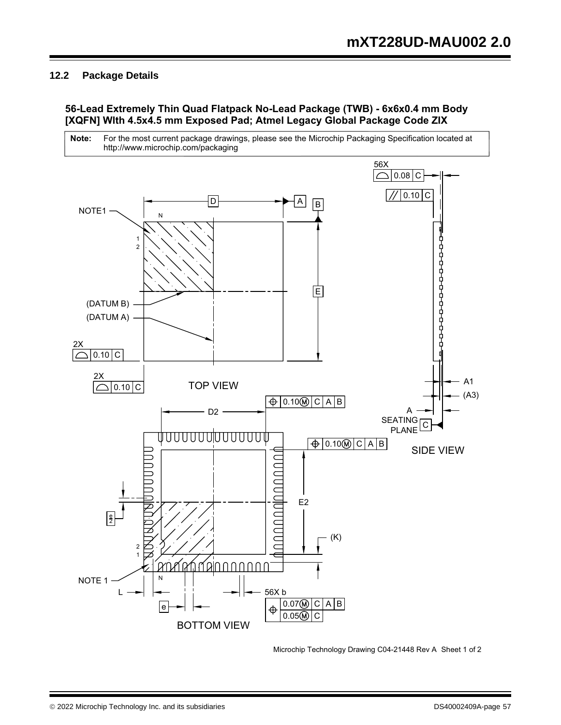# **12.2 Package Details**

# **56-Lead Extremely Thin Quad Flatpack No-Lead Package (TWB) - 6x6x0.4 mm Body [XQFN] Wlth 4.5x4.5 mm Exposed Pad; Atmel Legacy Global Package Code ZIX**



Microchip Technology Drawing C04-21448 Rev A Sheet 1 of 2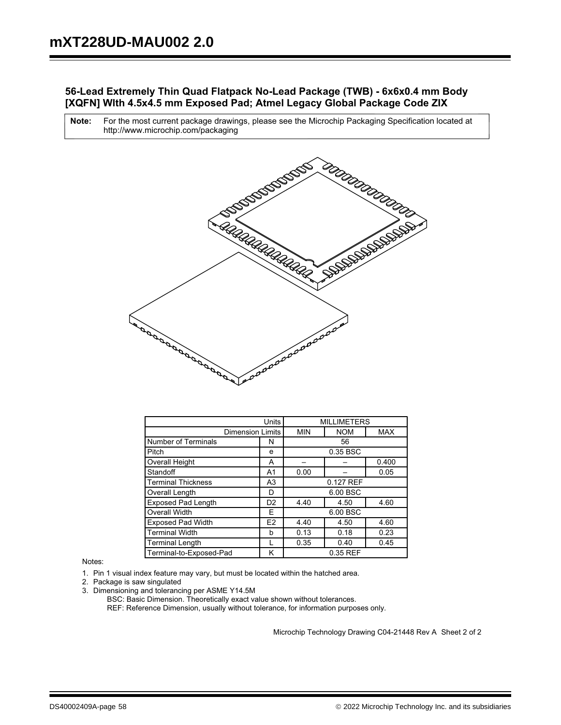# **56-Lead Extremely Thin Quad Flatpack No-Lead Package (TWB) - 6x6x0.4 mm Body [XQFN] Wlth 4.5x4.5 mm Exposed Pad; Atmel Legacy Global Package Code ZIX**

For the most current package drawings, please see the Microchip Packaging Specification located at http://www.microchip.com/packaging **Note:**



| Units                                       |                | <b>MILLIMETERS</b> |            |            |
|---------------------------------------------|----------------|--------------------|------------|------------|
| <b>Dimension Limits</b>                     |                | <b>MIN</b>         | <b>NOM</b> | <b>MAX</b> |
| <b>Number of Terminals</b><br>N             |                |                    | 56         |            |
| Pitch                                       | e              |                    | 0.35 BSC   |            |
| Overall Height                              | А              |                    |            | 0.400      |
| Standoff                                    | A1             | 0.00               |            | 0.05       |
| <b>Terminal Thickness</b><br>A <sub>3</sub> |                | 0.127 REF          |            |            |
| Overall Length                              | D              |                    | 6.00 BSC   |            |
| <b>Exposed Pad Length</b>                   | D <sub>2</sub> | 4.40               | 4.50       | 4.60       |
| <b>Overall Width</b>                        | F              |                    | 6.00 BSC   |            |
| <b>Exposed Pad Width</b>                    | E <sub>2</sub> | 4.40               | 4.50       | 4.60       |
| <b>Terminal Width</b>                       | b              | 0.13               | 0.18       | 0.23       |
| <b>Terminal Length</b>                      |                | 0.35               | 0.40       | 0.45       |
| Terminal-to-Exposed-Pad<br>κ                |                | 0.35 REF           |            |            |

Notes:

1. Pin 1 visual index feature may vary, but must be located within the hatched area.

- 2. Package is saw singulated
- 3. Dimensioning and tolerancing per ASME Y14.5M

REF: Reference Dimension, usually without tolerance, for information purposes only. BSC: Basic Dimension. Theoretically exact value shown without tolerances.

Microchip Technology Drawing C04-21448 Rev A Sheet 2 of 2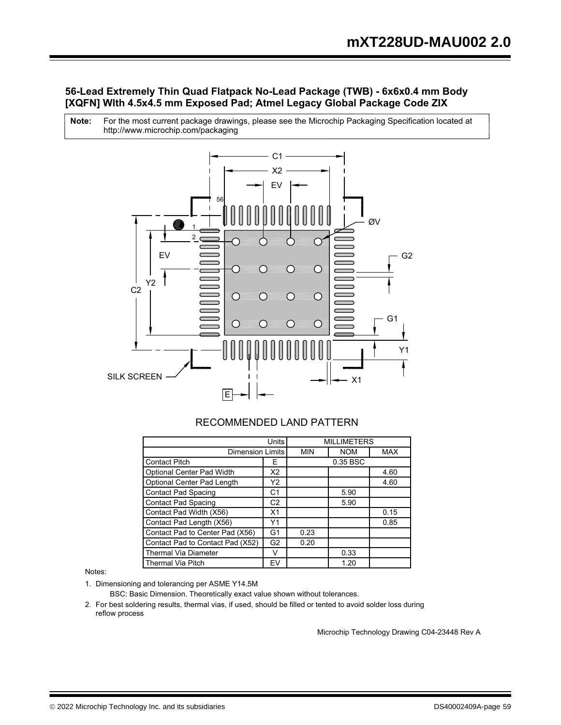# **56-Lead Extremely Thin Quad Flatpack No-Lead Package (TWB) - 6x6x0.4 mm Body [XQFN] Wlth 4.5x4.5 mm Exposed Pad; Atmel Legacy Global Package Code ZIX**

For the most current package drawings, please see the Microchip Packaging Specification located at http://www.microchip.com/packaging **Note:**



# RECOMMENDED LAND PATTERN

| Units                            |                | <b>MILLIMETERS</b> |            |            |
|----------------------------------|----------------|--------------------|------------|------------|
| <b>Dimension Limits</b>          |                | <b>MIN</b>         | <b>NOM</b> | <b>MAX</b> |
| <b>Contact Pitch</b>             | F              |                    | 0.35 BSC   |            |
| Optional Center Pad Width        | X2             |                    |            | 4.60       |
| Optional Center Pad Length       | Y2             |                    |            | 4.60       |
| <b>Contact Pad Spacing</b>       | C1             |                    | 5.90       |            |
| <b>Contact Pad Spacing</b>       | C <sub>2</sub> |                    | 5.90       |            |
| Contact Pad Width (X56)          | X <sub>1</sub> |                    |            | 0.15       |
| Contact Pad Length (X56)         | Υ1             |                    |            | 0.85       |
| Contact Pad to Center Pad (X56)  | G <sub>1</sub> | 0.23               |            |            |
| Contact Pad to Contact Pad (X52) | G <sub>2</sub> | 0.20               |            |            |
| <b>Thermal Via Diameter</b>      | v              |                    | 0.33       |            |
| <b>Thermal Via Pitch</b>         | EV             |                    | 1.20       |            |

Notes:

1. Dimensioning and tolerancing per ASME Y14.5M

BSC: Basic Dimension. Theoretically exact value shown without tolerances.

2. For best soldering results, thermal vias, if used, should be filled or tented to avoid solder loss during reflow process

Microchip Technology Drawing C04-23448 Rev A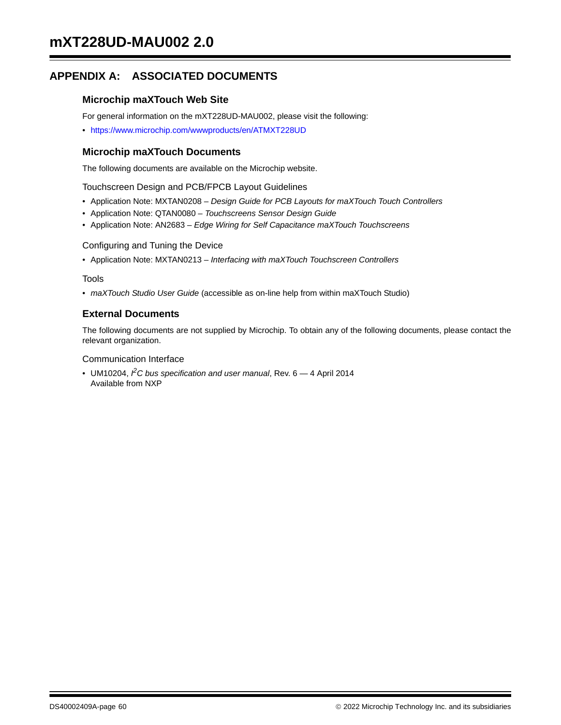# **APPENDIX A: ASSOCIATED DOCUMENTS**

# **Microchip maXTouch Web Site**

For general information on the mXT228UD-MAU002, please visit the following:

• https://www.microchip.com/wwwproducts/en/ATMXT228UD

# **Microchip maXTouch Documents**

The following documents are available on the Microchip website.

Touchscreen Design and PCB/FPCB Layout Guidelines

- Application Note: MXTAN0208 *Design Guide for PCB Layouts for maXTouch Touch Controllers*
- Application Note: QTAN0080 *Touchscreens Sensor Design Guide*
- Application Note: AN2683 *Edge Wiring for Self Capacitance maXTouch Touchscreens*

#### Configuring and Tuning the Device

• Application Note: MXTAN0213 – *Interfacing with maXTouch Touchscreen Controllers*

#### Tools

• *maXTouch Studio User Guide* (accessible as on-line help from within maXTouch Studio)

# **External Documents**

The following documents are not supplied by Microchip. To obtain any of the following documents, please contact the relevant organization.

#### Communication Interface

• UM10204, <sup>*P*</sup>C bus specification and user manual, Rev. 6 – 4 April 2014 Available from NXP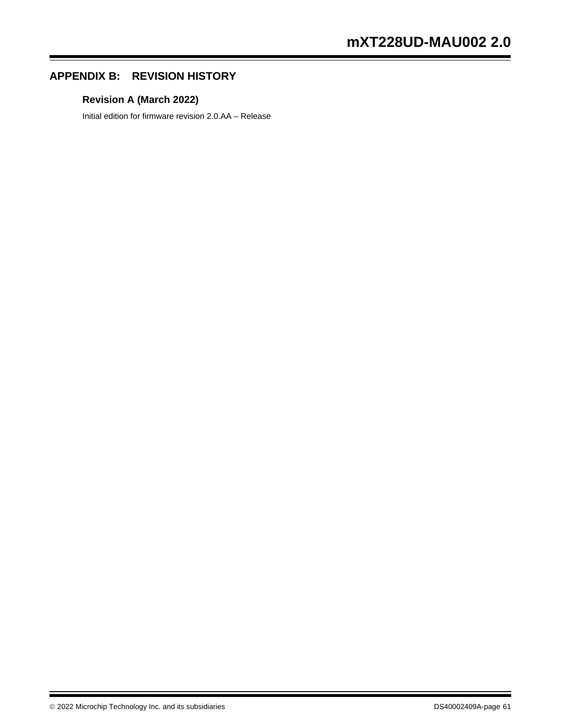# **APPENDIX B: REVISION HISTORY**

# **Revision A (March 2022)**

Initial edition for firmware revision 2.0.AA – Release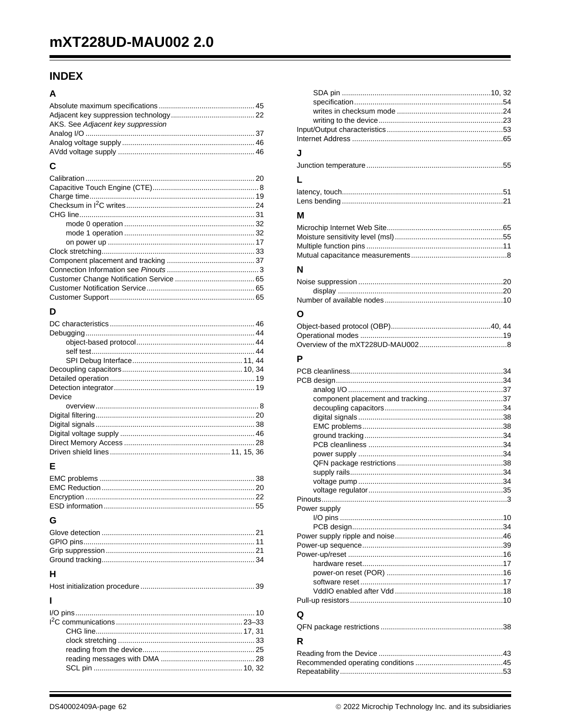# **INDEX**

# $\Delta$

| AKS. See Adjacent key suppression |  |
|-----------------------------------|--|
|                                   |  |
|                                   |  |
|                                   |  |
| C                                 |  |
|                                   |  |
|                                   |  |
|                                   |  |
|                                   |  |
|                                   |  |
|                                   |  |
|                                   |  |
|                                   |  |
|                                   |  |
|                                   |  |
|                                   |  |
|                                   |  |
|                                   |  |
|                                   |  |
|                                   |  |

# D

| Device |  |
|--------|--|
|        |  |
|        |  |
|        |  |
|        |  |
|        |  |
|        |  |

# E

# G

| н |  |
|---|--|

| J            |  |
|--------------|--|
|              |  |
|              |  |
|              |  |
| м            |  |
|              |  |
| N            |  |
|              |  |
|              |  |
|              |  |
| O            |  |
|              |  |
|              |  |
| P            |  |
|              |  |
|              |  |
|              |  |
|              |  |
|              |  |
|              |  |
|              |  |
|              |  |
|              |  |
|              |  |
|              |  |
| Power supply |  |
|              |  |
|              |  |
|              |  |
|              |  |
|              |  |
|              |  |
|              |  |
|              |  |
| Q            |  |
|              |  |
| R            |  |
|              |  |
|              |  |
|              |  |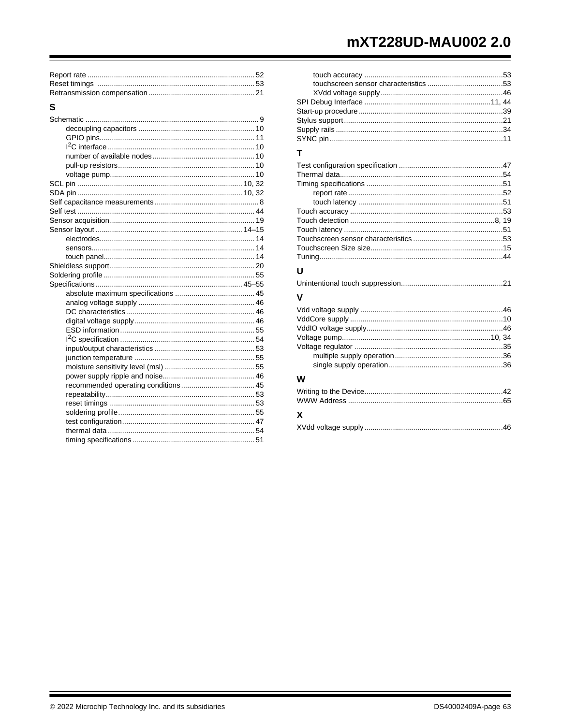# mXT228UD-MAU002 2.0

# ${\bf S}$

| т |  |
|---|--|
|   |  |
|   |  |
|   |  |
|   |  |
|   |  |
|   |  |
|   |  |
|   |  |
|   |  |
|   |  |
|   |  |
| U |  |
|   |  |
| V |  |
|   |  |
|   |  |
|   |  |
|   |  |
|   |  |
|   |  |
|   |  |

# W

| X |  |
|---|--|
|   |  |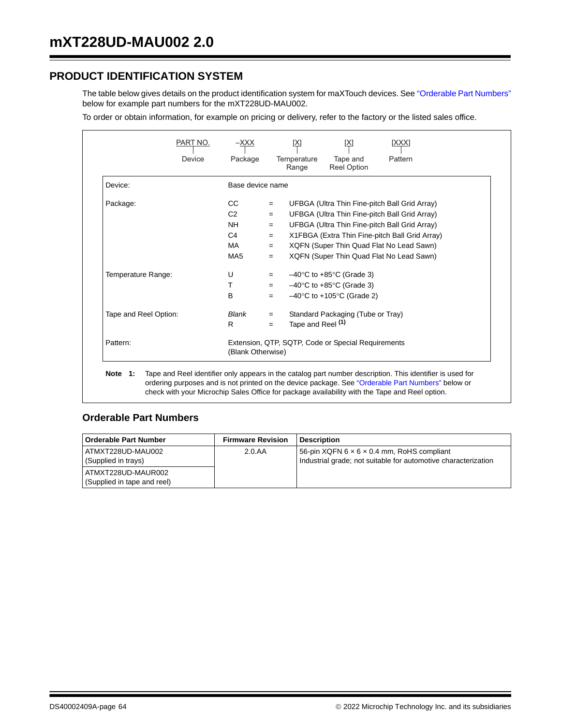# **PRODUCT IDENTIFICATION SYSTEM**

The table below gives details on the product identification system for maXTouch devices. See "Orderable Part Numbers" below for example part numbers for the mXT228UD-MAU002.

To order or obtain information, for example on pricing or delivery, refer to the factory or the listed sales office.

|                       | Device | Package                                                                 |     | Temperature<br>Range         | Tape and<br><b>Reel Option</b>                 | Pattern                                        |
|-----------------------|--------|-------------------------------------------------------------------------|-----|------------------------------|------------------------------------------------|------------------------------------------------|
| Device:               |        | Base device name                                                        |     |                              |                                                |                                                |
| Package:              |        | CC                                                                      | $=$ |                              |                                                | UFBGA (Ultra Thin Fine-pitch Ball Grid Array)  |
|                       |        | C <sub>2</sub>                                                          | $=$ |                              |                                                | UFBGA (Ultra Thin Fine-pitch Ball Grid Array)  |
|                       |        | <b>NH</b>                                                               | $=$ |                              |                                                | UFBGA (Ultra Thin Fine-pitch Ball Grid Array)  |
|                       |        | C <sub>4</sub>                                                          | $=$ |                              |                                                | X1FBGA (Extra Thin Fine-pitch Ball Grid Array) |
|                       |        | <b>MA</b>                                                               | $=$ |                              |                                                | XQFN (Super Thin Quad Flat No Lead Sawn)       |
|                       |        | MA <sub>5</sub>                                                         | $=$ |                              |                                                | XQFN (Super Thin Quad Flat No Lead Sawn)       |
| Temperature Range:    |        | U                                                                       | $=$ |                              | $-40^{\circ}$ C to $+85^{\circ}$ C (Grade 3)   |                                                |
|                       |        | T                                                                       | $=$ |                              | $-40^{\circ}$ C to $+85^{\circ}$ C (Grade 3)   |                                                |
|                       |        | B                                                                       | $=$ |                              | $-40^{\circ}$ C to +105 $^{\circ}$ C (Grade 2) |                                                |
| Tape and Reel Option: |        | Blank                                                                   | $=$ |                              | Standard Packaging (Tube or Tray)              |                                                |
|                       |        | R                                                                       | $=$ | Tape and Reel <sup>(1)</sup> |                                                |                                                |
| Pattern:              |        | Extension, QTP, SQTP, Code or Special Requirements<br>(Blank Otherwise) |     |                              |                                                |                                                |

# **Orderable Part Numbers**

| <b>Orderable Part Number</b>                      | <b>Firmware Revision</b> | <b>Description</b>                                                                                                       |
|---------------------------------------------------|--------------------------|--------------------------------------------------------------------------------------------------------------------------|
| ATMXT228UD-MAU002<br>(Supplied in trays)          | 2.0.AA                   | 56-pin XQFN $6 \times 6 \times 0.4$ mm, RoHS compliant<br>Industrial grade; not suitable for automotive characterization |
| ATMXT228UD-MAUR002<br>(Supplied in tape and reel) |                          |                                                                                                                          |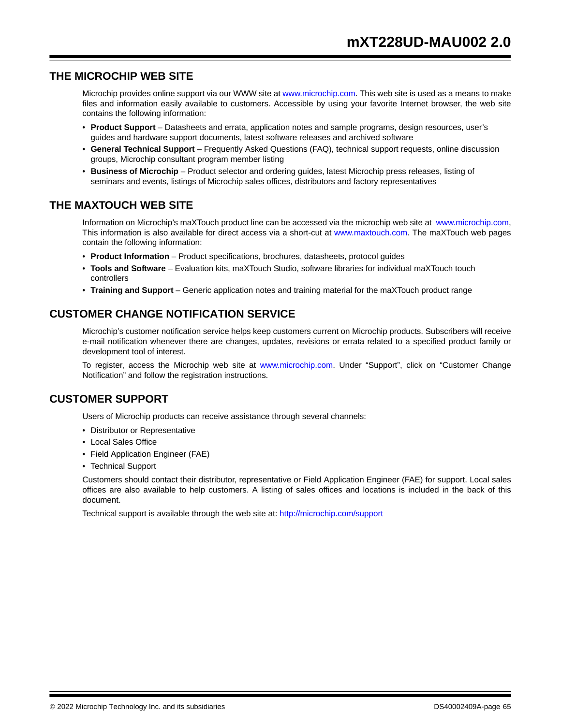# **THE MICROCHIP WEB SITE**

Microchip provides online support via our WWW site at www.microchip.com. This web site is used as a means to make files and information easily available to customers. Accessible by using your favorite Internet browser, the web site contains the following information:

- **Product Support** Datasheets and errata, application notes and sample programs, design resources, user's guides and hardware support documents, latest software releases and archived software
- **General Technical Support** Frequently Asked Questions (FAQ), technical support requests, online discussion groups, Microchip consultant program member listing
- **Business of Microchip** Product selector and ordering guides, latest Microchip press releases, listing of seminars and events, listings of Microchip sales offices, distributors and factory representatives

# **THE MAXTOUCH WEB SITE**

Information on Microchip's maXTouch product line can be accessed via the microchip web site at www.microchip.com, This information is also available for direct access via a short-cut at www.maxtouch.com. The maXTouch web pages contain the following information:

- **Product Information**  Product specifications, brochures, datasheets, protocol guides
- **Tools and Software**  Evaluation kits, maXTouch Studio, software libraries for individual maXTouch touch controllers
- **Training and Support** Generic application notes and training material for the maXTouch product range

# **CUSTOMER CHANGE NOTIFICATION SERVICE**

Microchip's customer notification service helps keep customers current on Microchip products. Subscribers will receive e-mail notification whenever there are changes, updates, revisions or errata related to a specified product family or development tool of interest.

To register, access the Microchip web site at www.microchip.com. Under "Support", click on "Customer Change Notification" and follow the registration instructions.

# **CUSTOMER SUPPORT**

Users of Microchip products can receive assistance through several channels:

- Distributor or Representative
- Local Sales Office
- Field Application Engineer (FAE)
- Technical Support

Customers should contact their distributor, representative or Field Application Engineer (FAE) for support. Local sales offices are also available to help customers. A listing of sales offices and locations is included in the back of this document.

Technical support is available through the web site at: http://microchip.com/support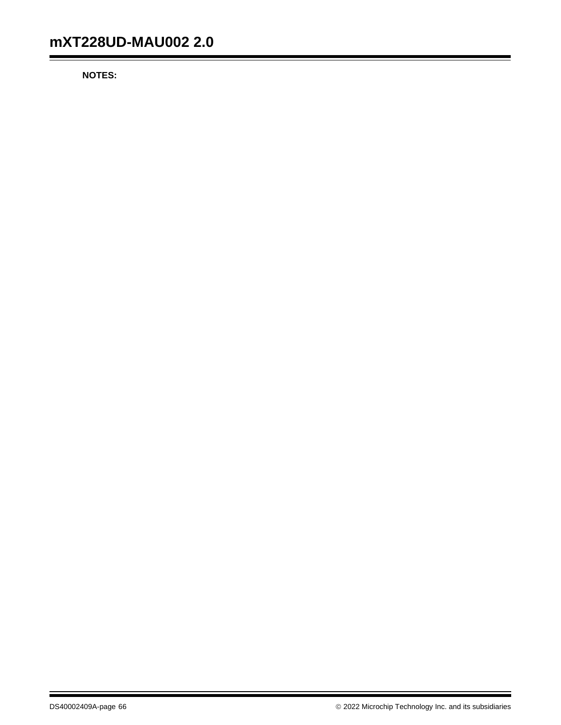**NOTES:**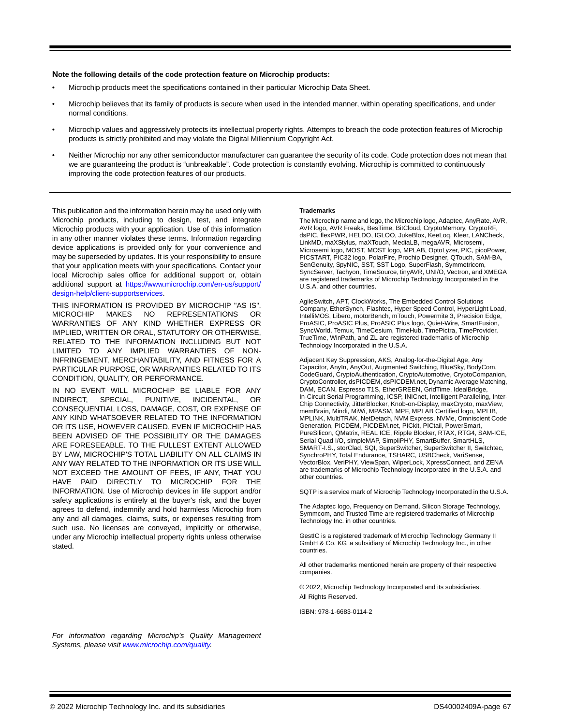#### **Note the following details of the code protection feature on Microchip products:**

- Microchip products meet the specifications contained in their particular Microchip Data Sheet.
- Microchip believes that its family of products is secure when used in the intended manner, within operating specifications, and under normal conditions.
- Microchip values and aggressively protects its intellectual property rights. Attempts to breach the code protection features of Microchip products is strictly prohibited and may violate the Digital Millennium Copyright Act.
- Neither Microchip nor any other semiconductor manufacturer can guarantee the security of its code. Code protection does not mean that we are guaranteeing the product is "unbreakable". Code protection is constantly evolving. Microchip is committed to continuously improving the code protection features of our products.

This publication and the information herein may be used only with Microchip products, including to design, test, and integrate Microchip products with your application. Use of this information in any other manner violates these terms. Information regarding device applications is provided only for your convenience and may be superseded by updates. It is your responsibility to ensure that your application meets with your specifications. Contact your local Microchip sales office for additional support or, obtain additional support at https://www.microchip.com/en-us/support/ design-help/client-supportservices.

THIS INFORMATION IS PROVIDED BY MICROCHIP "AS IS". MICROCHIP MAKES NO REPRESENTATIONS OR WARRANTIES OF ANY KIND WHETHER EXPRESS OR IMPLIED, WRITTEN OR ORAL, STATUTORY OR OTHERWISE, RELATED TO THE INFORMATION INCLUDING BUT NOT LIMITED TO ANY IMPLIED WARRANTIES OF NON-INFRINGEMENT, MERCHANTABILITY, AND FITNESS FOR A PARTICULAR PURPOSE, OR WARRANTIES RELATED TO ITS CONDITION, QUALITY, OR PERFORMANCE.

IN NO EVENT WILL MICROCHIP BE LIABLE FOR ANY INDIRECT, SPECIAL, PUNITIVE, INCIDENTAL, OR CONSEQUENTIAL LOSS, DAMAGE, COST, OR EXPENSE OF ANY KIND WHATSOEVER RELATED TO THE INFORMATION OR ITS USE, HOWEVER CAUSED, EVEN IF MICROCHIP HAS BEEN ADVISED OF THE POSSIBILITY OR THE DAMAGES ARE FORESEEABLE. TO THE FULLEST EXTENT ALLOWED BY LAW, MICROCHIP'S TOTAL LIABILITY ON ALL CLAIMS IN ANY WAY RELATED TO THE INFORMATION OR ITS USE WILL NOT EXCEED THE AMOUNT OF FEES, IF ANY, THAT YOU HAVE PAID DIRECTLY TO MICROCHIP FOR THE INFORMATION. Use of Microchip devices in life support and/or safety applications is entirely at the buyer's risk, and the buyer agrees to defend, indemnify and hold harmless Microchip from any and all damages, claims, suits, or expenses resulting from such use. No licenses are conveyed, implicitly or otherwise, under any Microchip intellectual property rights unless otherwise stated.

#### **Trademarks**

The Microchip name and logo, the Microchip logo, Adaptec, AnyRate, AVR, AVR logo, AVR Freaks, BesTime, BitCloud, CryptoMemory, CryptoRF, dsPIC, flexPWR, HELDO, IGLOO, JukeBlox, KeeLoq, Kleer, LANCheck, LinkMD, maXStylus, maXTouch, MediaLB, megaAVR, Microsemi, Microsemi logo, MOST, MOST logo, MPLAB, OptoLyzer, PIC, picoPower, PICSTART, PIC32 logo, PolarFire, Prochip Designer, QTouch, SAM-BA, SenGenuity, SpyNIC, SST, SST Logo, SuperFlash, Symmetricom, SyncServer, Tachyon, TimeSource, tinyAVR, UNI/O, Vectron, and XMEGA are registered trademarks of Microchip Technology Incorporated in the U.S.A. and other countries.

AgileSwitch, APT, ClockWorks, The Embedded Control Solutions Company, EtherSynch, Flashtec, Hyper Speed Control, HyperLight Load, IntelliMOS, Libero, motorBench, mTouch, Powermite 3, Precision Edge, ProASIC, ProASIC Plus, ProASIC Plus logo, Quiet-Wire, SmartFusion, SyncWorld, Temux, TimeCesium, TimeHub, TimePictra, TimeProvider, TrueTime, WinPath, and ZL are registered trademarks of Microchip Technology Incorporated in the U.S.A.

Adjacent Key Suppression, AKS, Analog-for-the-Digital Age, Any Capacitor, AnyIn, AnyOut, Augmented Switching, BlueSky, BodyCom, CodeGuard, CryptoAuthentication, CryptoAutomotive, CryptoCompanion, CryptoController, dsPICDEM, dsPICDEM.net, Dynamic Average Matching, DAM, ECAN, Espresso T1S, EtherGREEN, GridTime, IdealBridge, In-Circuit Serial Programming, ICSP, INICnet, Intelligent Paralleling, Inter-Chip Connectivity, JitterBlocker, Knob-on-Display, maxCrypto, maxView, memBrain, Mindi, MiWi, MPASM, MPF, MPLAB Certified logo, MPLIB, MPLINK, MultiTRAK, NetDetach, NVM Express, NVMe, Omniscient Code Generation, PICDEM, PICDEM.net, PICkit, PICtail, PowerSmart, PureSilicon, QMatrix, REAL ICE, Ripple Blocker, RTAX, RTG4, SAM-ICE, Serial Quad I/O, simpleMAP, SimpliPHY, SmartBuffer, SmartHLS, SMART-I.S., storClad, SQI, SuperSwitcher, SuperSwitcher II, Switchtec, SynchroPHY, Total Endurance, TSHARC, USBCheck, VariSense, VectorBlox, VeriPHY, ViewSpan, WiperLock, XpressConnect, and ZENA are trademarks of Microchip Technology Incorporated in the U.S.A. and other countries.

SQTP is a service mark of Microchip Technology Incorporated in the U.S.A.

The Adaptec logo, Frequency on Demand, Silicon Storage Technology, Symmcom, and Trusted Time are registered trademarks of Microchip Technology Inc. in other countries.

GestIC is a registered trademark of Microchip Technology Germany II GmbH & Co. KG, a subsidiary of Microchip Technology Inc., in other countries.

All other trademarks mentioned herein are property of their respective companies.

© 2022, Microchip Technology Incorporated and its subsidiaries. All Rights Reserved.

ISBN: 978-1-6683-0114-2

*For information regarding Microchip's Quality Management Systems, please visit www.microchip.com/quality.*